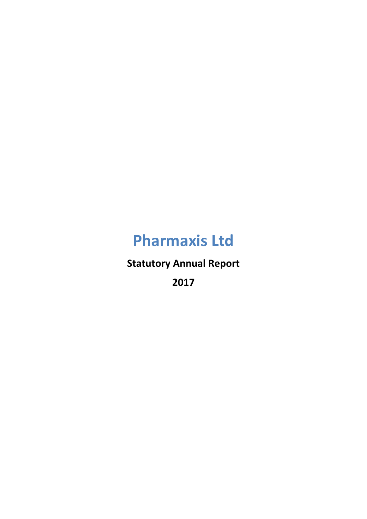**Statutory Annual Report**

**2017**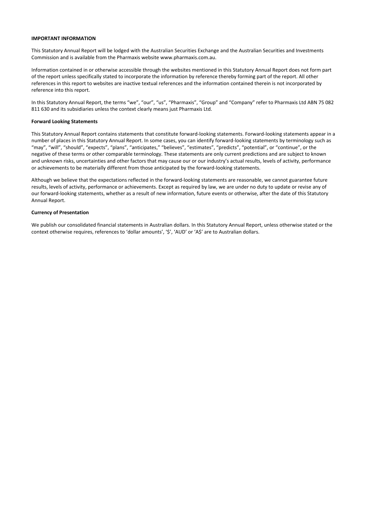### **IMPORTANT INFORMATION**

This Statutory Annual Report will be lodged with the Australian Securities Exchange and the Australian Securities and Investments Commission and is available from the Pharmaxis website www.pharmaxis.com.au.

Information contained in or otherwise accessible through the websites mentioned in this Statutory Annual Report does not form part of the report unless specifically stated to incorporate the information by reference thereby forming part of the report. All other references in this report to websites are inactive textual references and the information contained therein is not incorporated by reference into this report.

In this Statutory Annual Report, the terms "we", "our", "us", "Pharmaxis", "Group" and "Company" refer to Pharmaxis Ltd ABN 75 082 811 630 and its subsidiaries unless the context clearly means just Pharmaxis Ltd.

#### **Forward Looking Statements**

This Statutory Annual Report contains statements that constitute forward‐looking statements. Forward‐looking statements appear in a number of places in this Statutory Annual Report. In some cases, you can identify forward‐looking statements by terminology such as "may", "will", "should", "expects", "plans", "anticipates," "believes", "estimates", "predicts", "potential", or "continue", or the negative of these terms or other comparable terminology. These statements are only current predictions and are subject to known and unknown risks, uncertainties and other factors that may cause our or our industry's actual results, levels of activity, performance or achievements to be materially different from those anticipated by the forward‐looking statements.

Although we believe that the expectations reflected in the forward‐looking statements are reasonable, we cannot guarantee future results, levels of activity, performance or achievements. Except as required by law, we are under no duty to update or revise any of our forward‐looking statements, whether as a result of new information, future events or otherwise, after the date of this Statutory Annual Report.

### **Currency of Presentation**

We publish our consolidated financial statements in Australian dollars. In this Statutory Annual Report, unless otherwise stated or the context otherwise requires, references to 'dollar amounts', '\$', 'AUD' or 'A\$' are to Australian dollars.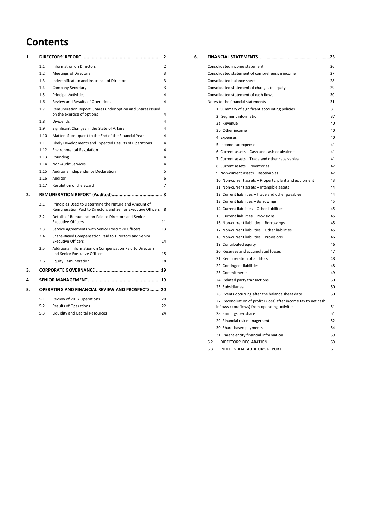## **Contents**

| 1. |      | DIRECTORS' REPORT<br>2                                                                                                |    |
|----|------|-----------------------------------------------------------------------------------------------------------------------|----|
|    | 1.1  | <b>Information on Directors</b>                                                                                       | 2  |
|    | 1.2  | <b>Meetings of Directors</b>                                                                                          | 3  |
|    | 1.3  | Indemnification and Insurance of Directors                                                                            | 3  |
|    | 1.4  | <b>Company Secretary</b>                                                                                              | 3  |
|    | 1.5  | <b>Principal Activities</b>                                                                                           | 4  |
|    | 1.6  | Review and Results of Operations                                                                                      | 4  |
|    | 1.7  | Remuneration Report, Shares under option and Shares issued<br>on the exercise of options                              | 4  |
|    | 1.8  | <b>Dividends</b>                                                                                                      | 4  |
|    | 1.9  | Significant Changes in the State of Affairs                                                                           | 4  |
|    | 1.10 | Matters Subsequent to the End of the Financial Year                                                                   | 4  |
|    | 1.11 | Likely Developments and Expected Results of Operations                                                                | 4  |
|    | 1.12 | <b>Environmental Regulation</b>                                                                                       | 4  |
|    | 1.13 | Rounding                                                                                                              | 4  |
|    | 1.14 | Non-Audit Services                                                                                                    | 4  |
|    | 1.15 | Auditor's Independence Declaration                                                                                    | 5  |
|    | 1.16 | Auditor                                                                                                               | 6  |
|    | 1.17 | Resolution of the Board                                                                                               | 7  |
| 2. |      |                                                                                                                       |    |
|    | 2.1  | Principles Used to Determine the Nature and Amount of<br>Remuneration Paid to Directors and Senior Executive Officers | 8  |
|    | 2.2  | Details of Remuneration Paid to Directors and Senior<br><b>Executive Officers</b>                                     | 11 |
|    | 2.3  | Service Agreements with Senior Executive Officers                                                                     | 13 |
|    | 2.4  | Share-Based Compensation Paid to Directors and Senior<br><b>Executive Officers</b>                                    | 14 |
|    | 2.5  | Additional Information on Compensation Paid to Directors<br>and Senior Executive Officers                             | 15 |
|    | 2.6  | <b>Equity Remuneration</b>                                                                                            | 18 |
| з. |      |                                                                                                                       |    |
| 4. |      |                                                                                                                       |    |
| 5. |      | <b>OPERATING AND FINANCIAL REVIEW AND PROSPECTS  20</b>                                                               |    |
|    | 5.1  | Review of 2017 Operations                                                                                             | 20 |
|    | 5.2  | <b>Results of Operations</b>                                                                                          | 22 |
|    | 5.3  | Liquidity and Capital Resources                                                                                       | 24 |

| 6. | FINANCIAL STATEMENTS<br>25                                                                                           |    |
|----|----------------------------------------------------------------------------------------------------------------------|----|
|    | Consolidated income statement                                                                                        | 26 |
|    | Consolidated statement of comprehensive income                                                                       | 27 |
|    | Consolidated balance sheet                                                                                           | 28 |
|    | Consolidated statement of changes in equity                                                                          | 29 |
|    | Consolidated statement of cash flows                                                                                 | 30 |
|    | Notes to the financial statements                                                                                    | 31 |
|    | 1. Summary of significant accounting policies                                                                        | 31 |
|    | 2. Segment information                                                                                               | 37 |
|    | 3a. Revenue                                                                                                          | 40 |
|    | 3b. Other income                                                                                                     | 40 |
|    | 4. Expenses                                                                                                          | 40 |
|    | 5. Income tax expense                                                                                                | 41 |
|    | 6. Current assets - Cash and cash equivalents                                                                        | 41 |
|    | 7. Current assets - Trade and other receivables                                                                      | 41 |
|    | 8. Current assets - Inventories                                                                                      | 42 |
|    | 9. Non-current assets - Receivables                                                                                  | 42 |
|    | 10. Non-current assets - Property, plant and equipment                                                               | 43 |
|    | 11. Non-current assets - Intangible assets                                                                           | 44 |
|    | 12. Current liabilities - Trade and other payables                                                                   | 44 |
|    | 13. Current liabilities - Borrowings                                                                                 | 45 |
|    | 14. Current liabilities - Other liabilities                                                                          | 45 |
|    | 15. Current liabilities - Provisions                                                                                 | 45 |
|    | 16. Non-current liabilities - Borrowings                                                                             | 45 |
|    | 17. Non-current liabilities - Other liabilities                                                                      | 45 |
|    | 18. Non-current liabilities - Provisions                                                                             | 46 |
|    | 19. Contributed equity                                                                                               | 46 |
|    | 20. Reserves and accumulated losses                                                                                  | 47 |
|    | 21. Remuneration of auditors                                                                                         | 48 |
|    | 22. Contingent liabilities                                                                                           | 48 |
|    | 23. Commitments                                                                                                      | 49 |
|    | 24. Related party transactions                                                                                       | 50 |
|    | 25. Subsidiaries                                                                                                     | 50 |
|    | 26. Events occurring after the balance sheet date                                                                    | 50 |
|    | 27. Reconciliation of profit / (loss) after income tax to net cash<br>inflows / (outflows) from operating activities | 51 |
|    | 28. Earnings per share                                                                                               | 51 |
|    | 29. Financial risk management                                                                                        | 52 |
|    | 30. Share-based payments                                                                                             | 54 |
|    | 31. Parent entity financial information                                                                              | 59 |
|    | 6.2<br>DIRECTORS' DECLARATION                                                                                        | 60 |
|    | <b>INDEPENDENT AUDITOR'S REPORT</b><br>6.3                                                                           | 61 |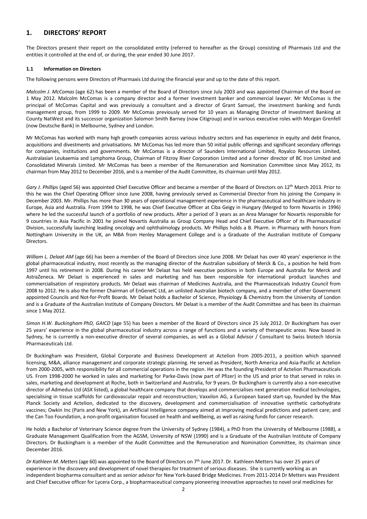### **1. DIRECTORS' REPORT**

The Directors present their report on the consolidated entity (referred to hereafter as the Group) consisting of Pharmaxis Ltd and the entities it controlled at the end of, or during, the year ended 30 June 2017.

### **1.1 Information on Directors**

The following persons were Directors of Pharmaxis Ltd during the financial year and up to the date of this report.

*Malcolm J. McComas* (age 62) has been a member of the Board of Directors since July 2003 and was appointed Chairman of the Board on 1 May 2012. Malcolm McComas is a company director and a former investment banker and commercial lawyer. Mr McComas is the principal of McComas Capital and was previously a consultant and a director of Grant Samuel, the investment banking and funds management group, from 1999 to 2009. Mr McComas previously served for 10 years as Managing Director of Investment Banking at County NatWest and its successor organization Salomon Smith Barney (now Citigroup) and in various executive roles with Morgan Grenfell (now Deutsche Bank) in Melbourne, Sydney and London.

Mr McComas has worked with many high growth companies across various industry sectors and has experience in equity and debt finance, acquisitions and divestments and privatisations. Mr McComas has led more than 50 initial public offerings and significant secondary offerings for companies, institutions and governments. Mr McComas is a director of Saunders International Limited, Royalco Resources Limited, Australasian Leukaemia and Lymphoma Group, Chairman of Fitzroy River Corporation Limited and a former director of BC Iron Limited and Consolidated Minerals Limited. Mr McComas has been a member of the Remuneration and Nomination Committee since May 2012, its chairman from May 2012 to December 2016, and is a member of the Audit Committee, its chairman until May 2012.

*Gary J. Phillips* (aged 56) was appointed Chief Executive Officer and became a member of the Board of Directors on 12th March 2013. Prior to this he was the Chief Operating Officer since June 2008, having previously served as Commercial Director from his joining the Company in December 2003. Mr. Phillips has more than 30 years of operational management experience in the pharmaceutical and healthcare industry in Europe, Asia and Australia. From 1994 to 1998, he was Chief Executive Officer at Ciba Geigy in Hungary (Merged to form Novartis in 1996) where he led the successful launch of a portfolio of new products. After a period of 3 years as an Area Manager for Novartis responsible for 9 countries in Asia Pacific in 2001 he joined Novartis Australia as Group Company Head and Chief Executive Officer of its Pharmaceutical Division, successfully launching leading oncology and ophthalmology products. Mr Phillips holds a B. Pharm. in Pharmacy with honors from Nottingham University in the UK, an MBA from Henley Management College and is a Graduate of the Australian Institute of Company Directors.

*William L. Delaat AM* (age 66) has been a member of the Board of Directors since June 2008. Mr Delaat has over 40 years' experience in the global pharmaceutical industry, most recently as the managing director of the Australian subsidiary of Merck & Co., a position he held from 1997 until his retirement in 2008. During his career Mr Delaat has held executive positions in both Europe and Australia for Merck and AstraZeneca. Mr Delaat is experienced in sales and marketing and has been responsible for international product launches and commercialisation of respiratory products. Mr Delaat was chairman of Medicines Australia, and the Pharmaceuticals Industry Council from 2008 to 2012. He is also the former Chairman of EnGeneIC Ltd, an unlisted Australian biotech company, and a member of other Government appointed Councils and Not-for-Profit Boards. Mr Delaat holds a Bachelor of Science, Physiology & Chemistry from the University of London and is a Graduate of the Australian Institute of Company Directors. Mr Delaat is a member of the Audit Committee and has been its chairman since 1 May 2012.

*Simon H.W. Buckingham PhD, GAICD* (age 55) has been a member of the Board of Directors since 25 July 2012. Dr Buckingham has over 25 years' experience in the global pharmaceutical industry across a range of functions and a variety of therapeutic areas. Now based in Sydney, he is currently a non‐executive director of several companies, as well as a Global Advisor / Consultant to Swiss biotech Idorsia Pharmaceuticals Ltd.

Dr Buckingham was President, Global Corporate and Business Development at Actelion from 2005‐2011, a position which spanned licensing, M&A, alliance management and corporate strategic planning. He served as President, North America and Asia‐Pacific at Actelion from 2000‐2005, with responsibility for all commercial operations in the region. He was the founding President of Actelion Pharmaceuticals US. From 1998‐2000 he worked in sales and marketing for Parke‐Davis (now part of Pfizer) in the US and prior to that served in roles in sales, marketing and development at Roche, both in Switzerland and Australia, for 9 years. Dr Buckingham is currently also a non-executive director of Admedus Ltd (ASX listed), a global healthcare company that develops and commercialises next generation medical technologies, specialising in tissue scaffolds for cardiovascular repair and reconstruction; Vaxxilon AG, a European based start-up, founded by the Max Planck Society and Actelion, dedicated to the discovery, development and commercialisation of innovative synthetic carbohydrate vaccines; Owkin Inc (Paris and New York), an Artificial Intelligence company aimed at improving medical predictions and patient care; and the Can Too Foundation, a non-profit organisation focused on health and wellbeing, as well as raising funds for cancer research.

He holds a Bachelor of Veterinary Science degree from the University of Sydney (1984), a PhD from the University of Melbourne (1988), a Graduate Management Qualification from the AGSM, University of NSW (1990) and is a Graduate of the Australian Institute of Company Directors. Dr Buckingham is a member of the Audit Committee and the Remuneration and Nomination Committee, its chairman since December 2016.

*Dr Kathleen M. Metters* (age 60) was appointed to the Board of Directors on 7th June 2017. Dr. Kathleen Metters has over 25 years of experience in the discovery and development of novel therapies for treatment of serious diseases. She is currently working as an independent biopharma consultant and as senior advisor for New York‐based Bridge Medicines. From 2011‐2014 Dr Metters was President and Chief Executive officer for Lycera Corp., a biopharmaceutical company pioneering innovative approaches to novel oral medicines for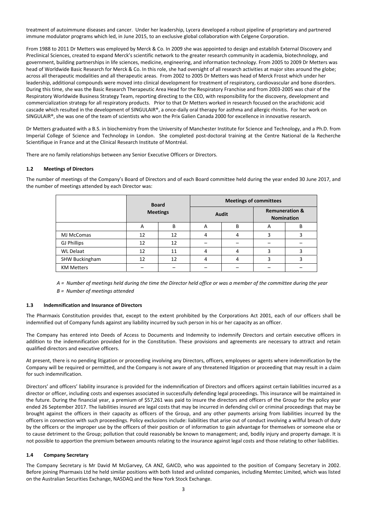treatment of autoimmune diseases and cancer. Under her leadership, Lycera developed a robust pipeline of proprietary and partnered immune modulator programs which led, in June 2015, to an exclusive global collaboration with Celgene Corporation.

From 1988 to 2011 Dr Metters was employed by Merck & Co. In 2009 she was appointed to design and establish External Discovery and Preclinical Sciences, created to expand Merck's scientific network to the greater research community in academia, biotechnology, and government, building partnerships in life sciences, medicine, engineering, and information technology. From 2005 to 2009 Dr Metters was head of Worldwide Basic Research for Merck & Co. In this role, she had oversight of all research activities at major sites around the globe; across all therapeutic modalities and all therapeutic areas. From 2002 to 2005 Dr Metters was head of Merck Frosst which under her leadership, additional compounds were moved into clinical development for treatment of respiratory, cardiovascular and bone disorders. During this time, she was the Basic Research Therapeutic Area Head for the Respiratory Franchise and from 2003‐2005 was chair of the Respiratory Worldwide Business Strategy Team, reporting directing to the CEO, with responsibility for the discovery, development and commercialization strategy for all respiratory products. Prior to that Dr Metters worked in research focused on the arachidonic acid cascade which resulted in the development of SINGULAIR®, a once‐daily oral therapy for asthma and allergic rhinitis. For her work on SINGULAIR®, she was one of the team of scientists who won the Prix Galien Canada 2000 for excellence in innovative research.

Dr Metters graduated with a B.S. in biochemistry from the University of Manchester Institute for Science and Technology, and a Ph.D. from Imperial College of Science and Technology in London. She completed post-doctoral training at the Centre National de la Recherche Scientifique in France and at the Clinical Research Institute of Montréal.

There are no family relationships between any Senior Executive Officers or Directors.

### **1.2 Meetings of Directors**

The number of meetings of the Company's Board of Directors and of each Board committee held during the year ended 30 June 2017, and the number of meetings attended by each Director was:

|                       |                 | <b>Board</b> |   |       | <b>Meetings of committees</b>                  |   |  |
|-----------------------|-----------------|--------------|---|-------|------------------------------------------------|---|--|
|                       | <b>Meetings</b> |              |   | Audit | <b>Remuneration &amp;</b><br><b>Nomination</b> |   |  |
|                       | A               | B            | A | B     | A                                              | В |  |
| MJ McComas            | 12              | 12           | 4 | 4     | 3                                              | 3 |  |
| <b>GJ Phillips</b>    | 12              | 12           |   |       |                                                |   |  |
| <b>WL Delaat</b>      | 12              | 11           | 4 | 4     |                                                |   |  |
| <b>SHW Buckingham</b> | 12              | 12           | 4 | 4     |                                                |   |  |
| <b>KM Metters</b>     |                 |              |   |       |                                                |   |  |

A = Number of meetings held during the time the Director held office or was a member of the committee during the year *B = Number of meetings attended*

#### **1.3 Indemnification and Insurance of Directors**

The Pharmaxis Constitution provides that, except to the extent prohibited by the Corporations Act 2001, each of our officers shall be indemnified out of Company funds against any liability incurred by such person in his or her capacity as an officer.

The Company has entered into Deeds of Access to Documents and Indemnity to indemnify Directors and certain executive officers in addition to the indemnification provided for in the Constitution. These provisions and agreements are necessary to attract and retain qualified directors and executive officers.

At present, there is no pending litigation or proceeding involving any Directors, officers, employees or agents where indemnification by the Company will be required or permitted, and the Company is not aware of any threatened litigation or proceeding that may result in a claim for such indemnification.

Directors' and officers' liability insurance is provided for the indemnification of Directors and officers against certain liabilities incurred as a director or officer, including costs and expenses associated in successfully defending legal proceedings. This insurance will be maintained in the future. During the financial year, a premium of \$57,261 was paid to insure the directors and officers of the Group for the policy year ended 26 September 2017. The liabilities insured are legal costs that may be incurred in defending civil or criminal proceedings that may be brought against the officers in their capacity as officers of the Group, and any other payments arising from liabilities incurred by the officers in connection with such proceedings. Policy exclusions include: liabilities that arise out of conduct involving a willful breach of duty by the officers or the improper use by the officers of their position or of information to gain advantage for themselves or someone else or to cause detriment to the Group; pollution that could reasonably be known to management; and, bodily injury and property damage. It is not possible to apportion the premium between amounts relating to the insurance against legal costs and those relating to other liabilities.

### **1.4 Company Secretary**

The Company Secretary is Mr David M McGarvey, CA ANZ, GAICD, who was appointed to the position of Company Secretary in 2002. Before joining Pharmaxis Ltd he held similar positions with both listed and unlisted companies, including Memtec Limited, which was listed on the Australian Securities Exchange, NASDAQ and the New York Stock Exchange.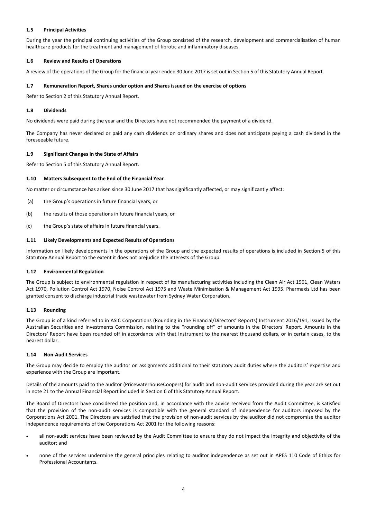### **1.5 Principal Activities**

During the year the principal continuing activities of the Group consisted of the research, development and commercialisation of human healthcare products for the treatment and management of fibrotic and inflammatory diseases.

### **1.6 Review and Results of Operations**

A review of the operations of the Group for the financial year ended 30 June 2017 is set out in Section 5 of this Statutory Annual Report.

### **1.7 Remuneration Report, Shares under option and Shares issued on the exercise of options**

Refer to Section 2 of this Statutory Annual Report.

### **1.8 Dividends**

No dividends were paid during the year and the Directors have not recommended the payment of a dividend.

The Company has never declared or paid any cash dividends on ordinary shares and does not anticipate paying a cash dividend in the foreseeable future.

### **1.9 Significant Changes in the State of Affairs**

Refer to Section 5 of this Statutory Annual Report.

### **1.10 Matters Subsequent to the End of the Financial Year**

No matter or circumstance has arisen since 30 June 2017 that has significantly affected, or may significantly affect:

- (a) the Group's operations in future financial years, or
- (b) the results of those operations in future financial years, or
- (c) the Group's state of affairs in future financial years.

### **1.11 Likely Developments and Expected Results of Operations**

Information on likely developments in the operations of the Group and the expected results of operations is included in Section 5 of this Statutory Annual Report to the extent it does not prejudice the interests of the Group.

### **1.12 Environmental Regulation**

The Group is subject to environmental regulation in respect of its manufacturing activities including the Clean Air Act 1961, Clean Waters Act 1970, Pollution Control Act 1970, Noise Control Act 1975 and Waste Minimisation & Management Act 1995. Pharmaxis Ltd has been granted consent to discharge industrial trade wastewater from Sydney Water Corporation.

### **1.13 Rounding**

The Group is of a kind referred to in ASIC Corporations (Rounding in the Financial/Directors' Reports) Instrument 2016/191, issued by the Australian Securities and Investments Commission, relating to the ''rounding off'' of amounts in the Directors' Report. Amounts in the Directors' Report have been rounded off in accordance with that Instrument to the nearest thousand dollars, or in certain cases, to the nearest dollar.

#### **1.14 Non‐Audit Services**

The Group may decide to employ the auditor on assignments additional to their statutory audit duties where the auditors' expertise and experience with the Group are important.

Details of the amounts paid to the auditor (PricewaterhouseCoopers) for audit and non-audit services provided during the year are set out in note 21 to the Annual Financial Report included in Section 6 of this Statutory Annual Report.

The Board of Directors have considered the position and, in accordance with the advice received from the Audit Committee, is satisfied that the provision of the non‐audit services is compatible with the general standard of independence for auditors imposed by the Corporations Act 2001. The Directors are satisfied that the provision of non‐audit services by the auditor did not compromise the auditor independence requirements of the Corporations Act 2001 for the following reasons:

- all non-audit services have been reviewed by the Audit Committee to ensure they do not impact the integrity and objectivity of the auditor; and
- none of the services undermine the general principles relating to auditor independence as set out in APES 110 Code of Ethics for Professional Accountants.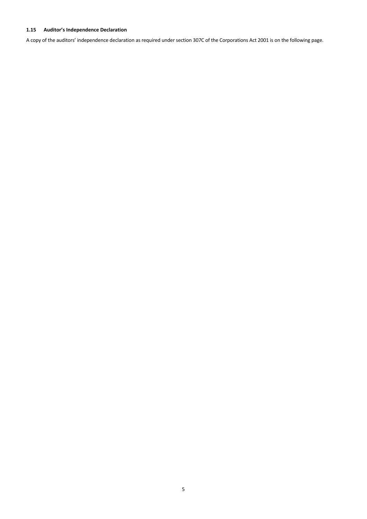### **1.15 Auditor's Independence Declaration**

A copy of the auditors' independence declaration as required under section 307C of the Corporations Act 2001 is on the following page.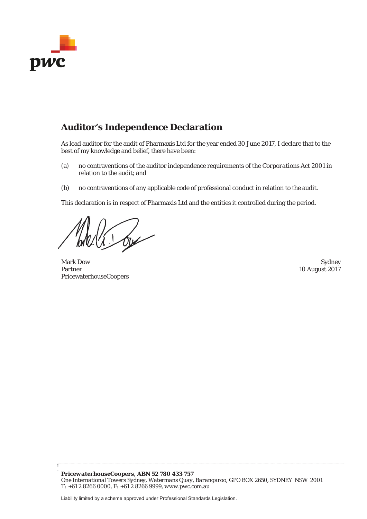

## **Auditor's Independence Declaration**

As lead auditor for the audit of Pharmaxis Ltd for the year ended 30 June 2017, I declare that to the best of my knowledge and belief, there have been:

- (a) no contraventions of the auditor independence requirements of the *Corporations Act 2001* in relation to the audit; and
- (b) no contraventions of any applicable code of professional conduct in relation to the audit.

This declaration is in respect of Pharmaxis Ltd and the entities it controlled during the period.

 $164$ 

Mark Dow Sydney Partner PricewaterhouseCoopers

10 August 2017

Liability limited by a scheme approved under Professional Standards Legislation.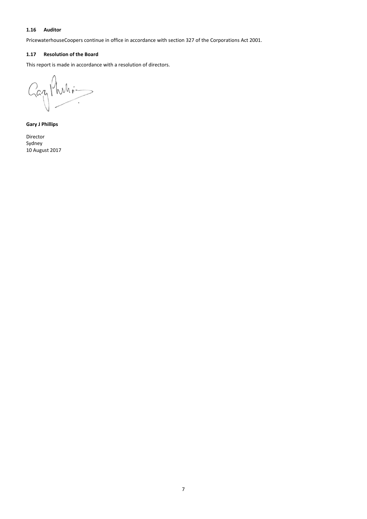### **1.16 Auditor**

PricewaterhouseCoopers continue in office in accordance with section 327 of the Corporations Act 2001.

### **1.17 Resolution of the Board**

This report is made in accordance with a resolution of directors.

Gazy Phili- $\overline{)}$ Ĩ.

**Gary J Phillips**

Director Sydney 10 August 2017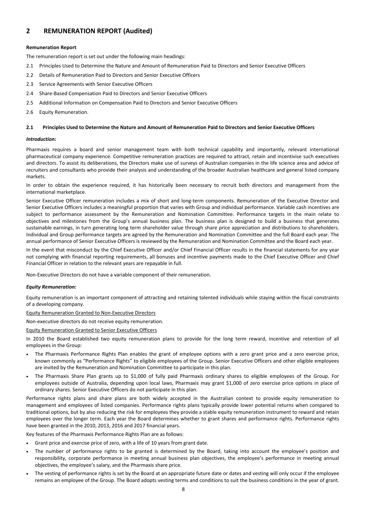### **2 REMUNERATION REPORT (Audited)**

### **Remuneration Report**

The remuneration report is set out under the following main headings:

- 2.1 Principles Used to Determine the Nature and Amount of Remuneration Paid to Directors and Senior Executive Officers
- 2.2 Details of Remuneration Paid to Directors and Senior Executive Officers
- 2.3 Service Agreements with Senior Executive Officers
- 2.4 Share‐Based Compensation Paid to Directors and Senior Executive Officers
- 2.5 Additional Information on Compensation Paid to Directors and Senior Executive Officers
- 2.6 Equity Remuneration.

#### 2.1 Principles Used to Determine the Nature and Amount of Remuneration Paid to Directors and Senior Executive Officers

### *Introduction:*

Pharmaxis requires a board and senior management team with both technical capability and importantly, relevant international pharmaceutical company experience. Competitive remuneration practices are required to attract, retain and incentivise such executives and directors. To assist its deliberations, the Directors make use of surveys of Australian companies in the life science area and advice of recruiters and consultants who provide their analysis and understanding of the broader Australian healthcare and general listed company markets.

In order to obtain the experience required, it has historically been necessary to recruit both directors and management from the international marketplace.

Senior Executive Officer remuneration includes a mix of short and long-term components. Remuneration of the Executive Director and Senior Executive Officers includes a meaningful proportion that varies with Group and individual performance. Variable cash incentives are subject to performance assessment by the Remuneration and Nomination Committee. Performance targets in the main relate to objectives and milestones from the Group's annual business plan. The business plan is designed to build a business that generates sustainable earnings, in turn generating long term shareholder value through share price appreciation and distributions to shareholders. Individual and Group performance targets are agreed by the Remuneration and Nomination Committee and the full Board each year. The annual performance of Senior Executive Officers is reviewed by the Remuneration and Nomination Committee and the Board each year.

In the event that misconduct by the Chief Executive Officer and/or Chief Financial Officer results in the financial statements for any year not complying with financial reporting requirements, all bonuses and incentive payments made to the Chief Executive Officer and Chief Financial Officer in relation to the relevant years are repayable in full.

Non‐Executive Directors do not have a variable component of their remuneration.

#### *Equity Remuneration:*

Equity remuneration is an important component of attracting and retaining talented individuals while staying within the fiscal constraints of a developing company.

Equity Remuneration Granted to Non‐Executive Directors

Non‐executive directors do not receive equity remuneration.

Equity Remuneration Granted to Senior Executive Officers

In 2010 the Board established two equity remuneration plans to provide for the long term reward, incentive and retention of all employees in the Group:

- The Pharmaxis Performance Rights Plan enables the grant of employee options with a zero grant price and a zero exercise price, known commonly as "Performance Rights" to eligible employees of the Group. Senior Executive Officers and other eligible employees are invited by the Remuneration and Nomination Committee to participate in this plan.
- The Pharmaxis Share Plan grants up to \$1,000 of fully paid Pharmaxis ordinary shares to eligible employees of the Group. For employees outside of Australia, depending upon local laws, Pharmaxis may grant \$1,000 of zero exercise price options in place of ordinary shares. Senior Executive Officers do not participate in this plan.

Performance rights plans and share plans are both widely accepted in the Australian context to provide equity remuneration to management and employees of listed companies. Performance rights plans typically provide lower potential returns when compared to traditional options, but by also reducing the risk for employees they provide a stable equity remuneration instrument to reward and retain employees over the longer term. Each year the Board determines whether to grant shares and performance rights. Performance rights have been granted in the 2010, 2013, 2016 and 2017 financial years.

Key features of the Pharmaxis Performance Rights Plan are as follows:

- Grant price and exercise price of zero, with a life of 10 years from grant date.
- The number of performance rights to be granted is determined by the Board, taking into account the employee's position and responsibility, corporate performance in meeting annual business plan objectives, the employee's performance in meeting annual objectives, the employee's salary, and the Pharmaxis share price.
- The vesting of performance rights is set by the Board at an appropriate future date or dates and vesting will only occur if the employee remains an employee of the Group. The Board adopts vesting terms and conditions to suit the business conditions in the year of grant.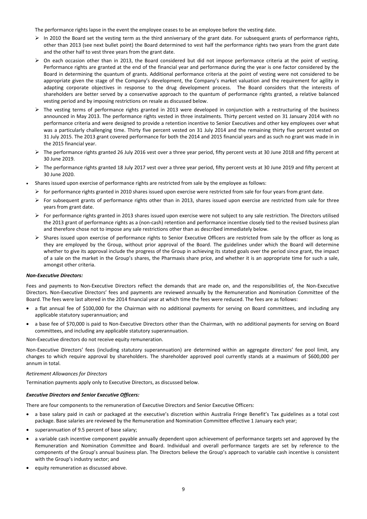The performance rights lapse in the event the employee ceases to be an employee before the vesting date.

- $\triangleright$  In 2010 the Board set the vesting term as the third anniversary of the grant date. For subsequent grants of performance rights, other than 2013 (see next bullet point) the Board determined to vest half the performance rights two years from the grant date and the other half to vest three years from the grant date.
- $\triangleright$  On each occasion other than in 2013, the Board considered but did not impose performance criteria at the point of vesting. Performance rights are granted at the end of the financial year and performance during the year is one factor considered by the Board in determining the quantum of grants. Additional performance criteria at the point of vesting were not considered to be appropriate given the stage of the Company's development, the Company's market valuation and the requirement for agility in adapting corporate objectives in response to the drug development process. The Board considers that the interests of shareholders are better served by a conservative approach to the quantum of performance rights granted, a relative balanced vesting period and by imposing restrictions on resale as discussed below.
- $\triangleright$  The vesting terms of performance rights granted in 2013 were developed in conjunction with a restructuring of the business announced in May 2013. The performance rights vested in three instalments. Thirty percent vested on 31 January 2014 with no performance criteria and were designed to provide a retention incentive to Senior Executives and other key employees over what was a particularly challenging time. Thirty five percent vested on 31 July 2014 and the remaining thirty five percent vested on 31 July 2015. The 2013 grant covered performance for both the 2014 and 2015 financial years and as such no grant was made in in the 2015 financial year.
- ▶ The performance rights granted 26 July 2016 vest over a three year period, fifty percent vests at 30 June 2018 and fifty percent at 30 June 2019.
- $\triangleright$  The performance rights granted 18 July 2017 vest over a three year period, fifty percent vests at 30 June 2019 and fifty percent at 30 June 2020.
- Shares issued upon exercise of performance rights are restricted from sale by the employee as follows:
	- $\triangleright$  for performance rights granted in 2010 shares issued upon exercise were restricted from sale for four years from grant date.
	- $\triangleright$  For subsequent grants of performance rights other than in 2013, shares issued upon exercise are restricted from sale for three years from grant date.
	- $\triangleright$  For performance rights granted in 2013 shares issued upon exercise were not subject to any sale restriction. The Directors utilised the 2013 grant of performance rights as a (non-cash) retention and performance incentive closely tied to the revised business plan and therefore chose not to impose any sale restrictions other than as described immediately below.
	- $\triangleright$  Shares issued upon exercise of performance rights to Senior Executive Officers are restricted from sale by the officer as long as they are employed by the Group, without prior approval of the Board. The guidelines under which the Board will determine whether to give its approval include the progress of the Group in achieving its stated goals over the period since grant, the impact of a sale on the market in the Group's shares, the Pharmaxis share price, and whether it is an appropriate time for such a sale, amongst other criteria.

### *Non‐Executive Directors:*

Fees and payments to Non-Executive Directors reflect the demands that are made on, and the responsibilities of, the Non-Executive Directors. Non‐Executive Directors' fees and payments are reviewed annually by the Remuneration and Nomination Committee of the Board. The fees were last altered in the 2014 financial year at which time the fees were reduced. The fees are as follows:

- a flat annual fee of \$100,000 for the Chairman with no additional payments for serving on Board committees, and including any applicable statutory superannuation; and
- a base fee of \$70,000 is paid to Non‐Executive Directors other than the Chairman, with no additional payments for serving on Board committees, and including any applicable statutory superannuation.

Non‐Executive directors do not receive equity remuneration.

Non‐Executive Directors' fees (including statutory superannuation) are determined within an aggregate directors' fee pool limit, any changes to which require approval by shareholders. The shareholder approved pool currently stands at a maximum of \$600,000 per annum in total.

### *Retirement Allowances for Directors*

Termination payments apply only to Executive Directors, as discussed below.

### *Executive Directors and Senior Executive Officers:*

There are four components to the remuneration of Executive Directors and Senior Executive Officers:

- a base salary paid in cash or packaged at the executive's discretion within Australia Fringe Benefit's Tax guidelines as a total cost package. Base salaries are reviewed by the Remuneration and Nomination Committee effective 1 January each year;
- superannuation of 9.5 percent of base salary;
- a variable cash incentive component payable annually dependent upon achievement of performance targets set and approved by the Remuneration and Nomination Committee and Board. Individual and overall performance targets are set by reference to the components of the Group's annual business plan. The Directors believe the Group's approach to variable cash incentive is consistent with the Group's industry sector; and
- equity remuneration as discussed above.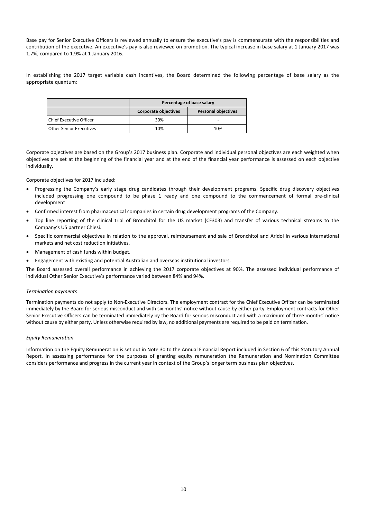Base pay for Senior Executive Officers is reviewed annually to ensure the executive's pay is commensurate with the responsibilities and contribution of the executive. An executive's pay is also reviewed on promotion. The typical increase in base salary at 1 January 2017 was 1.7%, compared to 1.9% at 1 January 2016.

In establishing the 2017 target variable cash incentives, the Board determined the following percentage of base salary as the appropriate quantum:

|                                | Percentage of base salary   |                            |  |  |  |
|--------------------------------|-----------------------------|----------------------------|--|--|--|
|                                | <b>Corporate objectives</b> | <b>Personal objectives</b> |  |  |  |
| <b>Chief Executive Officer</b> | 30%                         |                            |  |  |  |
| Other Senior Executives        | 10%                         | 10%                        |  |  |  |

Corporate objectives are based on the Group's 2017 business plan. Corporate and individual personal objectives are each weighted when objectives are set at the beginning of the financial year and at the end of the financial year performance is assessed on each objective individually.

Corporate objectives for 2017 included:

- Progressing the Company's early stage drug candidates through their development programs. Specific drug discovery objectives included progressing one compound to be phase 1 ready and one compound to the commencement of formal pre‐clinical development
- Confirmed interest from pharmaceutical companies in certain drug development programs of the Company.
- Top line reporting of the clinical trial of Bronchitol for the US market (CF303) and transfer of various technical streams to the Company's US partner Chiesi.
- Specific commercial objectives in relation to the approval, reimbursement and sale of Bronchitol and Aridol in various international markets and net cost reduction initiatives.
- Management of cash funds within budget.
- Engagement with existing and potential Australian and overseas institutional investors.

The Board assessed overall performance in achieving the 2017 corporate objectives at 90%. The assessed individual performance of individual Other Senior Executive's performance varied between 84% and 94%.

#### *Termination payments*

Termination payments do not apply to Non‐Executive Directors. The employment contract for the Chief Executive Officer can be terminated immediately by the Board for serious misconduct and with six months' notice without cause by either party. Employment contracts for Other Senior Executive Officers can be terminated immediately by the Board for serious misconduct and with a maximum of three months' notice without cause by either party. Unless otherwise required by law, no additional payments are required to be paid on termination.

#### *Equity Remuneration*

Information on the Equity Remuneration is set out in Note 30 to the Annual Financial Report included in Section 6 of this Statutory Annual Report. In assessing performance for the purposes of granting equity remuneration the Remuneration and Nomination Committee considers performance and progress in the current year in context of the Group's longer term business plan objectives.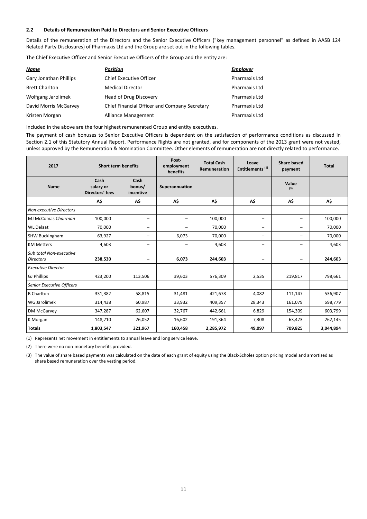### **2.2 Details of Remuneration Paid to Directors and Senior Executive Officers**

Details of the remuneration of the Directors and the Senior Executive Officers ("key management personnel" as defined in AASB 124 Related Party Disclosures) of Pharmaxis Ltd and the Group are set out in the following tables.

The Chief Executive Officer and Senior Executive Officers of the Group and the entity are:

| <u>Name</u>                   | Position                                      | <b>Employer</b>      |
|-------------------------------|-----------------------------------------------|----------------------|
| <b>Gary Jonathan Phillips</b> | <b>Chief Executive Officer</b>                | <b>Pharmaxis Ltd</b> |
| <b>Brett Charlton</b>         | <b>Medical Director</b>                       | <b>Pharmaxis Ltd</b> |
| Wolfgang Jarolimek            | Head of Drug Discovery                        | <b>Pharmaxis Ltd</b> |
| David Morris McGarvey         | Chief Financial Officer and Company Secretary | <b>Pharmaxis Ltd</b> |
| Kristen Morgan                | Alliance Management                           | Pharmaxis Ltd        |

Included in the above are the four highest remunerated Group and entity executives.

The payment of cash bonuses to Senior Executive Officers is dependent on the satisfaction of performance conditions as discussed in Section 2.1 of this Statutory Annual Report. Performance Rights are not granted, and for components of the 2013 grant were not vested, unless approved by the Remuneration & Nomination Committee. Other elements of remuneration are not directly related to performance.

| 2017                                        | <b>Short term benefits</b>           |                             | Post-<br>employment<br>benefits | <b>Total Cash</b><br>Remuneration | Leave<br>Entitlements <sup>(1)</sup> | <b>Share based</b><br>payment | <b>Total</b> |
|---------------------------------------------|--------------------------------------|-----------------------------|---------------------------------|-----------------------------------|--------------------------------------|-------------------------------|--------------|
| <b>Name</b>                                 | Cash<br>salary or<br>Directors' fees | Cash<br>bonus/<br>incentive | Superannuation                  |                                   |                                      | Value<br>(3)                  |              |
|                                             | A\$                                  | A\$                         | A\$                             | A\$                               | A\$                                  | A\$                           | A\$          |
| <b>Non executive Directors</b>              |                                      |                             |                                 |                                   |                                      |                               |              |
| MJ McComas Chairman                         | 100,000                              | $\qquad \qquad -$           | -                               | 100,000                           | -                                    | -                             | 100,000      |
| <b>WL Delaat</b>                            | 70,000                               | $\qquad \qquad -$           | -                               | 70,000                            | -                                    | -                             | 70,000       |
| <b>SHW Buckingham</b>                       | 63,927                               | $\overline{\phantom{0}}$    | 6,073                           | 70,000                            | -                                    | -                             | 70,000       |
| <b>KM Metters</b>                           | 4,603                                | $\overline{\phantom{0}}$    | -                               | 4,603                             | -                                    | -                             | 4,603        |
| Sub total Non-executive<br><b>Directors</b> | 238,530                              | -                           | 6,073                           | 244,603                           | -                                    | -                             | 244,603      |
| <b>Executive Director</b>                   |                                      |                             |                                 |                                   |                                      |                               |              |
| <b>GJ Phillips</b>                          | 423,200                              | 113,506                     | 39,603                          | 576,309                           | 2,535                                | 219,817                       | 798,661      |
| Senior Executive Officers                   |                                      |                             |                                 |                                   |                                      |                               |              |
| <b>B</b> Charlton                           | 331,382                              | 58,815                      | 31,481                          | 421,678                           | 4,082                                | 111,147                       | 536,907      |
| <b>WG Jarolimek</b>                         | 314,438                              | 60,987                      | 33,932                          | 409,357                           | 28,343                               | 161,079                       | 598,779      |
| DM McGarvey                                 | 347,287                              | 62,607                      | 32,767                          | 442,661                           | 6,829                                | 154,309                       | 603,799      |
| K Morgan                                    | 148,710                              | 26,052                      | 16,602                          | 191,364                           | 7,308                                | 63,473                        | 262,145      |
| <b>Totals</b>                               | 1,803,547                            | 321,967                     | 160,458                         | 2,285,972                         | 49,097                               | 709,825                       | 3,044,894    |

(1) Represents net movement in entitlements to annual leave and long service leave.

(2) There were no non‐monetary benefits provided.

(3) The value of share based payments was calculated on the date of each grant of equity using the Black‐Scholes option pricing model and amortised as share based remuneration over the vesting period.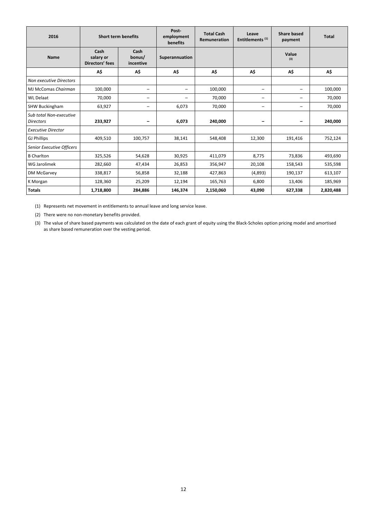| 2016                                        | <b>Short term benefits</b>           |                             | Post-<br>employment<br>benefits | <b>Total Cash</b><br>Remuneration | Leave<br>Entitlements <sup>(1)</sup> | <b>Share based</b><br>payment | <b>Total</b> |
|---------------------------------------------|--------------------------------------|-----------------------------|---------------------------------|-----------------------------------|--------------------------------------|-------------------------------|--------------|
| <b>Name</b>                                 | Cash<br>salary or<br>Directors' fees | Cash<br>bonus/<br>incentive | Superannuation                  |                                   |                                      | Value<br>(3)                  |              |
|                                             | A\$                                  | A\$                         | A\$                             | A\$                               | A\$                                  | A\$                           | A\$          |
| <b>Non executive Directors</b>              |                                      |                             |                                 |                                   |                                      |                               |              |
| MJ McComas Chairman                         | 100,000                              | -                           | -                               | 100,000                           | $\qquad \qquad -$                    | -                             | 100,000      |
| <b>WL Delaat</b>                            | 70,000                               | -                           |                                 | 70,000                            | -                                    | -                             | 70,000       |
| <b>SHW Buckingham</b>                       | 63,927                               | -                           | 6,073                           | 70,000                            | -                                    | Ξ.                            | 70,000       |
| Sub total Non-executive<br><b>Directors</b> | 233,927                              | -                           | 6,073                           | 240,000                           | -                                    | $\qquad \qquad \blacksquare$  | 240,000      |
| <b>Executive Director</b>                   |                                      |                             |                                 |                                   |                                      |                               |              |
| <b>GJ Phillips</b>                          | 409,510                              | 100,757                     | 38,141                          | 548,408                           | 12,300                               | 191,416                       | 752,124      |
| <b>Senior Executive Officers</b>            |                                      |                             |                                 |                                   |                                      |                               |              |
| <b>B</b> Charlton                           | 325,526                              | 54,628                      | 30,925                          | 411,079                           | 8,775                                | 73,836                        | 493,690      |
| WG Jarolimek                                | 282,660                              | 47,434                      | 26,853                          | 356,947                           | 20,108                               | 158,543                       | 535,598      |
| DM McGarvey                                 | 338,817                              | 56,858                      | 32,188                          | 427,863                           | (4,893)                              | 190,137                       | 613,107      |
| K Morgan                                    | 128,360                              | 25,209                      | 12,194                          | 165,763                           | 6,800                                | 13,406                        | 185,969      |
| <b>Totals</b>                               | 1,718,800                            | 284,886                     | 146,374                         | 2,150,060                         | 43,090                               | 627,338                       | 2,820,488    |

(1) Represents net movement in entitlements to annual leave and long service leave.

(2) There were no non‐monetary benefits provided.

(3) The value of share based payments was calculated on the date of each grant of equity using the Black‐Scholes option pricing model and amortised as share based remuneration over the vesting period.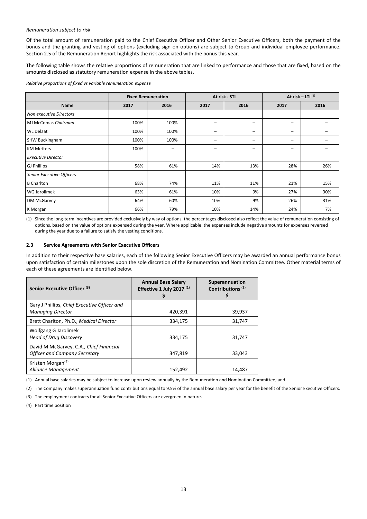### *Remuneration subject to risk*

Of the total amount of remuneration paid to the Chief Executive Officer and Other Senior Executive Officers, both the payment of the bonus and the granting and vesting of options (excluding sign on options) are subject to Group and individual employee performance. Section 2.5 of the Remuneration Report highlights the risk associated with the bonus this year.

The following table shows the relative proportions of remuneration that are linked to performance and those that are fixed, based on the amounts disclosed as statutory remuneration expense in the above tables.

*Relative proportions of fixed vs variable remuneration expense*

|                           | <b>Fixed Remuneration</b> |      | At risk - STI |                          | At risk $-$ LTI $(1)$ |      |
|---------------------------|---------------------------|------|---------------|--------------------------|-----------------------|------|
| <b>Name</b>               | 2017                      | 2016 | 2017          | 2016                     | 2017                  | 2016 |
| Non executive Directors   |                           |      |               |                          |                       |      |
| MJ McComas Chairman       | 100%                      | 100% | -             | -                        | -                     |      |
| <b>WL Delaat</b>          | 100%                      | 100% | -             | -                        | -                     |      |
| <b>SHW Buckingham</b>     | 100%                      | 100% | -             | -                        | -                     |      |
| <b>KM Metters</b>         | 100%                      | -    | -             | $\overline{\phantom{0}}$ | -                     |      |
| <b>Executive Director</b> |                           |      |               |                          |                       |      |
| <b>GJ Phillips</b>        | 58%                       | 61%  | 14%           | 13%                      | 28%                   | 26%  |
| Senior Executive Officers |                           |      |               |                          |                       |      |
| <b>B</b> Charlton         | 68%                       | 74%  | 11%           | 11%                      | 21%                   | 15%  |
| WG Jarolimek              | 63%                       | 61%  | 10%           | 9%                       | 27%                   | 30%  |
| DM McGarvey               | 64%                       | 60%  | 10%           | 9%                       | 26%                   | 31%  |
| K Morgan                  | 66%                       | 79%  | 10%           | 14%                      | 24%                   | 7%   |

(1) Since the long‐term incentives are provided exclusively by way of options, the percentages disclosed also reflect the value of remuneration consisting of options, based on the value of options expensed during the year. Where applicable, the expenses include negative amounts for expenses reversed during the year due to a failure to satisfy the vesting conditions.

#### **2.3 Service Agreements with Senior Executive Officers**

In addition to their respective base salaries, each of the following Senior Executive Officers may be awarded an annual performance bonus upon satisfaction of certain milestones upon the sole discretion of the Remuneration and Nomination Committee. Other material terms of each of these agreements are identified below.

| Senior Executive Officer <sup>(3)</sup>                                         | <b>Annual Base Salary</b><br>Effective 1 July 2017 $(1)$<br>5 | Superannuation<br>Contributions <sup>(2)</sup><br>Ş |
|---------------------------------------------------------------------------------|---------------------------------------------------------------|-----------------------------------------------------|
| Gary J Phillips, Chief Executive Officer and<br><b>Managing Director</b>        | 420,391                                                       | 39,937                                              |
| Brett Charlton, Ph.D., Medical Director                                         | 334,175                                                       | 31,747                                              |
| Wolfgang G Jarolimek<br><b>Head of Drug Discovery</b>                           | 334,175                                                       | 31,747                                              |
| David M McGarvey, C.A., Chief Financial<br><b>Officer and Company Secretary</b> | 347,819                                                       | 33,043                                              |
| Kristen Morgan <sup>(4)</sup><br>Alliance Management                            | 152,492                                                       | 14,487                                              |

(1) Annual base salaries may be subject to increase upon review annually by the Remuneration and Nomination Committee; and

(2) The Company makes superannuation fund contributions equal to 9.5% of the annual base salary per year for the benefit of the Senior Executive Officers.

(3) The employment contracts for all Senior Executive Officers are evergreen in nature.

(4) Part time position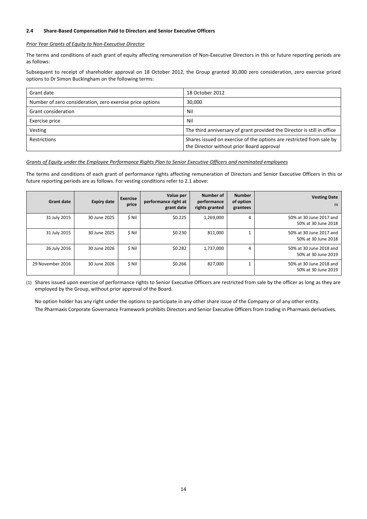### **2.4 Share‐Based Compensation Paid to Directors and Senior Executive Officers**

### *Prior Year Grants of Equity to Non‐Executive Director*

The terms and conditions of each grant of equity affecting remuneration of Non-Executive Directors in this or future reporting periods are as follows:

Subsequent to receipt of shareholder approval on 18 October 2012, the Group granted 30,000 zero consideration, zero exercise priced options to Dr Simon Buckingham on the following terms:

| Grant date                                                | 18 October 2012                                                                                                   |
|-----------------------------------------------------------|-------------------------------------------------------------------------------------------------------------------|
| Number of zero consideration, zero exercise price options | 30.000                                                                                                            |
| <b>Grant consideration</b>                                | Nil                                                                                                               |
| Exercise price                                            | Nil                                                                                                               |
| Vesting                                                   | The third anniversary of grant provided the Director is still in office                                           |
| Restrictions                                              | Shares issued on exercise of the options are restricted from sale by<br>the Director without prior Board approval |

### Grants of Equity under the Employee Performance Rights Plan to Senior Executive Officers and nominated employees

The terms and conditions of each grant of performance rights affecting remuneration of Directors and Senior Executive Officers in this or future reporting periods are as follows. For vesting conditions refer to 2.1 above:

| <b>Vesting Date</b><br>(1)                     | <b>Number</b><br>of option<br>grantees | Number of<br>performance<br>rights granted | Value per<br>performance right at<br>grant date | <b>Exercise</b><br>price | <b>Expiry date</b> | <b>Grant date</b> |
|------------------------------------------------|----------------------------------------|--------------------------------------------|-------------------------------------------------|--------------------------|--------------------|-------------------|
| 50% at 30 June 2017 and<br>50% at 30 June 2018 | 4                                      | 1,269,000                                  | \$0.225                                         | \$ Nil                   | 30 June 2025       | 31 July 2015      |
| 50% at 30 June 2017 and<br>50% at 30 June 2018 |                                        | 811,000                                    | \$0.230                                         | \$ Nil                   | 30 June 2025       | 31 July 2015      |
| 50% at 30 June 2018 and<br>50% at 30 June 2019 | 4                                      | 1,737,000                                  | \$0.282                                         | \$ Nil                   | 30 June 2026       | 26 July 2016      |
| 50% at 30 June 2018 and<br>50% at 30 June 2019 |                                        | 827.000                                    | \$0.266                                         | \$ Nil                   | 30 June 2026       | 29 November 2016  |

(1) Shares issued upon exercise of performance rights to Senior Executive Officers are restricted from sale by the officer as long as they are employed by the Group, without prior approval of the Board.

No option holder has any right under the options to participate in any other share issue of the Company or of any other entity. The Pharmaxis Corporate Governance Framework prohibits Directors and Senior Executive Officers from trading in Pharmaxis derivatives.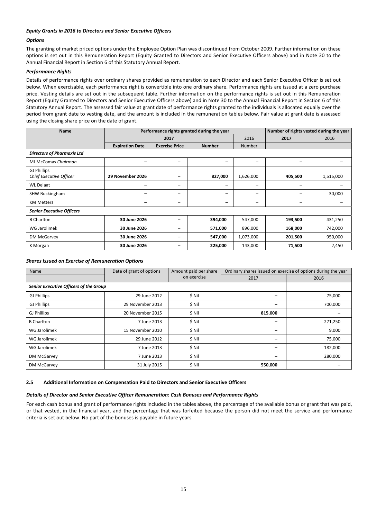### *Equity Grants in 2016 to Directors and Senior Executive Officers*

### *Options*

The granting of market priced options under the Employee Option Plan was discontinued from October 2009. Further information on these options is set out in this Remuneration Report (Equity Granted to Directors and Senior Executive Officers above) and in Note 30 to the Annual Financial Report in Section 6 of this Statutory Annual Report.

### *Performance Rights*

Details of performance rights over ordinary shares provided as remuneration to each Director and each Senior Executive Officer is set out below. When exercisable, each performance right is convertible into one ordinary share. Performance rights are issued at a zero purchase price. Vesting details are set out in the subsequent table. Further information on the performance rights is set out in this Remuneration Report (Equity Granted to Directors and Senior Executive Officers above) and in Note 30 to the Annual Financial Report in Section 6 of this Statutory Annual Report. The assessed fair value at grant date of performance rights granted to the individuals is allocated equally over the period from grant date to vesting date, and the amount is included in the remuneration tables below. Fair value at grant date is assessed using the closing share price on the date of grant.

| <b>Name</b>                                   |                        | Performance rights granted during the year |                          | Number of rights vested during the year |         |           |  |  |  |
|-----------------------------------------------|------------------------|--------------------------------------------|--------------------------|-----------------------------------------|---------|-----------|--|--|--|
|                                               |                        | 2017                                       |                          | 2016                                    | 2017    | 2016      |  |  |  |
|                                               | <b>Expiration Date</b> | <b>Exercise Price</b>                      | <b>Number</b>            | <b>Number</b>                           |         |           |  |  |  |
| <b>Directors of Pharmaxis Ltd</b>             |                        |                                            |                          |                                         |         |           |  |  |  |
| MJ McComas Chairman                           | -                      | -                                          | -                        | $\qquad \qquad$                         | -       |           |  |  |  |
| <b>GJ Phillips</b><br>Chief Executive Officer | 29 November 2026       | $\overline{\phantom{0}}$                   | 827,000                  | 1,626,000                               | 405,500 | 1,515,000 |  |  |  |
| <b>WL Delaat</b>                              | -                      | $\overline{\phantom{0}}$                   | -                        | -                                       | -       |           |  |  |  |
| <b>SHW Buckingham</b>                         | -                      | $\overline{\phantom{0}}$                   | $\overline{\phantom{0}}$ | -                                       | -       | 30,000    |  |  |  |
| <b>KM Metters</b>                             | -                      | -                                          | $\overline{\phantom{m}}$ | -                                       | -       |           |  |  |  |
| <b>Senior Executive Officers</b>              |                        |                                            |                          |                                         |         |           |  |  |  |
| <b>B</b> Charlton                             | 30 June 2026           |                                            | 394,000                  | 547,000                                 | 193,500 | 431,250   |  |  |  |
| WG Jarolimek                                  | 30 June 2026           | -                                          | 571,000                  | 896,000                                 | 168,000 | 742,000   |  |  |  |
| DM McGarvey                                   | 30 June 2026           | -                                          | 547,000                  | 1,073,000                               | 201,500 | 950,000   |  |  |  |
| K Morgan                                      | 30 June 2026           | -                                          | 225,000                  | 143,000                                 | 71,500  | 2,450     |  |  |  |

#### *Shares Issued on Exercise of Remuneration Options*

| Name                                   | Date of grant of options<br>Amount paid per share |             |                          | Ordinary shares issued on exercise of options during the year |
|----------------------------------------|---------------------------------------------------|-------------|--------------------------|---------------------------------------------------------------|
|                                        |                                                   | on exercise | 2017                     | 2016                                                          |
| Senior Executive Officers of the Group |                                                   |             |                          |                                                               |
| <b>GJ Phillips</b>                     | 29 June 2012                                      | \$ Nil      | -                        | 75,000                                                        |
| <b>GJ Phillips</b>                     | 29 November 2013                                  | \$ Nil      | $\overline{\phantom{0}}$ | 700,000                                                       |
| <b>GJ Phillips</b>                     | 20 November 2015                                  | \$ Nil      | 815,000                  |                                                               |
| <b>B</b> Charlton                      | 7 June 2013                                       | \$ Nil      | $\overline{\phantom{0}}$ | 271,250                                                       |
| WG Jarolimek                           | 15 November 2010                                  | \$ Nil      | -                        | 9,000                                                         |
| WG Jarolimek                           | 29 June 2012                                      | \$ Nil      | -                        | 75,000                                                        |
| WG Jarolimek                           | 7 June 2013                                       | \$ Nil      | $\overline{\phantom{0}}$ | 182,000                                                       |
| DM McGarvey                            | 7 June 2013                                       | \$ Nil      | $\overline{\phantom{0}}$ | 280,000                                                       |
| DM McGarvey                            | 31 July 2015                                      | \$ Nil      | 550,000                  |                                                               |

### **2.5 Additional Information on Compensation Paid to Directors and Senior Executive Officers**

### *Details of Director and Senior Executive Officer Remuneration: Cash Bonuses and Performance Rights*

For each cash bonus and grant of performance rights included in the tables above, the percentage of the available bonus or grant that was paid, or that vested, in the financial year, and the percentage that was forfeited because the person did not meet the service and performance criteria is set out below. No part of the bonuses is payable in future years.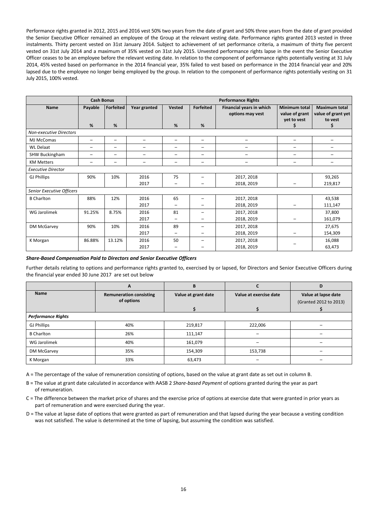Performance rights granted in 2012, 2015 and 2016 vest 50% two years from the date of grant and 50% three years from the date of grant provided the Senior Executive Officer remained an employee of the Group at the relevant vesting date. Performance rights granted 2013 vested in three instalments. Thirty percent vested on 31st January 2014. Subject to achievement of set performance criteria, a maximum of thirty five percent vested on 31st July 2014 and a maximum of 35% vested on 31st July 2015. Unvested performance rights lapse in the event the Senior Executive Officer ceases to be an employee before the relevant vesting date. In relation to the component of performance rights potentially vesting at 31 July 2014, 45% vested based on performance in the 2014 financial year, 35% failed to vest based on performance in the 2014 financial year and 20% lapsed due to the employee no longer being employed by the group. In relation to the component of performance rights potentially vesting on 31 July 2015, 100% vested.

|                                | <b>Cash Bonus</b> |                          | <b>Performance Rights</b> |                          |                          |                                              |                                                            |                                                            |
|--------------------------------|-------------------|--------------------------|---------------------------|--------------------------|--------------------------|----------------------------------------------|------------------------------------------------------------|------------------------------------------------------------|
| Name                           | Payable<br>%      | Forfeited<br>%           | Year granted              | <b>Vested</b><br>%       | <b>Forfeited</b><br>%    | Financial years in which<br>options may vest | <b>Minimum total</b><br>value of grant<br>yet to vest<br>S | <b>Maximum total</b><br>value of grant yet<br>to vest<br>S |
| <b>Non-executive Directors</b> |                   |                          |                           |                          |                          |                                              |                                                            |                                                            |
| MJ McComas                     | -                 | -                        | $\qquad \qquad$           | $\overline{\phantom{0}}$ |                          | -                                            | $\qquad \qquad$                                            |                                                            |
| <b>WL Delaat</b>               | -                 | $\overline{\phantom{0}}$ | -                         | $\qquad \qquad$          | $\overline{\phantom{0}}$ | -                                            |                                                            |                                                            |
| SHW Buckingham                 | -                 | -                        |                           |                          | -                        |                                              |                                                            |                                                            |
| <b>KM Metters</b>              | -                 | -                        | -                         | $\overline{\phantom{0}}$ | -                        | -                                            | -                                                          | $\qquad \qquad$                                            |
| <b>Executive Director</b>      |                   |                          |                           |                          |                          |                                              |                                                            |                                                            |
| <b>GJ Phillips</b>             | 90%               | 10%                      | 2016                      | 75                       | -                        | 2017, 2018                                   |                                                            | 93,265                                                     |
|                                |                   |                          | 2017                      |                          |                          | 2018, 2019                                   |                                                            | 219,817                                                    |
| Senior Executive Officers      |                   |                          |                           |                          |                          |                                              |                                                            |                                                            |
| <b>B</b> Charlton              | 88%               | 12%                      | 2016                      | 65                       |                          | 2017, 2018                                   |                                                            | 43,538                                                     |
|                                |                   |                          | 2017                      |                          |                          | 2018, 2019                                   |                                                            | 111,147                                                    |
| WG Jarolimek                   | 91.25%            | 8.75%                    | 2016                      | 81                       |                          | 2017, 2018                                   |                                                            | 37,800                                                     |
|                                |                   |                          | 2017                      |                          |                          | 2018, 2019                                   |                                                            | 161,079                                                    |
| DM McGarvey                    | 90%               | 10%                      | 2016                      | 89                       |                          | 2017, 2018                                   |                                                            | 27,675                                                     |
|                                |                   |                          | 2017                      | -                        |                          | 2018, 2019                                   |                                                            | 154,309                                                    |
| K Morgan                       | 86.88%            | 13.12%                   | 2016                      | 50                       |                          | 2017, 2018                                   |                                                            | 16,088                                                     |
|                                |                   |                          | 2017                      |                          |                          | 2018, 2019                                   |                                                            | 63,473                                                     |

### *Share‐Based Compensation Paid to Directors and Senior Executive Officers*

Further details relating to options and performance rights granted to, exercised by or lapsed, for Directors and Senior Executive Officers during the financial year ended 30 June 2017 are set out below

|                           | A                                            | B                   |                        | D                                             |  |
|---------------------------|----------------------------------------------|---------------------|------------------------|-----------------------------------------------|--|
| <b>Name</b>               | <b>Remuneration consisting</b><br>of options | Value at grant date | Value at exercise date | Value at lapse date<br>(Granted 2012 to 2013) |  |
|                           |                                              |                     |                        |                                               |  |
| <b>Performance Rights</b> |                                              |                     |                        |                                               |  |
| <b>GJ Phillips</b>        | 40%                                          | 219,817             | 222,006                |                                               |  |
| <b>B</b> Charlton         | 26%                                          | 111,147             |                        |                                               |  |
| WG Jarolimek              | 40%                                          | 161,079             |                        |                                               |  |
| DM McGarvey               | 35%                                          | 154,309             | 153,738                |                                               |  |
| K Morgan                  | 33%                                          | 63,473              |                        |                                               |  |

A = The percentage of the value of remuneration consisting of options, based on the value at grant date as set out in column B.

B = The value at grant date calculated in accordance with AASB 2 *Share‐based Payment* of options granted during the year as part of remuneration.

C = The difference between the market price of shares and the exercise price of options at exercise date that were granted in prior years as part of remuneration and were exercised during the year.

D = The value at lapse date of options that were granted as part of remuneration and that lapsed during the year because a vesting condition was not satisfied. The value is determined at the time of lapsing, but assuming the condition was satisfied.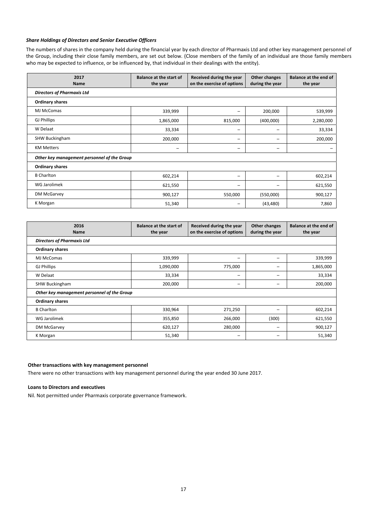### *Share Holdings of Directors and Senior Executive Officers*

The numbers of shares in the company held during the financial year by each director of Pharmaxis Ltd and other key management personnel of the Group, including their close family members, are set out below. (Close members of the family of an individual are those family members who may be expected to influence, or be influenced by, that individual in their dealings with the entity).

| 2017<br><b>Name</b>                         | <b>Balance at the start of</b><br>the year | Received during the year<br>on the exercise of options | Other changes<br>during the year | Balance at the end of<br>the year |  |  |  |  |
|---------------------------------------------|--------------------------------------------|--------------------------------------------------------|----------------------------------|-----------------------------------|--|--|--|--|
| <b>Directors of Pharmaxis Ltd</b>           |                                            |                                                        |                                  |                                   |  |  |  |  |
| <b>Ordinary shares</b>                      |                                            |                                                        |                                  |                                   |  |  |  |  |
| MJ McComas                                  | 339,999                                    | -                                                      | 200,000                          | 539,999                           |  |  |  |  |
| <b>GJ Phillips</b>                          | 1,865,000                                  | 815,000                                                | (400,000)                        | 2,280,000                         |  |  |  |  |
| W Delaat                                    | 33,334                                     | -                                                      | -                                | 33,334                            |  |  |  |  |
| <b>SHW Buckingham</b>                       | 200,000                                    | -                                                      | -                                | 200,000                           |  |  |  |  |
| <b>KM Metters</b>                           | -                                          | -                                                      | -                                |                                   |  |  |  |  |
| Other key management personnel of the Group |                                            |                                                        |                                  |                                   |  |  |  |  |
| <b>Ordinary shares</b>                      |                                            |                                                        |                                  |                                   |  |  |  |  |
| <b>B</b> Charlton                           | 602,214                                    | -                                                      | -                                | 602,214                           |  |  |  |  |
| WG Jarolimek                                | 621,550                                    | -                                                      | -                                | 621,550                           |  |  |  |  |
| DM McGarvey                                 | 900,127                                    | 550,000                                                | (550,000)                        | 900,127                           |  |  |  |  |
| K Morgan                                    | 51,340                                     |                                                        | (43, 480)                        | 7,860                             |  |  |  |  |

| 2016<br><b>Name</b>                         | <b>Balance at the start of</b><br>the year | Received during the year<br>on the exercise of options | Other changes<br>during the year | Balance at the end of<br>the year |  |  |  |  |
|---------------------------------------------|--------------------------------------------|--------------------------------------------------------|----------------------------------|-----------------------------------|--|--|--|--|
| <b>Directors of Pharmaxis Ltd</b>           |                                            |                                                        |                                  |                                   |  |  |  |  |
| <b>Ordinary shares</b>                      |                                            |                                                        |                                  |                                   |  |  |  |  |
| MJ McComas                                  | 339,999                                    |                                                        |                                  | 339,999                           |  |  |  |  |
| <b>GJ Phillips</b>                          | 1,090,000                                  | 775,000                                                | -                                | 1,865,000                         |  |  |  |  |
| W Delaat                                    | 33,334                                     | -                                                      |                                  | 33,334                            |  |  |  |  |
| <b>SHW Buckingham</b>                       | 200,000                                    | -                                                      | -                                | 200,000                           |  |  |  |  |
| Other key management personnel of the Group |                                            |                                                        |                                  |                                   |  |  |  |  |
| <b>Ordinary shares</b>                      |                                            |                                                        |                                  |                                   |  |  |  |  |
| <b>B</b> Charlton                           | 330,964                                    | 271,250                                                |                                  | 602,214                           |  |  |  |  |
| WG Jarolimek                                | 355,850                                    | 266,000                                                | (300)                            | 621,550                           |  |  |  |  |
| DM McGarvey                                 | 620,127                                    | 280,000                                                | -                                | 900,127                           |  |  |  |  |
| K Morgan                                    | 51,340                                     | -                                                      | -                                | 51,340                            |  |  |  |  |

### **Other transactions with key management personnel**

There were no other transactions with key management personnel during the year ended 30 June 2017.

### **Loans to Directors and executives**

Nil. Not permitted under Pharmaxis corporate governance framework.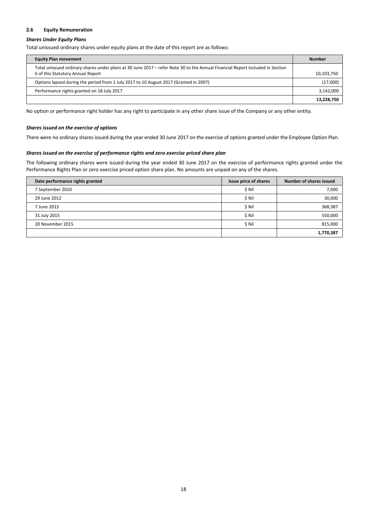### **2.6 Equity Remuneration**

### *Shares Under Equity Plans*

Total unissued ordinary shares under equity plans at the date of this report are as follows:

| <b>Equity Plan movement</b>                                                                                                                                        | Number     |
|--------------------------------------------------------------------------------------------------------------------------------------------------------------------|------------|
| Total unissued ordinary shares under plans at 30 June 2017 – refer Note 30 to the Annual Financial Report included in Section<br>6 of this Statutory Annual Report | 10,103,750 |
| Options lapsed during the period from 1 July 2017 to 10 August 2017 (Granted in 2007)                                                                              | (17,000)   |
| Performance rights granted on 18 July 2017                                                                                                                         | 3,142,000  |
|                                                                                                                                                                    | 13,228,750 |

No option or performance right holder has any right to participate in any other share issue of the Company or any other entity.

### *Shares issued on the exercise of options*

There were no ordinary shares issued during the year ended 30 June 2017 on the exercise of options granted under the Employee Option Plan.

### *Shares issued on the exercise of performance rights and zero exercise priced share plan*

The following ordinary shares were issued during the year ended 30 June 2017 on the exercise of performance rights granted under the Performance Rights Plan or zero exercise priced option share plan. No amounts are unpaid on any of the shares.

| Date performance rights granted | Issue price of shares | Number of shares issued |
|---------------------------------|-----------------------|-------------------------|
| 7 September 2010                | \$ Nil                | 7,000                   |
| 29 June 2012                    | \$ Nil                | 30,000                  |
| 7 June 2013                     | \$ Nil                | 368,387                 |
| 31 July 2015                    | \$ Nil                | 550,000                 |
| 20 November 2015                | \$ Nil                | 815,000                 |
|                                 |                       | 1,770,387               |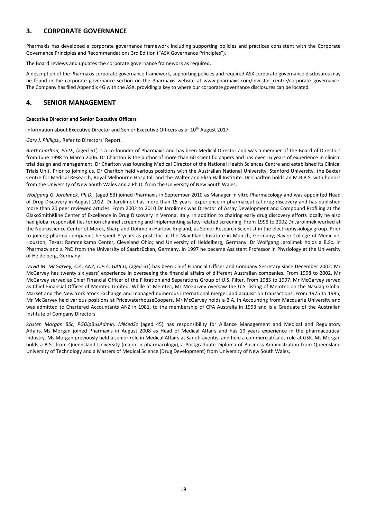### **3. CORPORATE GOVERNANCE**

Pharmaxis has developed a corporate governance framework including supporting policies and practices consistent with the Corporate Governance Principles and Recommendations 3rd Edition ("ASX Governance Principles").

The Board reviews and updates the corporate governance framework as required.

A description of the Pharmaxis corporate governance framework, supporting policies and required ASX corporate governance disclosures may be found in the corporate governance section on the Pharmaxis website at www.pharmaxis.com/investor centre/corporate governance. The Company has filed Appendix 4G with the ASX, providing a key to where our corporate governance disclosures can be located.

### **4. SENIOR MANAGEMENT**

### **Executive Director and Senior Executive Officers**

Information about Executive Director and Senior Executive Officers as of 10<sup>th</sup> August 2017.

*Gary J. Phillips.,* Refer to Directors' Report.

*Brett Charlton, Ph.D.,* (aged 61) is a co‐founder of Pharmaxis and has been Medical Director and was a member of the Board of Directors from June 1998 to March 2006. Dr Charlton is the author of more than 60 scientific papers and has over 16 years of experience in clinical trial design and management. Dr Charlton was founding Medical Director of the National Health Sciences Centre and established its Clinical Trials Unit. Prior to joining us, Dr Charlton held various positions with the Australian National University, Stanford University, the Baxter Centre for Medical Research, Royal Melbourne Hospital, and the Walter and Eliza Hall Institute. Dr Charlton holds an M.B.B.S. with honors from the University of New South Wales and a Ph.D. from the University of New South Wales.

*Wolfgang G. Jarolimek, Ph.D.,* (aged 53) joined Pharmaxis in September 2010 as Manager in vitro Pharmacology and was appointed Head of Drug Discovery in August 2012. Dr Jarolimek has more than 15 years' experience in pharmaceutical drug discovery and has published more than 20 peer reviewed articles. From 2002 to 2010 Dr Jarolimek was Director of Assay Development and Compound Profiling at the GlaxoSmithKline Center of Excellence in Drug Discovery in Verona, Italy. In addition to chairing early drug discovery efforts locally he also had global responsibilities for ion channel screening and implementing safety‐related screening. From 1998 to 2002 Dr Jarolimek worked at the Neuroscience Center of Merck, Sharp and Dohme in Harlow, England, as Senior Research Scientist in the electrophysiology group. Prior to joining pharma companies he spent 8 years as post-doc at the Max-Plank Institute in Munich, Germany: Baylor College of Medicine, Houston, Texas; Rammelkamp Center, Cleveland Ohio; and University of Heidelberg, Germany. Dr Wolfgang Jarolimek holds a B.Sc. in Pharmacy and a PhD from the University of Saarbrücken, Germany. In 1997 he became Assistant Professor in Physiology at the University of Heidelberg, Germany.

*David M. McGarvey, C.A. ANZ, C.P.A. GAICD,* (aged 61) has been Chief Financial Officer and Company Secretary since December 2002. Mr McGarvey has twenty six years' experience in overseeing the financial affairs of different Australian companies. From 1998 to 2002, Mr McGarvey served as Chief Financial Officer of the Filtration and Separations Group of U.S. Filter. From 1985 to 1997, Mr McGarvey served as Chief Financial Officer of Memtec Limited. While at Memtec, Mr McGarvey oversaw the U.S. listing of Memtec on the Nasdaq Global Market and the New York Stock Exchange and managed numerous international merger and acquisition transactions. From 1975 to 1985, Mr McGarvey held various positions at PricewaterhouseCoopers. Mr McGarvey holds a B.A. in Accounting from Macquarie University and was admitted to Chartered Accountants ANZ in 1981, to the membership of CPA Australia in 1993 and is a Graduate of the Australian Institute of Company Directors

*Kristen Morgan BSc, PGDipBusAdmin, MMedSc* (aged 45) has responsibility for Alliance Management and Medical and Regulatory Affairs. Ms Morgan joined Pharmaxis in August 2008 as Head of Medical Affairs and has 19 years experience in the pharmaceutical industry. Ms Morgan previously held a senior role in Medical Affairs at Sanofi‐aventis, and held a commercial/sales role at GSK. Ms Morgan holds a B.Sc from Queensland University (major in pharmacology), a Postgraduate Diploma of Business Administration from Queensland University of Technology and a Masters of Medical Science (Drug Development) from University of New South Wales.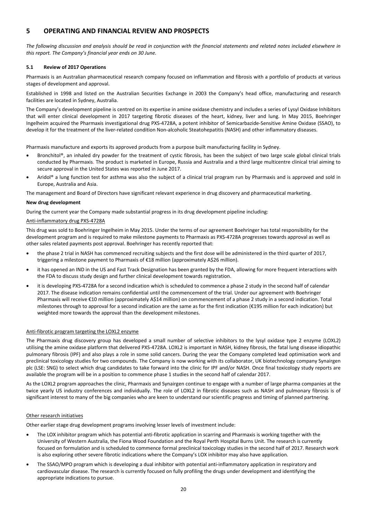### **5 OPERATING AND FINANCIAL REVIEW AND PROSPECTS**

The following discussion and analysis should be read in conjunction with the financial statements and related notes included elsewhere in *this report. The Company's financial year ends on 30 June.*

### **5.1 Review of 2017 Operations**

Pharmaxis is an Australian pharmaceutical research company focused on inflammation and fibrosis with a portfolio of products at various stages of development and approval.

Established in 1998 and listed on the Australian Securities Exchange in 2003 the Company's head office, manufacturing and research facilities are located in Sydney, Australia.

The Company's development pipeline is centred on its expertise in amine oxidase chemistry and includes a series of Lysyl Oxidase Inhibitors that will enter clinical development in 2017 targeting fibrotic diseases of the heart, kidney, liver and lung. In May 2015, Boehringer Ingelheim acquired the Pharmaxis investigational drug PXS‐4728A, a potent inhibitor of Semicarbazide‐Sensitive Amine Oxidase (SSAO), to develop it for the treatment of the liver‐related condition Non‐alcoholic Steatohepatitis (NASH) and other inflammatory diseases.

Pharmaxis manufacture and exports its approved products from a purpose built manufacturing facility in Sydney.

- Bronchitol®, an inhaled dry powder for the treatment of cystic fibrosis, has been the subject of two large scale global clinical trials conducted by Pharmaxis. The product is marketed in Europe, Russia and Australia and a third large multicentre clinical trial aiming to secure approval in the United States was reported in June 2017.
- Aridol® a lung function test for asthma was also the subject of a clinical trial program run by Pharmaxis and is approved and sold in Europe, Australia and Asia.

The management and Board of Directors have significant relevant experience in drug discovery and pharmaceutical marketing.

### **New drug development**

During the current year the Company made substantial progress in its drug development pipeline including:

### Anti‐inflammatory drug PXS‐4728A

This drug was sold to Boehringer Ingelheim in May 2015. Under the terms of our agreement Boehringer has total responsibility for the development program and is required to make milestone payments to Pharmaxis as PXS‐4728A progresses towards approval as well as other sales related payments post approval. Boehringer has recently reported that:

- the phase 2 trial in NASH has commenced recruiting subjects and the first dose will be administered in the third quarter of 2017, triggering a milestone payment to Pharmaxis of €18 million (approximately A\$26 million).
- it has opened an IND in the US and Fast Track Designation has been granted by the FDA, allowing for more frequent interactions with the FDA to discuss study design and further clinical development towards registration.
- it is developing PXS‐4728A for a second indication which is scheduled to commence a phase 2 study in the second half of calendar 2017. The disease indication remains confidential until the commencement of the trial. Under our agreement with Boehringer Pharmaxis will receive €10 million (approximately A\$14 million) on commencement of a phase 2 study in a second indication. Total milestones through to approval for a second indication are the same as for the first indication (€195 million for each indication) but weighted more towards the approval than the development milestones.

### Anti‐fibrotic program targeting the LOXL2 enzyme

The Pharmaxis drug discovery group has developed a small number of selective inhibitors to the lysyl oxidase type 2 enzyme (LOXL2) utilising the amine oxidase platform that delivered PXS‐4728A. LOXL2 is important in NASH, kidney fibrosis, the fatal lung disease idiopathic pulmonary fibrosis (IPF) and also plays a role in some solid cancers. During the year the Company completed lead optimisation work and preclinical toxicology studies for two compounds. The Company is now working with its collaborator, UK biotechnology company Synairgen plc (LSE: SNG) to select which drug candidates to take forward into the clinic for IPF and/or NASH. Once final toxicology study reports are available the program will be in a position to commence phase 1 studies in the second half of calendar 2017.

As the LOXL2 program approaches the clinic, Pharmaxis and Synairgen continue to engage with a number of large pharma companies at the twice yearly US industry conferences and individually. The role of LOXL2 in fibrotic diseases such as NASH and pulmonary fibrosis is of significant interest to many of the big companies who are keen to understand our scientific progress and timing of planned partnering.

#### Other research initiatives

Other earlier stage drug development programs involving lesser levels of investment include:

- The LOX inhibitor program which has potential anti‐fibrotic application in scarring and Pharmaxis is working together with the University of Western Australia, the Fiona Wood Foundation and the Royal Perth Hospital Burns Unit. The research is currently focused on formulation and is scheduled to commence formal preclinical toxicology studies in the second half of 2017. Research work is also exploring other severe fibrotic indications where the Company's LOX inhibitor may also have application.
- The SSAO/MPO program which is developing a dual inhibitor with potential anti-inflammatory application in respiratory and cardiovascular disease. The research is currently focused on fully profiling the drugs under development and identifying the appropriate indications to pursue.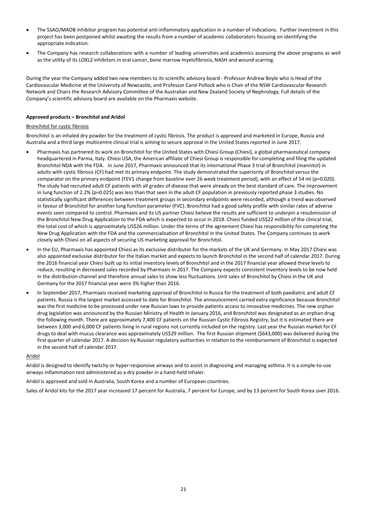- The SSAO/MAOB inhibitor program has potential anti-inflammatory application in a number of indications. Further investment in this project has been postponed whilst awaiting the results from a number of academic collaborators focusing on identifying the appropriate indication.
- The Company has research collaborations with a number of leading universities and academics assessing the above programs as well as the utility of its LOXL2 inhibitors in oral cancer, bone marrow myelofibrosis, NASH and wound scarring.

During the year the Company added two new members to its scientific advisory board ‐ Professor Andrew Boyle who is Head of the Cardiovascular Medicine at the University of Newcastle, and Professor Carol Pollock who is Chair of the NSW Cardiovascular Research Network and Chairs the Research Advisory Committee of the Australian and New Zealand Society of Nephrology. Full details of the Company's scientific advisory board are available on the Pharmaxis website.

### **Approved products – Bronchitol and Aridol**

### Bronchitol for cystic fibrosis

Bronchitol is an inhaled dry powder for the treatment of cystic fibrosis. The product is approved and marketed in Europe, Russia and Australia and a third large multicentre clinical trial is aiming to secure approval in the United States reported in June 2017.

- Pharmaxis has partnered its work on Bronchitol for the United States with Chiesi Group (Chiesi), a global pharmaceutical company headquartered in Parma, Italy. Chiesi USA, the American affiliate of Chiesi Group is responsible for completing and filing the updated Bronchitol NDA with the FDA. In June 2017, Pharmaxis announced that its international Phase 3 trial of Bronchitol (mannitol) in adults with cystic fibrosis (CF) had met its primary endpoint. The study demonstrated the superiority of Bronchitol versus the comparator on the primary endpoint (FEV1 change from baseline over 26 week treatment period), with an effect of 54 ml (p=0.020). The study had recruited adult CF patients with all grades of disease that were already on the best standard of care. The improvement in lung function of 2.2% (p=0.025) was less than that seen in the adult CF population in previously reported phase 3 studies. No statistically significant differences between treatment groups in secondary endpoints were recorded, although a trend was observed in favour of Bronchitol for another lung function parameter (FVC). Bronchitol had a good safety profile with similar rates of adverse events seen compared to control. Pharmaxis and its US partner Chiesi believe the results are sufficient to underpin a resubmission of the Bronchitol New Drug Application to the FDA which is expected to occur in 2018. Chiesi funded US\$22 million of the clinical trial, the total cost of which is approximately US\$26 million. Under the terms of the agreement Chiesi has responsibility for completing the New Drug Application with the FDA and the commercialisation of Bronchitol in the United States. The Company continues to work closely with Chiesi on all aspects of securing US marketing approval for Bronchitol.
- In the EU, Pharmaxis has appointed Chiesi as its exclusive distributor for the markets of the UK and Germany. In May 2017 Chiesi was also appointed exclusive distributor for the Italian market and expects to launch Bronchitol in the second half of calendar 2017. During the 2016 financial year Chiesi built up its initial inventory levels of Bronchitol and in the 2017 financial year allowed these levels to reduce, resulting in decreased sales recorded by Pharmaxis in 2017. The Company expects consistent inventory levels to be now held in the distribution channel and therefore annual sales to show less fluctuations. Unit sales of Bronchitol by Chiesi in the UK and Germany for the 2017 financial year were 3% higher than 2016.
- In September 2017, Pharmaxis received marketing approval of Bronchitol in Russia for the treatment of both paediatric and adult CF patients. Russia is the largest market accessed to date for Bronchitol. The announcement carried extra significance because Bronchitol was the first medicine to be processed under new Russian laws to provide patients access to innovative medicines. The new orphan drug legislation was announced by the Russian Ministry of Health in January 2016, and Bronchitol was designated as an orphan drug the following month. There are approximately 7,400 CF patients on the Russian Cystic Fibrosis Registry, but it is estimated there are between 3,000 and 6,000 CF patients living in rural regions not currently included on the registry. Last year the Russian market for CF drugs to deal with mucus clearance was approximately US\$29 million. The first Russian shipment (\$643,000) was delivered during the first quarter of calendar 2017. A decision by Russian regulatory authorities in relation to the reimbursement of Bronchitol is expected in the second half of calendar 2017.

#### Aridol

Aridol is designed to identify twitchy or hyper‐responsive airways and to assist in diagnosing and managing asthma. It is a simple‐to‐use airways inflammation test administered as a dry powder in a hand‐held inhaler.

Aridol is approved and sold in Australia, South Korea and a number of European countries.

Sales of Aridol kits for the 2017 year increased 17 percent for Australia, 7 percent for Europe, and by 13 percent for South Korea over 2016.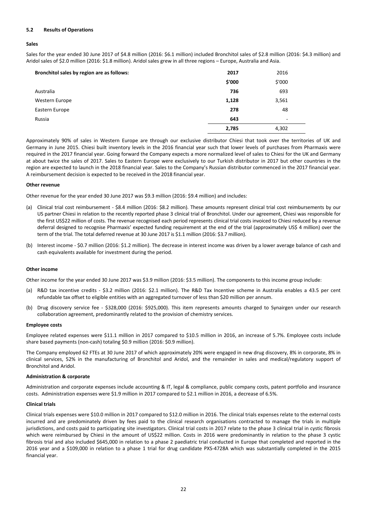### **5.2 Results of Operations**

### **Sales**

Sales for the year ended 30 June 2017 of \$4.8 million (2016: \$6.1 million) included Bronchitol sales of \$2.8 million (2016: \$4.3 million) and Aridol sales of \$2.0 million (2016: \$1.8 million). Aridol sales grew in all three regions – Europe, Australia and Asia.

| Bronchitol sales by region are as follows: | 2017   | 2016   |
|--------------------------------------------|--------|--------|
|                                            | \$'000 | \$'000 |
| Australia                                  | 736    | 693    |
| Western Europe                             | 1,128  | 3,561  |
| Eastern Europe                             | 278    | 48     |
| Russia                                     | 643    | ۰      |
|                                            | 2,785  | 4,302  |

Approximately 90% of sales in Western Europe are through our exclusive distributor Chiesi that took over the territories of UK and Germany in June 2015. Chiesi built inventory levels in the 2016 financial year such that lower levels of purchases from Pharmaxis were required in the 2017 financial year. Going forward the Company expects a more normalized level of sales to Chiesi for the UK and Germany at about twice the sales of 2017. Sales to Eastern Europe were exclusively to our Turkish distributor in 2017 but other countries in the region are expected to launch in the 2018 financial year. Sales to the Company's Russian distributor commenced in the 2017 financial year. A reimbursement decision is expected to be received in the 2018 financial year.

### **Other revenue**

Other revenue for the year ended 30 June 2017 was \$9.3 million (2016: \$9.4 million) and includes:

- (a) Clinical trial cost reimbursement ‐ \$8.4 million (2016: \$8.2 million). These amounts represent clinical trial cost reimbursements by our US partner Chiesi in relation to the recently reported phase 3 clinical trial of Bronchitol. Under our agreement, Chiesi was responsible for the first US\$22 million of costs. The revenue recognised each period represents clinical trial costs invoiced to Chiesi reduced by a revenue deferral designed to recognise Pharmaxis' expected funding requirement at the end of the trial (approximately US\$ 4 million) over the term of the trial. The total deferred revenue at 30 June 2017 is \$1.1 million (2016: \$3.7 million).
- (b) Interest income ‐ \$0.7 million (2016: \$1.2 million). The decrease in interest income was driven by a lower average balance of cash and cash equivalents available for investment during the period.

#### **Other income**

Other income for the year ended 30 June 2017 was \$3.9 million (2016: \$3.5 million). The components to this income group include:

- (a) R&D tax incentive credits ‐ \$3.2 million (2016: \$2.1 million). The R&D Tax Incentive scheme in Australia enables a 43.5 per cent refundable tax offset to eligible entities with an aggregated turnover of less than \$20 million per annum.
- (b) Drug discovery service fee ‐ \$328,000 (2016: \$925,000). This item represents amounts charged to Synairgen under our research collaboration agreement, predominantly related to the provision of chemistry services.

#### **Employee costs**

Employee related expenses were \$11.1 million in 2017 compared to \$10.5 million in 2016, an increase of 5.7%. Employee costs include share based payments (non‐cash) totaling \$0.9 million (2016: \$0.9 million).

The Company employed 62 FTEs at 30 June 2017 of which approximately 20% were engaged in new drug discovery, 8% in corporate, 8% in clinical services, 52% in the manufacturing of Bronchitol and Aridol, and the remainder in sales and medical/regulatory support of Bronchitol and Aridol.

#### **Administration & corporate**

Administration and corporate expenses include accounting & IT, legal & compliance, public company costs, patent portfolio and insurance costs. Administration expenses were \$1.9 million in 2017 compared to \$2.1 million in 2016, a decrease of 6.5%.

#### **Clinical trials**

Clinical trials expenses were \$10.0 million in 2017 compared to \$12.0 million in 2016. The clinical trials expenses relate to the external costs incurred and are predominately driven by fees paid to the clinical research organisations contracted to manage the trials in multiple jurisdictions, and costs paid to participating site investigators. Clinical trial costs in 2017 relate to the phase 3 clinical trial in cystic fibrosis which were reimbursed by Chiesi in the amount of US\$22 million. Costs in 2016 were predominantly in relation to the phase 3 cystic fibrosis trial and also included \$645,000 in relation to a phase 2 paediatric trial conducted in Europe that completed and reported in the 2016 year and a \$109,000 in relation to a phase 1 trial for drug candidate PXS‐4728A which was substantially completed in the 2015 financial year.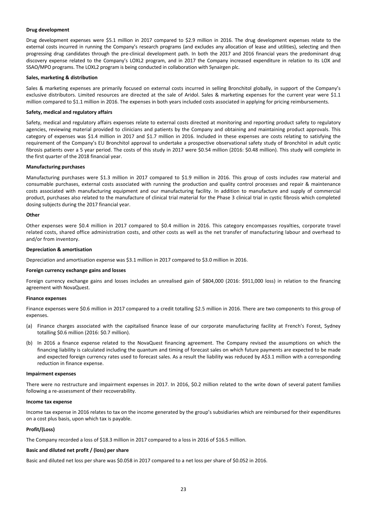### **Drug development**

Drug development expenses were \$5.1 million in 2017 compared to \$2.9 million in 2016. The drug development expenses relate to the external costs incurred in running the Company's research programs (and excludes any allocation of lease and utilities), selecting and then progressing drug candidates through the pre‐clinical development path. In both the 2017 and 2016 financial years the predominant drug discovery expense related to the Company's LOXL2 program, and in 2017 the Company increased expenditure in relation to its LOX and SSAO/MPO programs. The LOXL2 program is being conducted in collaboration with Synairgen plc.

### **Sales, marketing & distribution**

Sales & marketing expenses are primarily focused on external costs incurred in selling Bronchitol globally, in support of the Company's exclusive distributors. Limited resources are directed at the sale of Aridol. Sales & marketing expenses for the current year were \$1.1 million compared to \$1.1 million in 2016. The expenses in both years included costs associated in applying for pricing reimbursements.

#### **Safety, medical and regulatory affairs**

Safety, medical and regulatory affairs expenses relate to external costs directed at monitoring and reporting product safety to regulatory agencies, reviewing material provided to clinicians and patients by the Company and obtaining and maintaining product approvals. This category of expenses was \$1.4 million in 2017 and \$1.7 million in 2016. Included in these expenses are costs relating to satisfying the requirement of the Company's EU Bronchitol approval to undertake a prospective observational safety study of Bronchitol in adult cystic fibrosis patients over a 5 year period. The costs of this study in 2017 were \$0.54 million (2016: \$0.48 million). This study will complete in the first quarter of the 2018 financial year.

#### **Manufacturing purchases**

Manufacturing purchases were \$1.3 million in 2017 compared to \$1.9 million in 2016. This group of costs includes raw material and consumable purchases, external costs associated with running the production and quality control processes and repair & maintenance costs associated with manufacturing equipment and our manufacturing facility. In addition to manufacture and supply of commercial product, purchases also related to the manufacture of clinical trial material for the Phase 3 clinical trial in cystic fibrosis which completed dosing subjects during the 2017 financial year.

### **Other**

Other expenses were \$0.4 million in 2017 compared to \$0.4 million in 2016. This category encompasses royalties, corporate travel related costs, shared office administration costs, and other costs as well as the net transfer of manufacturing labour and overhead to and/or from inventory.

#### **Depreciation & amortisation**

Depreciation and amortisation expense was \$3.1 million in 2017 compared to \$3.0 million in 2016.

#### **Foreign currency exchange gains and losses**

Foreign currency exchange gains and losses includes an unrealised gain of \$804,000 (2016: \$911,000 loss) in relation to the financing agreement with NovaQuest.

#### **Finance expenses**

Finance expenses were \$0.6 million in 2017 compared to a credit totalling \$2.5 million in 2016. There are two components to this group of expenses.

- (a) Finance charges associated with the capitalised finance lease of our corporate manufacturing facility at French's Forest, Sydney totalling \$0.6 million (2016: \$0.7 million).
- (b) In 2016 a finance expense related to the NovaQuest financing agreement. The Company revised the assumptions on which the financing liability is calculated including the quantum and timing of forecast sales on which future payments are expected to be made and expected foreign currency rates used to forecast sales. As a result the liability was reduced by A\$3.1 million with a corresponding reduction in finance expense.

### **Impairment expenses**

There were no restructure and impairment expenses in 2017. In 2016, \$0.2 million related to the write down of several patent families following a re‐assessment of their recoverability.

#### **Income tax expense**

Income tax expense in 2016 relates to tax on the income generated by the group's subsidiaries which are reimbursed for their expenditures on a cost plus basis, upon which tax is payable.

### **Profit/(Loss)**

The Company recorded a loss of \$18.3 million in 2017 compared to a loss in 2016 of \$16.5 million.

### **Basic and diluted net profit / (loss) per share**

Basic and diluted net loss per share was \$0.058 in 2017 compared to a net loss per share of \$0.052 in 2016.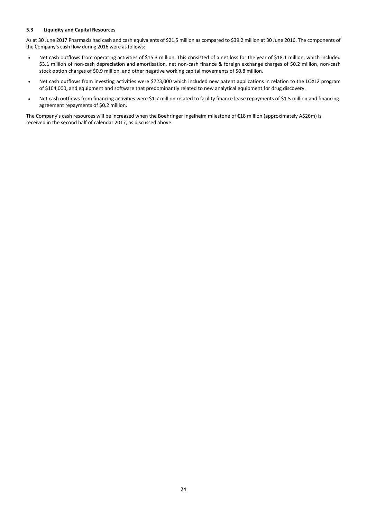### **5.3 Liquidity and Capital Resources**

As at 30 June 2017 Pharmaxis had cash and cash equivalents of \$21.5 million as compared to \$39.2 million at 30 June 2016. The components of the Company's cash flow during 2016 were as follows:

- Net cash outflows from operating activities of \$15.3 million. This consisted of a net loss for the year of \$18.1 million, which included \$3.1 million of non-cash depreciation and amortisation, net non-cash finance & foreign exchange charges of \$0.2 million, non-cash stock option charges of \$0.9 million, and other negative working capital movements of \$0.8 million.
- Net cash outflows from investing activities were \$723,000 which included new patent applications in relation to the LOXL2 program of \$104,000, and equipment and software that predominantly related to new analytical equipment for drug discovery.
- Net cash outflows from financing activities were \$1.7 million related to facility finance lease repayments of \$1.5 million and financing agreement repayments of \$0.2 million.

The Company's cash resources will be increased when the Boehringer Ingelheim milestone of €18 million (approximately A\$26m) is received in the second half of calendar 2017, as discussed above.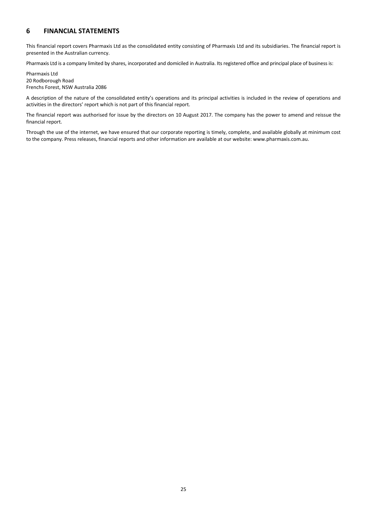### **6 FINANCIAL STATEMENTS**

This financial report covers Pharmaxis Ltd as the consolidated entity consisting of Pharmaxis Ltd and its subsidiaries. The financial report is presented in the Australian currency.

Pharmaxis Ltd is a company limited by shares, incorporated and domiciled in Australia. Its registered office and principal place of business is:

Pharmaxis Ltd 20 Rodborough Road Frenchs Forest, NSW Australia 2086

A description of the nature of the consolidated entity's operations and its principal activities is included in the review of operations and activities in the directors' report which is not part of this financial report.

The financial report was authorised for issue by the directors on 10 August 2017. The company has the power to amend and reissue the financial report.

Through the use of the internet, we have ensured that our corporate reporting is timely, complete, and available globally at minimum cost to the company. Press releases, financial reports and other information are available at our website: www.pharmaxis.com.au.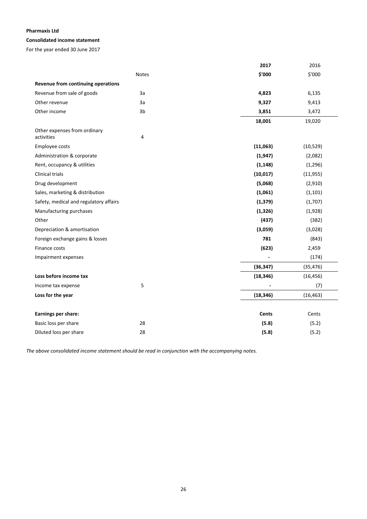### **Consolidated income statement**

For the year ended 30 June 2017

|                                        |                | 2017      | 2016      |
|----------------------------------------|----------------|-----------|-----------|
|                                        | Notes          | \$'000    | \$'000    |
| Revenue from continuing operations     |                |           |           |
| Revenue from sale of goods             | 3a             | 4,823     | 6,135     |
| Other revenue                          | 3a             | 9,327     | 9,413     |
| Other income                           | 3 <sub>b</sub> | 3,851     | 3,472     |
|                                        |                | 18,001    | 19,020    |
| Other expenses from ordinary           |                |           |           |
| activities                             | 4              |           |           |
| Employee costs                         |                | (11,063)  | (10, 529) |
| Administration & corporate             |                | (1, 947)  | (2,082)   |
| Rent, occupancy & utilities            |                | (1, 148)  | (1,296)   |
| <b>Clinical trials</b>                 |                | (10, 017) | (11, 955) |
| Drug development                       |                | (5,068)   | (2,910)   |
| Sales, marketing & distribution        |                | (1,061)   | (1, 101)  |
| Safety, medical and regulatory affairs |                | (1, 379)  | (1,707)   |
| Manufacturing purchases                |                | (1, 326)  | (1,928)   |
| Other                                  |                | (437)     | (382)     |
| Depreciation & amortisation            |                | (3,059)   | (3,028)   |
| Foreign exchange gains & losses        |                | 781       | (843)     |
| Finance costs                          |                | (623)     | 2,459     |
| Impairment expenses                    |                |           | (174)     |
|                                        |                | (36, 347) | (35, 476) |
| Loss before income tax                 |                | (18, 346) | (16, 456) |
| Income tax expense                     | 5              |           | (7)       |
| Loss for the year                      |                | (18, 346) | (16, 463) |
| Earnings per share:                    |                | Cents     | Cents     |
| Basic loss per share                   | 28             | (5.8)     | (5.2)     |
| Diluted loss per share                 | 28             | (5.8)     | (5.2)     |

*The above consolidated income statement should be read in conjunction with the accompanying notes.*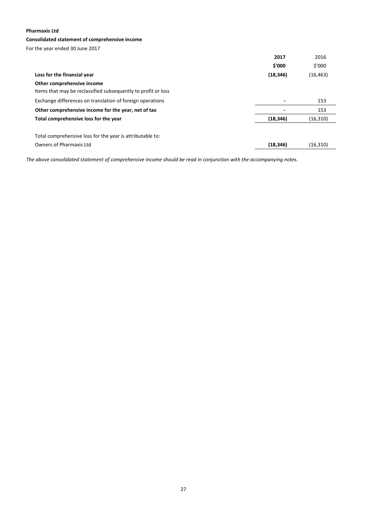### **Consolidated statement of comprehensive income**

For the year ended 30 June 2017

|                                                               | 2017      | 2016      |
|---------------------------------------------------------------|-----------|-----------|
|                                                               | \$'000    | \$'000    |
| Loss for the financial year                                   | (18, 346) | (16,463)  |
| Other comprehensive income                                    |           |           |
| Items that may be reclassified subsequently to profit or loss |           |           |
| Exchange differences on translation of foreign operations     |           | 153       |
| Other comprehensive income for the year, net of tax           |           | 153       |
| Total comprehensive loss for the year                         | (18, 346) | (16, 310) |
|                                                               |           |           |
| Total comprehensive loss for the year is attributable to:     |           |           |
| Owners of Pharmaxis Ltd                                       | (18, 346) | (16, 310) |

The above consolidated statement of comprehensive income should be read in conjunction with the accompanying notes.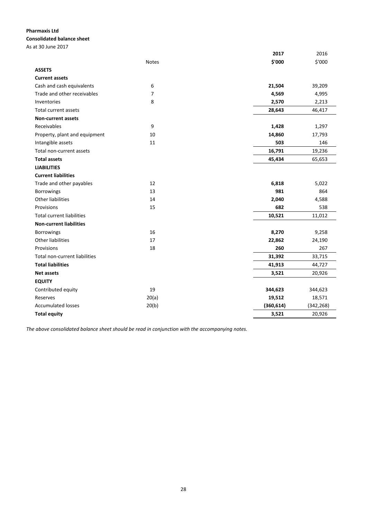### **Pharmaxis Ltd Consolidated balance sheet**

As at 30 June 2017

|                                  |                | 2017       | 2016       |
|----------------------------------|----------------|------------|------------|
|                                  | <b>Notes</b>   | \$'000     | \$'000     |
| <b>ASSETS</b>                    |                |            |            |
| <b>Current assets</b>            |                |            |            |
| Cash and cash equivalents        | 6              | 21,504     | 39,209     |
| Trade and other receivables      | $\overline{7}$ | 4,569      | 4,995      |
| Inventories                      | 8              | 2,570      | 2,213      |
| Total current assets             |                | 28,643     | 46,417     |
| <b>Non-current assets</b>        |                |            |            |
| Receivables                      | 9              | 1,428      | 1,297      |
| Property, plant and equipment    | 10             | 14,860     | 17,793     |
| Intangible assets                | 11             | 503        | 146        |
| Total non-current assets         |                | 16,791     | 19,236     |
| <b>Total assets</b>              |                | 45,434     | 65,653     |
| <b>LIABILITIES</b>               |                |            |            |
| <b>Current liabilities</b>       |                |            |            |
| Trade and other payables         | 12             | 6,818      | 5,022      |
| Borrowings                       | 13             | 981        | 864        |
| <b>Other liabilities</b>         | 14             | 2,040      | 4,588      |
| Provisions                       | 15             | 682        | 538        |
| <b>Total current liabilities</b> |                | 10,521     | 11,012     |
| <b>Non-current liabilities</b>   |                |            |            |
| Borrowings                       | 16             | 8,270      | 9,258      |
| <b>Other liabilities</b>         | 17             | 22,862     | 24,190     |
| Provisions                       | 18             | 260        | 267        |
| Total non-current liabilities    |                | 31,392     | 33,715     |
| <b>Total liabilities</b>         |                | 41,913     | 44,727     |
| <b>Net assets</b>                |                | 3,521      | 20,926     |
| <b>EQUITY</b>                    |                |            |            |
| Contributed equity               | 19             | 344,623    | 344,623    |
| Reserves                         | 20(a)          | 19,512     | 18,571     |
| <b>Accumulated losses</b>        | 20(b)          | (360, 614) | (342, 268) |
| <b>Total equity</b>              |                | 3,521      | 20,926     |
|                                  |                |            |            |

*The above consolidated balance sheet should be read in conjunction with the accompanying notes.*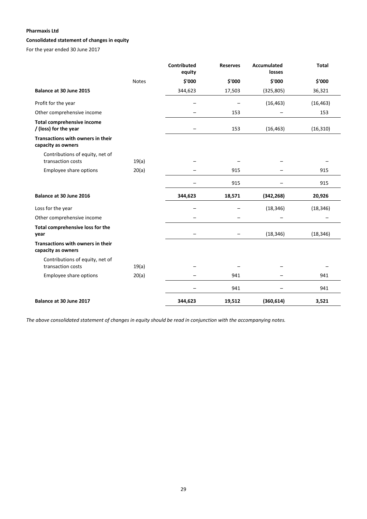### **Consolidated statement of changes in equity**

For the year ended 30 June 2017

|                                                            |              | <b>Contributed</b><br>equity | <b>Reserves</b> | <b>Accumulated</b><br>losses | <b>Total</b> |
|------------------------------------------------------------|--------------|------------------------------|-----------------|------------------------------|--------------|
|                                                            | <b>Notes</b> | \$'000                       | \$'000          | \$'000                       | \$'000       |
| Balance at 30 June 2015                                    |              | 344,623                      | 17,503          | (325, 805)                   | 36,321       |
| Profit for the year                                        |              | -                            |                 | (16, 463)                    | (16, 463)    |
| Other comprehensive income                                 |              |                              | 153             |                              | 153          |
| <b>Total comprehensive income</b><br>/ (loss) for the year |              |                              | 153             | (16, 463)                    | (16, 310)    |
| Transactions with owners in their<br>capacity as owners    |              |                              |                 |                              |              |
| Contributions of equity, net of<br>transaction costs       | 19(a)        |                              |                 |                              |              |
| Employee share options                                     | 20(a)        |                              | 915             |                              | 915          |
|                                                            |              |                              | 915             |                              | 915          |
| Balance at 30 June 2016                                    |              | 344,623                      | 18,571          | (342, 268)                   | 20,926       |
| Loss for the year                                          |              |                              |                 | (18, 346)                    | (18, 346)    |
| Other comprehensive income                                 |              |                              |                 |                              |              |
| Total comprehensive loss for the<br>year                   |              |                              |                 | (18, 346)                    | (18, 346)    |
| Transactions with owners in their<br>capacity as owners    |              |                              |                 |                              |              |
| Contributions of equity, net of<br>transaction costs       | 19(a)        |                              |                 |                              |              |
| Employee share options                                     | 20(a)        |                              | 941             |                              | 941          |
|                                                            |              |                              | 941             |                              | 941          |
| Balance at 30 June 2017                                    |              | 344,623                      | 19,512          | (360, 614)                   | 3,521        |

The above consolidated statement of changes in equity should be read in conjunction with the accompanying notes.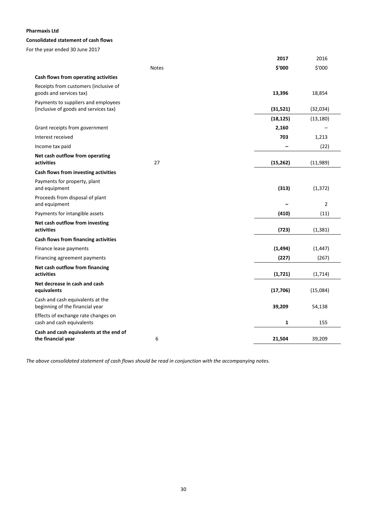### **Consolidated statement of cash flows**

For the year ended 30 June 2017

|                                                                     |              | 2017         | 2016           |
|---------------------------------------------------------------------|--------------|--------------|----------------|
|                                                                     | <b>Notes</b> | \$'000       | \$'000         |
| Cash flows from operating activities                                |              |              |                |
| Receipts from customers (inclusive of<br>goods and services tax)    |              | 13,396       | 18,854         |
| Payments to suppliers and employees                                 |              |              |                |
| (inclusive of goods and services tax)                               |              | (31,521)     | (32,034)       |
|                                                                     |              | (18, 125)    | (13, 180)      |
| Grant receipts from government                                      |              | 2,160        |                |
| Interest received                                                   |              | 703          | 1,213          |
| Income tax paid                                                     |              |              | (22)           |
| Net cash outflow from operating<br>activities                       | 27           | (15, 262)    | (11,989)       |
| Cash flows from investing activities                                |              |              |                |
| Payments for property, plant<br>and equipment                       |              | (313)        | (1, 372)       |
| Proceeds from disposal of plant<br>and equipment                    |              |              | $\overline{2}$ |
| Payments for intangible assets                                      |              | (410)        | (11)           |
| Net cash outflow from investing<br>activities                       |              | (723)        | (1, 381)       |
| Cash flows from financing activities                                |              |              |                |
| Finance lease payments                                              |              | (1, 494)     | (1, 447)       |
| Financing agreement payments                                        |              | (227)        | (267)          |
| Net cash outflow from financing<br>activities                       |              | (1, 721)     | (1, 714)       |
| Net decrease in cash and cash<br>equivalents                        |              | (17, 706)    | (15,084)       |
| Cash and cash equivalents at the<br>beginning of the financial year |              | 39,209       | 54,138         |
| Effects of exchange rate changes on<br>cash and cash equivalents    |              | $\mathbf{1}$ | 155            |
| Cash and cash equivalents at the end of<br>the financial year       | 6            | 21,504       | 39,209         |
|                                                                     |              |              |                |

*The above consolidated statement of cash flows should be read in conjunction with the accompanying notes.*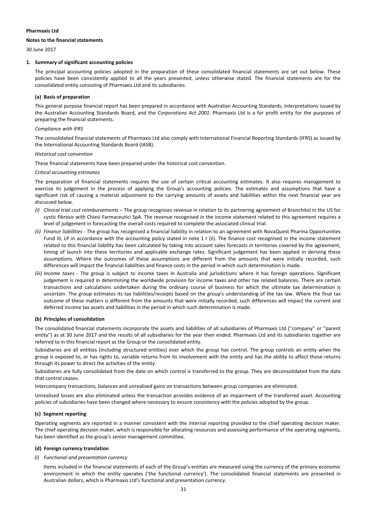#### **Notes to the financial statements**

30 June 2017

### **1. Summary of significant accounting policies**

The principal accounting policies adopted in the preparation of these consolidated financial statements are set out below. These policies have been consistently applied to all the years presented, unless otherwise stated. The financial statements are for the consolidated entity consisting of Pharmaxis Ltd and its subsidiaries.

### **(a) Basis of preparation**

This general purpose financial report has been prepared in accordance with Australian Accounting Standards, Interpretations issued by the Australian Accounting Standards Board, and the *Corporations Act 2001.* Pharmaxis Ltd is a for profit entity for the purposes of preparing the financial statements.

### *Compliance with IFRS*

The consolidated financial statements of Pharmaxis Ltd also comply with International Financial Reporting Standards (IFRS) as issued by the International Accounting Standards Board (IASB).

### *Historical cost convention*

These financial statements have been prepared under the historical cost convention.

### *Critical accounting estimates*

The preparation of financial statements requires the use of certain critical accounting estimates. It also requires management to exercise its judgement in the process of applying the Group's accounting policies. The estimates and assumptions that have a significant risk of causing a material adjustment to the carrying amounts of assets and liabilities within the next financial year are discussed below.

- *(i) Clinical trial cost reimbursements* The group recognises revenue in relation to its partnering agreement of Bronchitol in the US for cystic fibrosis with Chiesi Farmaceutici SpA. The revenue recognised in the income statement related to this agreement requires a level of judgement in forecasting the overall costs required to complete the associated clinical trial.
- *(ii) Finance liabilities* ‐ The group has recognised a financial liability in relation to an agreement with NovaQuest Pharma Opportunities Fund III, LP in accordance with the accounting policy stated in note 1 r (ii). The finance cost recognised in the income statement related to this financial liability has been calculated by taking into account sales forecasts in territories covered by the agreement, timing of launch into these territories and applicable exchange rates. Significant judgement has been applied in deriving these assumptions. Where the outcomes of these assumptions are different from the amounts that were initially recorded, such differences will impact the financial liabilities and finance costs in the period in which such determination is made.
- *(iii) Income taxes* ‐ The group is subject to income taxes in Australia and jurisdictions where it has foreign operations. Significant judgement is required in determining the worldwide provision for income taxes and other tax related balances. There are certain transactions and calculations undertaken during the ordinary course of business for which the ultimate tax determination is uncertain. The group estimates its tax liabilities/receipts based on the group's understanding of the tax law. Where the final tax outcome of these matters is different from the amounts that were initially recorded, such differences will impact the current and deferred income tax assets and liabilities in the period in which such determination is made.

### **(b) Principles of consolidation**

The consolidated financial statements incorporate the assets and liabilities of all subsidiaries of Pharmaxis Ltd (''company'' or ''parent entity'') as at 30 June 2017 and the results of all subsidiaries for the year then ended. Pharmaxis Ltd and its subsidiaries together are referred to in this financial report as the Group or the consolidated entity.

Subsidiaries are all entities (including structured entities) over which the group has control. The group controls an entity when the group is exposed to, or has rights to, variable returns from its involvement with the entity and has the ability to affect those returns through its power to direct the activities of the entity.

Subsidiaries are fully consolidated from the date on which control is transferred to the group. They are deconsolidated from the date that control ceases.

Intercompany transactions, balances and unrealised gains on transactions between group companies are eliminated.

Unrealised losses are also eliminated unless the transaction provides evidence of an impairment of the transferred asset. Accounting policies of subsidiaries have been changed where necessary to ensure consistency with the policies adopted by the group.

### **(c) Segment reporting**

Operating segments are reported in a manner consistent with the internal reporting provided to the chief operating decision maker. The chief operating decision maker, which is responsible for allocating resources and assessing performance of the operating segments, has been identified as the group's senior management committee.

### **(d) Foreign currency translation**

### *(i) Functional and presentation currency*

Items included in the financial statements of each of the Group's entities are measured using the currency of the primary economic environment in which the entity operates ('the functional currency'). The consolidated financial statements are presented in Australian dollars, which is Pharmaxis Ltd's functional and presentation currency.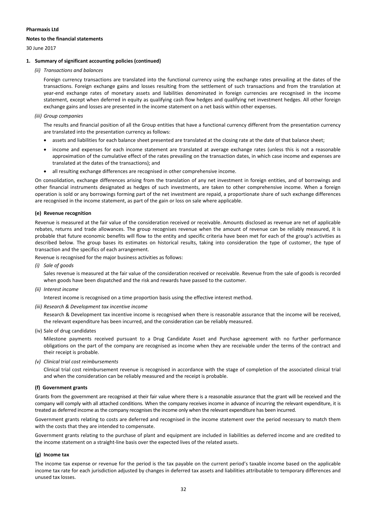#### **Notes to the financial statements**

30 June 2017

### **1. Summary of significant accounting policies (continued)**

*(ii) Transactions and balances*

Foreign currency transactions are translated into the functional currency using the exchange rates prevailing at the dates of the transactions. Foreign exchange gains and losses resulting from the settlement of such transactions and from the translation at year‐end exchange rates of monetary assets and liabilities denominated in foreign currencies are recognised in the income statement, except when deferred in equity as qualifying cash flow hedges and qualifying net investment hedges. All other foreign exchange gains and losses are presented in the income statement on a net basis within other expenses.

### *(iii) Group companies*

The results and financial position of all the Group entities that have a functional currency different from the presentation currency are translated into the presentation currency as follows:

- assets and liabilities for each balance sheet presented are translated at the closing rate at the date of that balance sheet;
- income and expenses for each income statement are translated at average exchange rates (unless this is not a reasonable approximation of the cumulative effect of the rates prevailing on the transaction dates, in which case income and expenses are translated at the dates of the transactions); and
- all resulting exchange differences are recognised in other comprehensive income.

On consolidation, exchange differences arising from the translation of any net investment in foreign entities, and of borrowings and other financial instruments designated as hedges of such investments, are taken to other comprehensive income. When a foreign operation is sold or any borrowings forming part of the net investment are repaid, a proportionate share of such exchange differences are recognised in the income statement, as part of the gain or loss on sale where applicable.

### **(e) Revenue recognition**

Revenue is measured at the fair value of the consideration received or receivable. Amounts disclosed as revenue are net of applicable rebates, returns and trade allowances. The group recognises revenue when the amount of revenue can be reliably measured, it is probable that future economic benefits will flow to the entity and specific criteria have been met for each of the group's activities as described below. The group bases its estimates on historical results, taking into consideration the type of customer, the type of transaction and the specifics of each arrangement.

Revenue is recognised for the major business activities as follows:

*(i) Sale of goods*

Sales revenue is measured at the fair value of the consideration received or receivable. Revenue from the sale of goods is recorded when goods have been dispatched and the risk and rewards have passed to the customer.

*(ii) Interest income*

Interest income is recognised on a time proportion basis using the effective interest method.

*(iii) Research & Development tax incentive income*

Research & Development tax incentive income is recognised when there is reasonable assurance that the income will be received, the relevant expenditure has been incurred, and the consideration can be reliably measured.

(iv) Sale of drug candidates

Milestone payments received pursuant to a Drug Candidate Asset and Purchase agreement with no further performance obligations on the part of the company are recognised as income when they are receivable under the terms of the contract and their receipt is probable.

*(v) Clinical trial cost reimbursements*

Clinical trial cost reimbursement revenue is recognised in accordance with the stage of completion of the associated clinical trial and when the consideration can be reliably measured and the receipt is probable.

### **(f) Government grants**

Grants from the government are recognised at their fair value where there is a reasonable assurance that the grant will be received and the company will comply with all attached conditions. When the company receives income in advance of incurring the relevant expenditure, it is treated as deferred income asthe company recognisesthe income only when the relevant expenditure has been incurred.

Government grants relating to costs are deferred and recognised in the income statement over the period necessary to match them with the costs that they are intended to compensate.

Government grants relating to the purchase of plant and equipment are included in liabilities as deferred income and are credited to the income statement on a straight‐line basis over the expected lives of the related assets.

### **(g) Income tax**

The income tax expense or revenue for the period is the tax payable on the current period's taxable income based on the applicable income tax rate for each jurisdiction adjusted by changes in deferred tax assets and liabilities attributable to temporary differences and unused tax losses.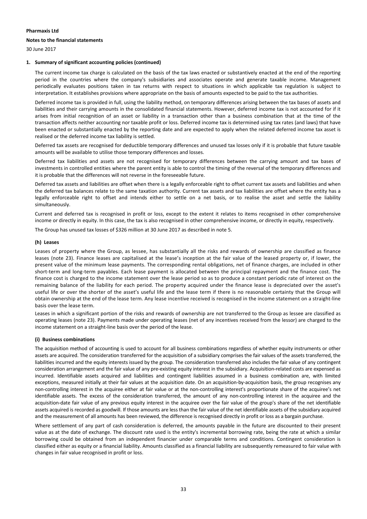### **Notes to the financial statements**

30 June 2017

### **1. Summary of significant accounting policies (continued)**

The current income tax charge is calculated on the basis of the tax laws enacted or substantively enacted at the end of the reporting period in the countries where the company's subsidiaries and associates operate and generate taxable income. Management periodically evaluates positions taken in tax returns with respect to situations in which applicable tax regulation is subject to interpretation. It establishes provisions where appropriate on the basis of amounts expected to be paid to the tax authorities.

Deferred income tax is provided in full, using the liability method, on temporary differences arising between the tax bases of assets and liabilities and their carrying amounts in the consolidated financial statements. However, deferred income tax is not accounted for if it arises from initial recognition of an asset or liability in a transaction other than a business combination that at the time of the transaction affects neither accounting nor taxable profit or loss. Deferred income tax is determined using tax rates (and laws) that have been enacted or substantially enacted by the reporting date and are expected to apply when the related deferred income tax asset is realised or the deferred income tax liability is settled.

Deferred tax assets are recognised for deductible temporary differences and unused tax losses only if it is probable that future taxable amounts will be available to utilise those temporary differences and losses.

Deferred tax liabilities and assets are not recognised for temporary differences between the carrying amount and tax bases of investments in controlled entities where the parent entity is able to control the timing of the reversal of the temporary differences and it is probable that the differences will not reverse in the foreseeable future.

Deferred tax assets and liabilities are offset when there is a legally enforceable right to offset current tax assets and liabilities and when the deferred tax balances relate to the same taxation authority. Current tax assets and tax liabilities are offset where the entity has a legally enforceable right to offset and intends either to settle on a net basis, or to realise the asset and settle the liability simultaneously.

Current and deferred tax is recognised in profit or loss, except to the extent it relates to items recognised in other comprehensive income or directly in equity. In this case, the tax is also recognised in other comprehensive income, or directly in equity, respectively.

The Group has unused tax losses of \$326 million at 30 June 2017 as described in note 5.

### **(h) Leases**

Leases of property where the Group, as lessee, has substantially all the risks and rewards of ownership are classified as finance leases (note 23). Finance leases are capitalised at the lease's inception at the fair value of the leased property or, if lower, the present value of the minimum lease payments. The corresponding rental obligations, net of finance charges, are included in other short-term and long-term payables. Each lease payment is allocated between the principal repayment and the finance cost. The finance cost is charged to the income statement over the lease period so as to produce a constant periodic rate of interest on the remaining balance of the liability for each period. The property acquired under the finance lease is depreciated over the asset's useful life or over the shorter of the asset's useful life and the lease term if there is no reasonable certainty that the Group will obtain ownership at the end of the lease term. Any lease incentive received is recognised in the income statement on a straight‐line basis over the lease term.

Leases in which a significant portion of the risks and rewards of ownership are not transferred to the Group as lessee are classified as operating leases (note 23). Payments made under operating leases (net of any incentives received from the lessor) are charged to the income statement on a straight‐line basis over the period of the lease.

### **(i) Business combinations**

The acquisition method of accounting is used to account for all business combinations regardless of whether equity instruments or other assets are acquired. The consideration transferred for the acquisition of a subsidiary comprises the fair values of the assets transferred, the liabilities incurred and the equity interests issued by the group. The consideration transferred also includes the fair value of any contingent consideration arrangement and the fair value of any pre‐existing equity interest in the subsidiary. Acquisition‐related costs are expensed as incurred. Identifiable assets acquired and liabilities and contingent liabilities assumed in a business combination are, with limited exceptions, measured initially at their fair values at the acquisition date. On an acquisition-by-acquisition basis, the group recognises any non‐controlling interest in the acquiree either at fair value or at the non‐controlling interest's proportionate share of the acquiree's net identifiable assets. The excess of the consideration transferred, the amount of any non-controlling interest in the acquiree and the acquisition‐date fair value of any previous equity interest in the acquiree over the fair value of the group's share of the net identifiable assets acquired is recorded as goodwill. If those amounts are less than the fair value of the net identifiable assets of the subsidiary acquired and the measurement of all amounts has been reviewed, the difference is recognised directly in profit or loss as a bargain purchase.

Where settlement of any part of cash consideration is deferred, the amounts payable in the future are discounted to their present value as at the date of exchange. The discount rate used is the entity's incremental borrowing rate, being the rate at which a similar borrowing could be obtained from an independent financier under comparable terms and conditions. Contingent consideration is classified either as equity or a financial liability. Amounts classified as a financial liability are subsequently remeasured to fair value with changes in fair value recognised in profit or loss.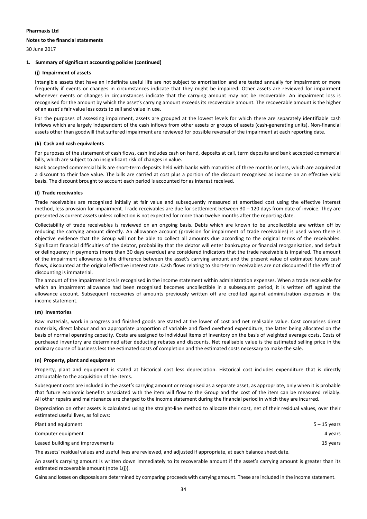#### **Notes to the financial statements**

30 June 2017

### **1. Summary of significant accounting policies (continued)**

### **(j) Impairment of assets**

Intangible assets that have an indefinite useful life are not subject to amortisation and are tested annually for impairment or more frequently if events or changes in circumstances indicate that they might be impaired. Other assets are reviewed for impairment whenever events or changes in circumstances indicate that the carrying amount may not be recoverable. An impairment loss is recognised for the amount by which the asset's carrying amount exceeds its recoverable amount. The recoverable amount is the higher of an asset's fair value less costs to sell and value in use.

For the purposes of assessing impairment, assets are grouped at the lowest levels for which there are separately identifiable cash inflows which are largely independent of the cash inflows from other assets or groups of assets (cash-generating units). Non-financial assets other than goodwill that suffered impairment are reviewed for possible reversal of the impairment at each reporting date.

### **(k) Cash and cash equivalents**

For purposes of the statement of cash flows, cash includes cash on hand, deposits at call, term deposits and bank accepted commercial bills, which are subject to an insignificant risk of changes in value.

Bank accepted commercial bills are short‐term deposits held with banks with maturities of three months or less, which are acquired at a discount to their face value. The bills are carried at cost plus a portion of the discount recognised as income on an effective yield basis. The discount brought to account each period is accounted for as interest received.

### **(l) Trade receivables**

Trade receivables are recognised initially at fair value and subsequently measured at amortised cost using the effective interest method, less provision for impairment. Trade receivables are due for settlement between 30 – 120 days from date of invoice. They are presented as current assets unless collection is not expected for more than twelve months after the reporting date.

Collectability of trade receivables is reviewed on an ongoing basis. Debts which are known to be uncollectible are written off by reducing the carrying amount directly. An allowance account (provision for impairment of trade receivables) is used when there is objective evidence that the Group will not be able to collect all amounts due according to the original terms of the receivables. Significant financial difficulties of the debtor, probability that the debtor will enter bankruptcy or financial reorganisation, and default or delinquency in payments (more than 30 days overdue) are considered indicators that the trade receivable is impaired. The amount of the impairment allowance is the difference between the asset's carrying amount and the present value of estimated future cash flows, discounted at the original effective interest rate. Cash flows relating to short-term receivables are not discounted if the effect of discounting is immaterial.

The amount of the impairment loss is recognised in the income statement within administration expenses. When a trade receivable for which an impairment allowance had been recognised becomes uncollectible in a subsequent period, it is written off against the allowance account. Subsequent recoveries of amounts previously written off are credited against administration expenses in the income statement.

#### **(m) Inventories**

Raw materials, work in progress and finished goods are stated at the lower of cost and net realisable value. Cost comprises direct materials, direct labour and an appropriate proportion of variable and fixed overhead expenditure, the latter being allocated on the basis of normal operating capacity. Costs are assigned to individual items of inventory on the basis of weighted average costs. Costs of purchased inventory are determined after deducting rebates and discounts. Net realisable value is the estimated selling price in the ordinary course of business less the estimated costs of completion and the estimated costs necessary to make the sale.

### **(n) Property, plant and equipment**

Property, plant and equipment is stated at historical cost less depreciation. Historical cost includes expenditure that is directly attributable to the acquisition of the items.

Subsequent costs are included in the asset's carrying amount or recognised as a separate asset, as appropriate, only when it is probable that future economic benefits associated with the item will flow to the Group and the cost of the item can be measured reliably. All other repairs and maintenance are charged to the income statement during the financial period in which they are incurred.

Depreciation on other assets is calculated using the straight-line method to allocate their cost, net of their residual values, over their estimated useful lives, as follows:

| Plant and equipment                                                                                                             | $5 - 15$ years |
|---------------------------------------------------------------------------------------------------------------------------------|----------------|
| Computer equipment                                                                                                              | 4 years        |
| Leased building and improvements                                                                                                | 15 years       |
| المفاط فمحامل ومحاميا وامحماها المفاوضو ومحافظة المتفرز المعارضين والمتحدث ومحامدت المتابع والمستحدث والمتحدث والمحافظ والتاريخ |                |

The assets' residual values and useful lives are reviewed, and adjusted if appropriate, at each balance sheet date.

An asset's carrying amount is written down immediately to its recoverable amount if the asset's carrying amount is greater than its estimated recoverable amount (note 1(j)).

Gains and losses on disposals are determined by comparing proceeds with carrying amount. These are included in the income statement.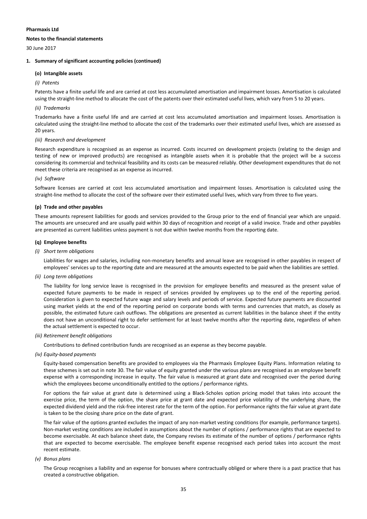### **Notes to the financial statements**

30 June 2017

### **1. Summary of significant accounting policies (continued)**

### **(o) Intangible assets**

#### *(i) Patents*

Patents have a finite useful life and are carried at cost less accumulated amortisation and impairment losses. Amortisation is calculated using the straight-line method to allocate the cost of the patents over their estimated useful lives, which vary from 5 to 20 years.

#### *(ii) Trademarks*

Trademarks have a finite useful life and are carried at cost less accumulated amortisation and impairment losses. Amortisation is calculated using the straight‐line method to allocate the cost of the trademarks over their estimated useful lives, which are assessed as 20 years.

### *(iii) Research and development*

Research expenditure is recognised as an expense as incurred. Costs incurred on development projects (relating to the design and testing of new or improved products) are recognised as intangible assets when it is probable that the project will be a success considering its commercial and technical feasibility and its costs can be measured reliably. Other development expenditures that do not meet these criteria are recognised as an expense as incurred.

### *(iv) Software*

Software licenses are carried at cost less accumulated amortisation and impairment losses. Amortisation is calculated using the straight‐line method to allocate the cost of the software over their estimated useful lives, which vary from three to five years.

### **(p) Trade and other payables**

These amounts represent liabilities for goods and services provided to the Group prior to the end of financial year which are unpaid. The amounts are unsecured and are usually paid within 30 days of recognition and receipt of a valid invoice. Trade and other payables are presented as current liabilities unless payment is not due within twelve months from the reporting date.

### **(q) Employee benefits**

### *(i) Short term obligations*

Liabilities for wages and salaries, including non-monetary benefits and annual leave are recognised in other payables in respect of employees' services up to the reporting date and are measured at the amounts expected to be paid when the liabilities are settled.

*(ii) Long term obligations*

The liability for long service leave is recognised in the provision for employee benefits and measured as the present value of expected future payments to be made in respect of services provided by employees up to the end of the reporting period. Consideration is given to expected future wage and salary levels and periods of service. Expected future payments are discounted using market yields at the end of the reporting period on corporate bonds with terms and currencies that match, as closely as possible, the estimated future cash outflows. The obligations are presented as current liabilities in the balance sheet if the entity does not have an unconditional right to defer settlement for at least twelve months after the reporting date, regardless of when the actual settlement is expected to occur.

#### *(iii) Retirement benefit obligations*

Contributions to defined contribution funds are recognised as an expense as they become payable.

*(iv) Equity‐based payments*

Equity‐based compensation benefits are provided to employees via the Pharmaxis Employee Equity Plans. Information relating to these schemes is set out in note 30. The fair value of equity granted under the various plans are recognised as an employee benefit expense with a corresponding increase in equity. The fair value is measured at grant date and recognised over the period during which the employees become unconditionally entitled to the options / performance rights.

For options the fair value at grant date is determined using a Black-Scholes option pricing model that takes into account the exercise price, the term of the option, the share price at grant date and expected price volatility of the underlying share, the expected dividend yield and the risk‐free interest rate for the term of the option. For performance rights the fair value at grant date is taken to be the closing share price on the date of grant.

The fair value of the options granted excludes the impact of any non-market vesting conditions (for example, performance targets). Non-market vesting conditions are included in assumptions about the number of options / performance rights that are expected to become exercisable. At each balance sheet date, the Company revises its estimate of the number of options / performance rights that are expected to become exercisable. The employee benefit expense recognised each period takes into account the most recent estimate.

*(v) Bonus plans*

The Group recognises a liability and an expense for bonuses where contractually obliged or where there is a past practice that has created a constructive obligation.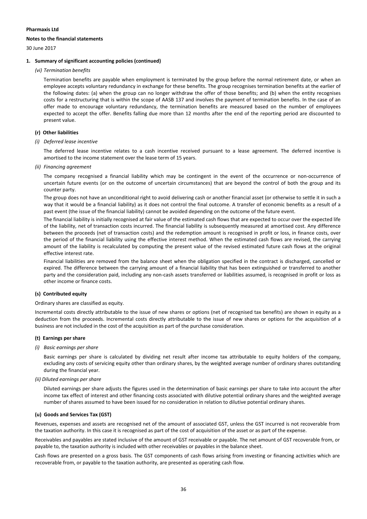### **Notes to the financial statements**

30 June 2017

### **1. Summary of significant accounting policies (continued)**

*(vi) Termination benefits*

Termination benefits are payable when employment is terminated by the group before the normal retirement date, or when an employee accepts voluntary redundancy in exchange for these benefits. The group recognises termination benefits at the earlier of the following dates: (a) when the group can no longer withdraw the offer of those benefits; and (b) when the entity recognises costs for a restructuring that is within the scope of AASB 137 and involves the payment of termination benefits. In the case of an offer made to encourage voluntary redundancy, the termination benefits are measured based on the number of employees expected to accept the offer. Benefits falling due more than 12 months after the end of the reporting period are discounted to present value.

### **(r) Other liabilities**

### *(i) Deferred lease incentive*

The deferred lease incentive relates to a cash incentive received pursuant to a lease agreement. The deferred incentive is amortised to the income statement over the lease term of 15 years.

*(ii) Financing agreement*

The company recognised a financial liability which may be contingent in the event of the occurrence or non‐occurrence of uncertain future events (or on the outcome of uncertain circumstances) that are beyond the control of both the group and its counter party.

The group does not have an unconditional right to avoid delivering cash or another financial asset (or otherwise to settle it in such a way that it would be a financial liability) as it does not control the final outcome. A transfer of economic benefits as a result of a past event (the issue of the financial liability) cannot be avoided depending on the outcome of the future event.

The financial liability is initially recognised at fair value of the estimated cash flows that are expected to occur over the expected life of the liability, net of transaction costs incurred. The financial liability is subsequently measured at amortised cost. Any difference between the proceeds (net of transaction costs) and the redemption amount is recognised in profit or loss, in finance costs, over the period of the financial liability using the effective interest method. When the estimated cash flows are revised, the carrying amount of the liability is recalculated by computing the present value of the revised estimated future cash flows at the original effective interest rate.

Financial liabilities are removed from the balance sheet when the obligation specified in the contract is discharged, cancelled or expired. The difference between the carrying amount of a financial liability that has been extinguished or transferred to another party and the consideration paid, including any non‐cash assets transferred or liabilities assumed, is recognised in profit or loss as other income or finance costs.

### **(s) Contributed equity**

Ordinary shares are classified as equity.

Incremental costs directly attributable to the issue of new shares or options (net of recognised tax benefits) are shown in equity as a deduction from the proceeds. Incremental costs directly attributable to the issue of new shares or options for the acquisition of a business are not included in the cost of the acquisition as part of the purchase consideration.

#### **(t) Earnings per share**

*(i) Basic earnings per share*

Basic earnings per share is calculated by dividing net result after income tax attributable to equity holders of the company, excluding any costs of servicing equity other than ordinary shares, by the weighted average number of ordinary shares outstanding during the financial year.

#### *(ii) Diluted earnings per share*

Diluted earnings per share adjusts the figures used in the determination of basic earnings per share to take into account the after income tax effect of interest and other financing costs associated with dilutive potential ordinary shares and the weighted average number of shares assumed to have been issued for no consideration in relation to dilutive potential ordinary shares.

### **(u) Goods and Services Tax (GST)**

Revenues, expenses and assets are recognised net of the amount of associated GST, unless the GST incurred is not recoverable from the taxation authority. In this case it is recognised as part of the cost of acquisition of the asset or as part of the expense.

Receivables and payables are stated inclusive of the amount of GST receivable or payable. The net amount of GST recoverable from, or payable to, the taxation authority is included with other receivables or payables in the balance sheet.

Cash flows are presented on a gross basis. The GST components of cash flows arising from investing or financing activities which are recoverable from, or payable to the taxation authority, are presented as operating cash flow.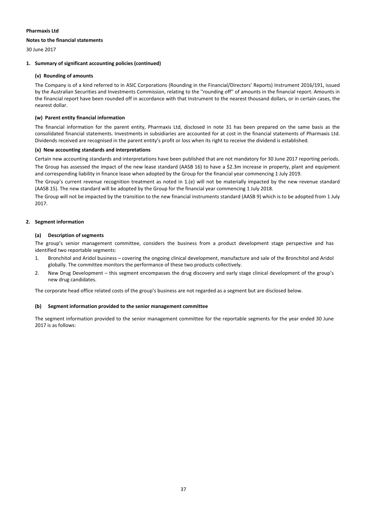### **Notes to the financial statements**

30 June 2017

### **1. Summary of significant accounting policies (continued)**

### **(v) Rounding of amounts**

The Company is of a kind referred to in ASIC Corporations (Rounding in the Financial/Directors' Reports) Instrument 2016/191, issued by the Australian Securities and Investments Commission, relating to the ''rounding off'' of amounts in the financial report. Amounts in the financial report have been rounded off in accordance with that Instrument to the nearest thousand dollars, or in certain cases, the nearest dollar.

### **(w) Parent entity financial information**

The financial information for the parent entity, Pharmaxis Ltd, disclosed in note 31 has been prepared on the same basis as the consolidated financial statements. Investments in subsidiaries are accounted for at cost in the financial statements of Pharmaxis Ltd. Dividends received are recognised in the parent entity's profit or loss when its right to receive the dividend is established.

### **(x) New accounting standards and interpretations**

Certain new accounting standards and interpretations have been published that are not mandatory for 30 June 2017 reporting periods. The Group has assessed the impact of the new lease standard (AASB 16) to have a \$2.3m increase in property, plant and equipment and corresponding liability in finance lease when adopted by the Group for the financial year commencing 1 July 2019.

The Group's current revenue recognition treatment as noted in 1.(e) will not be materially impacted by the new revenue standard (AASB 15). The new standard will be adopted by the Group for the financial year commencing 1 July 2018.

The Group will not be impacted by the transition to the new financial instruments standard (AASB 9) which is to be adopted from 1 July 2017.

### **2. Segment information**

### **(a) Description of segments**

The group's senior management committee, considers the business from a product development stage perspective and has identified two reportable segments:

- 1. Bronchitol and Aridol business covering the ongoing clinical development, manufacture and sale of the Bronchitol and Aridol globally. The committee monitors the performance of these two products collectively.
- 2. New Drug Development this segment encompasses the drug discovery and early stage clinical development of the group's new drug candidates.

The corporate head office related costs of the group's business are not regarded as a segment but are disclosed below.

### **(b) Segment information provided to the senior management committee**

The segment information provided to the senior management committee for the reportable segments for the year ended 30 June 2017 is as follows: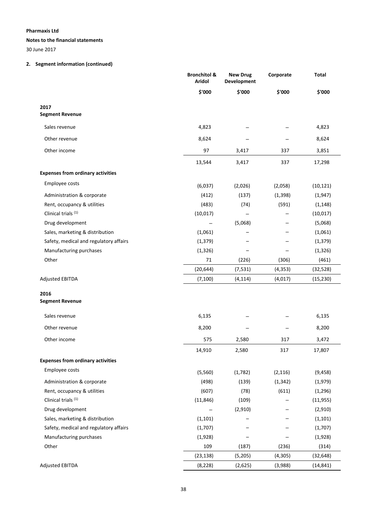### **Notes to the financial statements**

30 June 2017

### **2. Segment information (continued)**

|                                          | <b>Bronchitol &amp;</b><br>Aridol | <b>New Drug</b><br><b>Development</b> | Corporate | Total     |
|------------------------------------------|-----------------------------------|---------------------------------------|-----------|-----------|
|                                          | \$'000                            | \$'000                                | \$'000    | \$'000    |
| 2017<br><b>Segment Revenue</b>           |                                   |                                       |           |           |
| Sales revenue                            | 4,823                             |                                       |           | 4,823     |
| Other revenue                            | 8,624                             |                                       |           | 8,624     |
| Other income                             | 97                                | 3,417                                 | 337       | 3,851     |
|                                          | 13,544                            | 3,417                                 | 337       | 17,298    |
| <b>Expenses from ordinary activities</b> |                                   |                                       |           |           |
| Employee costs                           | (6,037)                           | (2,026)                               | (2,058)   | (10, 121) |
| Administration & corporate               | (412)                             | (137)                                 | (1, 398)  | (1,947)   |
| Rent, occupancy & utilities              | (483)                             | (74)                                  | (591)     | (1, 148)  |
| Clinical trials <sup>(1)</sup>           | (10, 017)                         |                                       |           | (10, 017) |
| Drug development                         |                                   | (5,068)                               |           | (5,068)   |
| Sales, marketing & distribution          | (1,061)                           |                                       |           | (1,061)   |
| Safety, medical and regulatory affairs   | (1, 379)                          |                                       |           | (1, 379)  |
| Manufacturing purchases                  | (1, 326)                          |                                       |           | (1, 326)  |
| Other                                    | 71                                | (226)                                 | (306)     | (461)     |
|                                          | (20, 644)                         | (7, 531)                              | (4, 353)  | (32, 528) |
| <b>Adjusted EBITDA</b>                   | (7, 100)                          | (4, 114)                              | (4,017)   | (15, 230) |
| 2016                                     |                                   |                                       |           |           |
| <b>Segment Revenue</b>                   |                                   |                                       |           |           |
| Sales revenue                            | 6,135                             |                                       |           | 6,135     |
| Other revenue                            | 8,200                             |                                       |           | 8,200     |
| Other income                             | 575                               | 2,580                                 | 317       | 3,472     |
|                                          | 14,910                            | 2,580                                 | 317       | 17,807    |
| <b>Expenses from ordinary activities</b> |                                   |                                       |           |           |
| Employee costs                           | (5,560)                           | (1,782)                               | (2, 116)  | (9, 458)  |
| Administration & corporate               | (498)                             | (139)                                 | (1, 342)  | (1,979)   |
| Rent, occupancy & utilities              | (607)                             | (78)                                  | (611)     | (1, 296)  |
| Clinical trials <sup>(1)</sup>           | (11, 846)                         | (109)                                 |           | (11, 955) |
| Drug development                         |                                   | (2,910)                               |           | (2,910)   |
| Sales, marketing & distribution          | (1, 101)                          |                                       |           | (1, 101)  |
| Safety, medical and regulatory affairs   | (1,707)                           |                                       |           | (1,707)   |
| Manufacturing purchases                  | (1,928)                           |                                       |           | (1,928)   |
| Other                                    | 109                               | (187)                                 | (236)     | (314)     |
|                                          | (23, 138)                         | (5,205)                               | (4, 305)  | (32, 648) |
| <b>Adjusted EBITDA</b>                   | (8, 228)                          | (2,625)                               | (3,988)   | (14, 841) |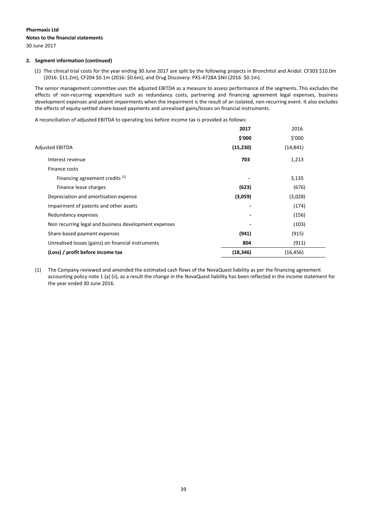## **Pharmaxis Ltd Notes to the financial statements**

30 June 2017

### **2. Segment information (continued)**

(1) The clinical trial costs for the year ending 30 June 2017 are split by the following projects in Bronchitol and Aridol: CF303 \$10.0m (2016: \$11.2m), CF204 \$0.1m (2016: \$0.6m); and Drug Discovery: PXS‐4728A \$Nil (2016: \$0.1m).

The senior management committee uses the adjusted EBITDA as a measure to assess performance of the segments. This excludes the effects of non-recurring expenditure such as redundancy costs, partnering and financing agreement legal expenses, business development expenses and patent impairments when the impairment is the result of an isolated, non-recurring event. It also excludes the effects of equity‐settled share‐based payments and unrealised gains/losses on financial instruments.

A reconciliation of adjusted EBITDA to operating loss before income tax is provided as follows:

|                                                       | 2017      | 2016      |  |
|-------------------------------------------------------|-----------|-----------|--|
|                                                       | \$'000    | \$'000    |  |
| <b>Adjusted EBITDA</b>                                | (15, 230) | (14, 841) |  |
| Interest revenue                                      | 703       | 1,213     |  |
| Finance costs                                         |           |           |  |
| Financing agreement credits (1)                       |           | 3,135     |  |
| Finance lease charges                                 | (623)     | (676)     |  |
| Depreciation and amortisation expense                 | (3,059)   | (3,028)   |  |
| Impairment of patents and other assets                |           | (174)     |  |
| Redundancy expenses                                   |           | (156)     |  |
| Non recurring legal and business development expenses |           | (103)     |  |
| Share-based payment expenses                          | (941)     | (915)     |  |
| Unrealised losses (gains) on financial instruments    | 804       | (911)     |  |
| (Loss) / profit before income tax                     | (18, 346) | (16, 456) |  |
|                                                       |           |           |  |

(1) The Company reviewed and amended the estimated cash flows of the NovaQuest liability as per the financing agreement accounting policy note 1 (a) (ii), as a result the change in the NovaQuest liability has been reflected in the income statement for the year ended 30 June 2016.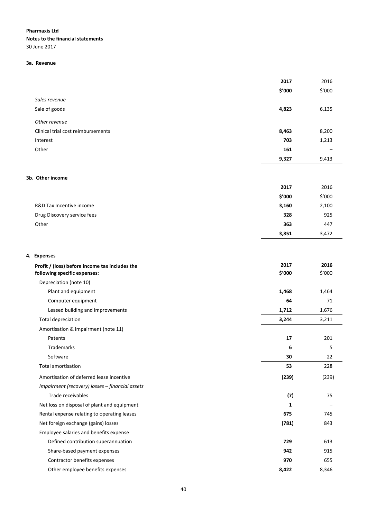**Notes to the financial statements** 30 June 2017

### **3a. Revenue**

|                                                 | 2017   | 2016   |
|-------------------------------------------------|--------|--------|
|                                                 | \$'000 | \$'000 |
| Sales revenue                                   |        |        |
| Sale of goods                                   | 4,823  | 6,135  |
| Other revenue                                   |        |        |
| Clinical trial cost reimbursements              | 8,463  | 8,200  |
| Interest                                        | 703    | 1,213  |
| Other                                           | 161    |        |
|                                                 | 9,327  | 9,413  |
|                                                 |        |        |
| 3b. Other income                                |        |        |
|                                                 | 2017   | 2016   |
|                                                 | \$'000 | \$′000 |
| R&D Tax Incentive income                        | 3,160  | 2,100  |
| Drug Discovery service fees                     | 328    | 925    |
| Other                                           | 363    | 447    |
|                                                 | 3,851  | 3,472  |
|                                                 |        |        |
| 4. Expenses                                     |        |        |
| Profit / (loss) before income tax includes the  | 2017   | 2016   |
| following specific expenses:                    | \$'000 | \$'000 |
| Depreciation (note 10)                          |        |        |
| Plant and equipment                             | 1,468  | 1,464  |
| Computer equipment                              | 64     | 71     |
| Leased building and improvements                | 1,712  | 1,676  |
| <b>Total depreciation</b>                       | 3,244  | 3,211  |
| Amortisation & impairment (note 11)             |        |        |
| Patents                                         | 17     | 201    |
| Trademarks                                      | 6      | 5      |
| Software                                        | 30     | 22     |
| <b>Total amortisation</b>                       | 53     | 228    |
| Amortisation of deferred lease incentive        | (239)  | (239)  |
| Impairment (recovery) losses - financial assets |        |        |
| Trade receivables                               | (7)    | 75     |
| Net loss on disposal of plant and equipment     | 1      |        |
| Rental expense relating to operating leases     | 675    | 745    |
| Net foreign exchange (gains) losses             | (781)  | 843    |
| Employee salaries and benefits expense          |        |        |
| Defined contribution superannuation             | 729    | 613    |
| Share-based payment expenses                    | 942    | 915    |
| Contractor benefits expenses                    | 970    | 655    |
| Other employee benefits expenses                | 8,422  | 8,346  |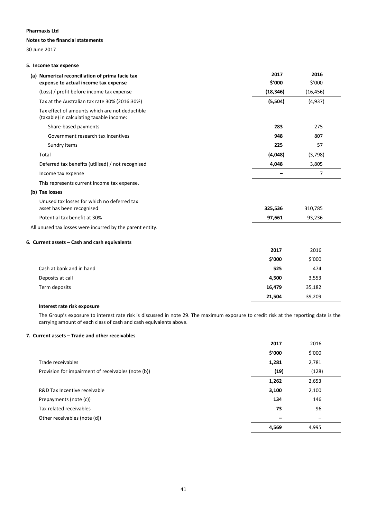### **Notes to the financial statements**

30 June 2017

### **5. Income tax expense**

| (a) Numerical reconciliation of prima facie tax                                            | 2017      | 2016           |
|--------------------------------------------------------------------------------------------|-----------|----------------|
| expense to actual income tax expense                                                       | \$'000    | \$'000         |
| (Loss) / profit before income tax expense                                                  | (18, 346) | (16, 456)      |
| Tax at the Australian tax rate 30% (2016:30%)                                              | (5,504)   | (4,937)        |
| Tax effect of amounts which are not deductible<br>(taxable) in calculating taxable income: |           |                |
| Share-based payments                                                                       | 283       | 275            |
| Government research tax incentives                                                         | 948       | 807            |
| Sundry items                                                                               | 225       | 57             |
| Total                                                                                      | (4,048)   | (3,798)        |
| Deferred tax benefits (utilised) / not recognised                                          | 4,048     | 3,805          |
| Income tax expense                                                                         |           | $\overline{7}$ |
| This represents current income tax expense.                                                |           |                |
| (b) Tax losses                                                                             |           |                |
| Unused tax losses for which no deferred tax<br>asset has been recognised                   | 325,536   | 310,785        |
| Potential tax benefit at 30%                                                               | 97,661    | 93,236         |
| All unused tax losses were incurred by the parent entity.                                  |           |                |
| 6. Current assets - Cash and cash equivalents                                              |           |                |
|                                                                                            | 2017      | 2016           |
|                                                                                            | \$'000    | \$′000         |
| Cash at bank and in hand                                                                   | 525       | 474            |
| Deposits at call                                                                           | 4,500     | 3,553          |
| Term deposits                                                                              | 16,479    | 35,182         |
|                                                                                            | 21,504    | 39.209         |

### **Interest rate risk exposure**

The Group's exposure to interest rate risk is discussed in note 29. The maximum exposure to credit risk at the reporting date is the carrying amount of each class of cash and cash equivalents above.

### **7. Current assets – Trade and other receivables**

|                                                    | 2017   | 2016   |
|----------------------------------------------------|--------|--------|
|                                                    | \$′000 | \$′000 |
| Trade receivables                                  | 1,281  | 2,781  |
| Provision for impairment of receivables (note (b)) | (19)   | (128)  |
|                                                    | 1,262  | 2,653  |
| R&D Tax Incentive receivable                       | 3,100  | 2,100  |
| Prepayments (note (c))                             | 134    | 146    |
| Tax related receivables                            | 73     | 96     |
| Other receivables (note (d))                       |        |        |
|                                                    | 4,569  | 4,995  |
|                                                    |        |        |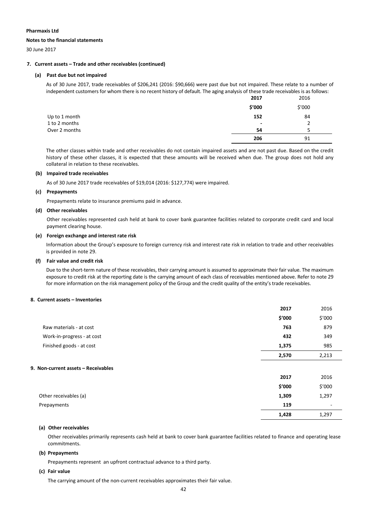#### **Notes to the financial statements**

30 June 2017

### **7. Current assets – Trade and other receivables (continued)**

### **(a) Past due but not impaired**

As of 30 June 2017, trade receivables of \$206,241 (2016: \$90,666) were past due but not impaired. These relate to a number of independent customers for whom there is no recent history of default. The aging analysis of these trade receivables is as follows:

|               | 2017                     | 2016   |
|---------------|--------------------------|--------|
|               | \$′000                   | \$′000 |
| Up to 1 month | 152                      | 84     |
| 1 to 2 months | $\overline{\phantom{a}}$ |        |
| Over 2 months | 54                       |        |
|               | 206                      | 91     |

The other classes within trade and other receivables do not contain impaired assets and are not past due. Based on the credit history of these other classes, it is expected that these amounts will be received when due. The group does not hold any collateral in relation to these receivables.

### **(b) Impaired trade receivables**

As of 30 June 2017 trade receivables of \$19,014 (2016: \$127,774) were impaired.

### **(c) Prepayments**

Prepayments relate to insurance premiums paid in advance.

### **(d) Other receivables**

Other receivables represented cash held at bank to cover bank guarantee facilities related to corporate credit card and local payment clearing house.

### **(e) Foreign exchange and interest rate risk**

Information about the Group's exposure to foreign currency risk and interest rate risk in relation to trade and other receivables is provided in note 29.

### **(f) Fair value and credit risk**

Due to the short-term nature of these receivables, their carrying amount is assumed to approximate their fair value. The maximum exposure to credit risk at the reporting date is the carrying amount of each class of receivables mentioned above. Refer to note 29 for more information on the risk management policy of the Group and the credit quality of the entity's trade receivables.

### **8. Current assets – Inventories**

|                                     | 2017   | 2016                     |
|-------------------------------------|--------|--------------------------|
|                                     | \$'000 | \$′000                   |
| Raw materials - at cost             | 763    | 879                      |
| Work-in-progress - at cost          | 432    | 349                      |
| Finished goods - at cost            | 1,375  | 985                      |
|                                     | 2,570  | 2,213                    |
| 9. Non-current assets - Receivables |        |                          |
|                                     | 2017   | 2016                     |
|                                     | \$′000 | \$′000                   |
| Other receivables (a)               | 1,309  | 1,297                    |
| Prepayments                         | 119    | $\overline{\phantom{a}}$ |
|                                     | 1,428  | 1,297                    |

### **(a) Other receivables**

Other receivables primarily represents cash held at bank to cover bank guarantee facilities related to finance and operating lease commitments.

### **(b) Prepayments**

Prepayments represent an upfront contractual advance to a third party.

### **(c) Fair value**

The carrying amount of the non-current receivables approximates their fair value.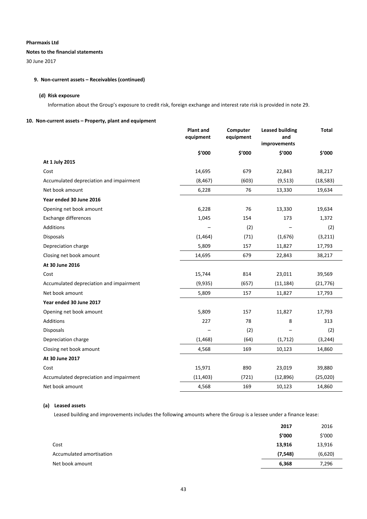### **Notes to the financial statements**

30 June 2017

### **9. Non‐current assets – Receivables (continued)**

### **(d) Risk exposure**

Information about the Group's exposure to credit risk, foreign exchange and interest rate risk is provided in note 29.

### **10. Non‐current assets – Property, plant and equipment**

|                                         | <b>Plant and</b><br>equipment | Computer<br>equipment | <b>Leased building</b><br>and<br>improvements | Total     |
|-----------------------------------------|-------------------------------|-----------------------|-----------------------------------------------|-----------|
|                                         | \$'000                        | \$'000                | \$'000                                        | \$'000    |
| At 1 July 2015                          |                               |                       |                                               |           |
| Cost                                    | 14,695                        | 679                   | 22,843                                        | 38,217    |
| Accumulated depreciation and impairment | (8, 467)                      | (603)                 | (9, 513)                                      | (18, 583) |
| Net book amount                         | 6,228                         | 76                    | 13,330                                        | 19,634    |
| Year ended 30 June 2016                 |                               |                       |                                               |           |
| Opening net book amount                 | 6,228                         | 76                    | 13,330                                        | 19,634    |
| Exchange differences                    | 1,045                         | 154                   | 173                                           | 1,372     |
| Additions                               |                               | (2)                   |                                               | (2)       |
| <b>Disposals</b>                        | (1,464)                       | (71)                  | (1,676)                                       | (3, 211)  |
| Depreciation charge                     | 5,809                         | 157                   | 11,827                                        | 17,793    |
| Closing net book amount                 | 14,695                        | 679                   | 22,843                                        | 38,217    |
| At 30 June 2016                         |                               |                       |                                               |           |
| Cost                                    | 15,744                        | 814                   | 23,011                                        | 39,569    |
| Accumulated depreciation and impairment | (9,935)                       | (657)                 | (11, 184)                                     | (21, 776) |
| Net book amount                         | 5,809                         | 157                   | 11,827                                        | 17,793    |
| Year ended 30 June 2017                 |                               |                       |                                               |           |
| Opening net book amount                 | 5,809                         | 157                   | 11,827                                        | 17,793    |
| Additions                               | 227                           | 78                    | 8                                             | 313       |
| Disposals                               |                               | (2)                   |                                               | (2)       |
| Depreciation charge                     | (1, 468)                      | (64)                  | (1, 712)                                      | (3, 244)  |
| Closing net book amount                 | 4,568                         | 169                   | 10,123                                        | 14,860    |
| At 30 June 2017                         |                               |                       |                                               |           |
| Cost                                    | 15,971                        | 890                   | 23,019                                        | 39,880    |
| Accumulated depreciation and impairment | (11, 403)                     | (721)                 | (12, 896)                                     | (25,020)  |
| Net book amount                         | 4,568                         | 169                   | 10,123                                        | 14,860    |

### **(a) Leased assets**

Leased building and improvements includes the following amounts where the Group is a lessee under a finance lease:

|                          | 2017     | 2016    |
|--------------------------|----------|---------|
|                          | \$'000   | \$′000  |
| Cost                     | 13,916   | 13,916  |
| Accumulated amortisation | (7, 548) | (6,620) |
| Net book amount          | 6,368    | 7,296   |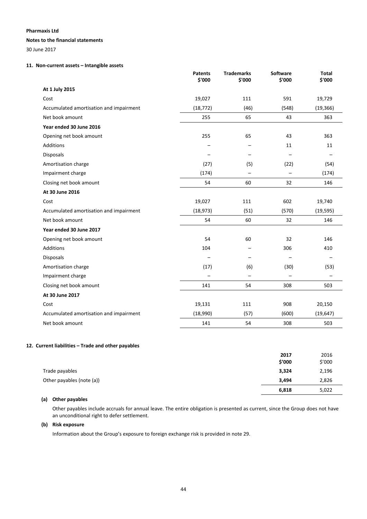#### **Notes to the financial statements**

30 June 2017

### **11. Non‐current assets – Intangible assets**

|                                         | <b>Patents</b><br>\$'000 | <b>Trademarks</b><br>\$'000 | Software<br>\$'000       | <b>Total</b><br>\$'000 |
|-----------------------------------------|--------------------------|-----------------------------|--------------------------|------------------------|
| At 1 July 2015                          |                          |                             |                          |                        |
| Cost                                    | 19,027                   | 111                         | 591                      | 19,729                 |
| Accumulated amortisation and impairment | (18, 772)                | (46)                        | (548)                    | (19, 366)              |
| Net book amount                         | 255                      | 65                          | 43                       | 363                    |
| Year ended 30 June 2016                 |                          |                             |                          |                        |
| Opening net book amount                 | 255                      | 65                          | 43                       | 363                    |
| Additions                               |                          |                             | 11                       | 11                     |
| <b>Disposals</b>                        |                          |                             |                          |                        |
| Amortisation charge                     | (27)                     | (5)                         | (22)                     | (54)                   |
| Impairment charge                       | (174)                    | $\qquad \qquad -$           | $\overline{\phantom{0}}$ | (174)                  |
| Closing net book amount                 | 54                       | 60                          | 32                       | 146                    |
| At 30 June 2016                         |                          |                             |                          |                        |
| Cost                                    | 19,027                   | 111                         | 602                      | 19,740                 |
| Accumulated amortisation and impairment | (18, 973)                | (51)                        | (570)                    | (19, 595)              |
| Net book amount                         | 54                       | 60                          | 32                       | 146                    |
| Year ended 30 June 2017                 |                          |                             |                          |                        |
| Opening net book amount                 | 54                       | 60                          | 32                       | 146                    |
| Additions                               | 104                      |                             | 306                      | 410                    |
| <b>Disposals</b>                        |                          |                             | $\overline{\phantom{0}}$ |                        |
| Amortisation charge                     | (17)                     | (6)                         | (30)                     | (53)                   |
| Impairment charge                       |                          | $\overline{\phantom{0}}$    | $\overline{\phantom{0}}$ |                        |
| Closing net book amount                 | 141                      | 54                          | 308                      | 503                    |
| At 30 June 2017                         |                          |                             |                          |                        |
| Cost                                    | 19,131                   | 111                         | 908                      | 20,150                 |
| Accumulated amortisation and impairment | (18,990)                 | (57)                        | (600)                    | (19, 647)              |
| Net book amount                         | 141                      | 54                          | 308                      | 503                    |

### **12. Current liabilities – Trade and other payables**

|                           | 2017   | 2016   |
|---------------------------|--------|--------|
|                           | \$'000 | \$′000 |
| Trade payables            | 3,324  | 2,196  |
| Other payables (note (a)) | 3,494  | 2,826  |
|                           | 6,818  | 5,022  |

### **(a) Other payables**

Other payables include accruals for annual leave. The entire obligation is presented as current, since the Group does not have an unconditional right to defer settlement.

### **(b) Risk exposure**

Information about the Group's exposure to foreign exchange risk is provided in note 29.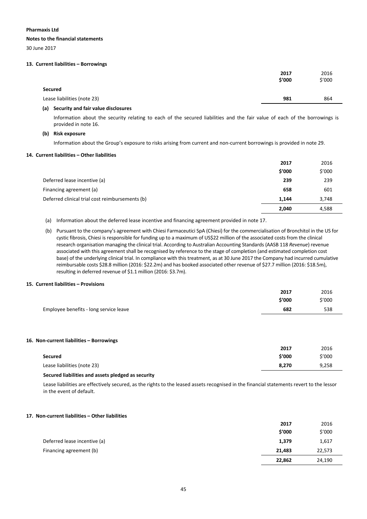#### **Notes to the financial statements**

30 June 2017

### **13. Current liabilities – Borrowings**

|                             | 2017<br>\$'000 | 2016<br>\$′000 |
|-----------------------------|----------------|----------------|
| <b>Secured</b>              |                |                |
| Lease liabilities (note 23) | 981            | 864            |
|                             |                |                |

#### **(a) Security and fair value disclosures**

Information about the security relating to each of the secured liabilities and the fair value of each of the borrowings is provided in note 16.

### **(b) Risk exposure**

Information about the Group's exposure to risks arising from current and non‐current borrowings is provided in note 29.

#### **14. Current liabilities – Other liabilities**

|                                                 | 2017   | 2016   |
|-------------------------------------------------|--------|--------|
|                                                 | \$'000 | \$′000 |
| Deferred lease incentive (a)                    | 239    | 239    |
| Financing agreement (a)                         | 658    | 601    |
| Deferred clinical trial cost reimbursements (b) | 1,144  | 3,748  |
|                                                 | 2.040  | 4,588  |

(a) Information about the deferred lease incentive and financing agreement provided in note 17.

(b) Pursuant to the company's agreement with Chiesi Farmaceutici SpA (Chiesi) for the commercialisation of Bronchitol in the US for cystic fibrosis, Chiesi is responsible for funding up to a maximum of US\$22 million of the associated costs from the clinical research organisation managing the clinical trial. According to Australian Accounting Standards (AASB 118 *Revenue*) revenue associated with this agreement shall be recognised by reference to the stage of completion (and estimated completion cost base) of the underlying clinical trial. In compliance with this treatment, as at 30 June 2017 the Company had incurred cumulative reimbursable costs \$28.8 million (2016: \$22.2m) and has booked associated other revenue of \$27.7 million (2016: \$18.5m), resulting in deferred revenue of \$1.1 million (2016: \$3.7m).

### **15. Current liabilities – Provisions**

|                                          | 2017   | 2016   |
|------------------------------------------|--------|--------|
|                                          | \$′000 | \$′000 |
| Employee benefits - long service leave   | 682    | 538    |
|                                          |        |        |
|                                          |        |        |
| 16. Non-current liabilities - Borrowings |        |        |
|                                          | 2017   | 2016   |
| <b>Secured</b>                           | \$′000 | \$′000 |
| Lease liabilities (note 23)              | 8,270  | 9,258  |
|                                          |        |        |

#### **Secured liabilities and assets pledged as security**

Lease liabilities are effectively secured, as the rights to the leased assets recognised in the financial statements revert to the lessor in the event of default.

### **17. Non‐current liabilities – Other liabilities**

|                              | 2017   | 2016   |
|------------------------------|--------|--------|
|                              | \$'000 | \$′000 |
| Deferred lease incentive (a) | 1,379  | 1,617  |
| Financing agreement (b)      | 21,483 | 22,573 |
|                              | 22,862 | 24,190 |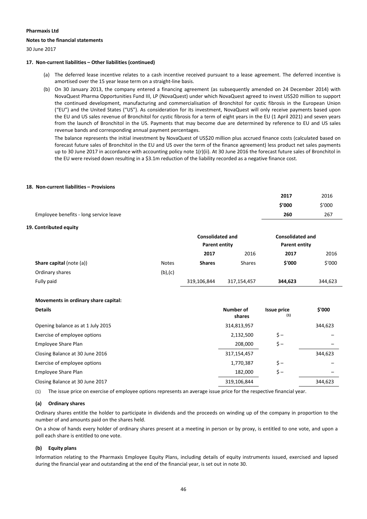### **Notes to the financial statements**

30 June 2017

### **17. Non‐current liabilities – Other liabilities (continued)**

- (a) The deferred lease incentive relates to a cash incentive received pursuant to a lease agreement. The deferred incentive is amortised over the 15 year lease term on a straight‐line basis.
- (b) On 30 January 2013, the company entered a financing agreement (as subsequently amended on 24 December 2014) with NovaQuest Pharma Opportunities Fund III, LP (NovaQuest) under which NovaQuest agreed to invest US\$20 million to support the continued development, manufacturing and commercialisation of Bronchitol for cystic fibrosis in the European Union ("EU") and the United States ("US"). As consideration for its investment, NovaQuest will only receive payments based upon the EU and US sales revenue of Bronchitol for cystic fibrosis for a term of eight years in the EU (1 April 2021) and seven years from the launch of Bronchitol in the US. Payments that may become due are determined by reference to EU and US sales revenue bands and corresponding annual payment percentages.

The balance represents the initial investment by NovaQuest of US\$20 million plus accrued finance costs (calculated based on forecast future sales of Bronchitol in the EU and US over the term of the finance agreement) less product net sales payments up to 30 June 2017 in accordance with accounting policy note 1(r)(ii). At 30 June 2016 the forecast future sales of Bronchitol in the EU were revised down resulting in a \$3.1m reduction of the liability recorded as a negative finance cost.

### **18. Non‐current liabilities – Provisions**

|                                        | 2017   | 2016   |
|----------------------------------------|--------|--------|
|                                        | \$'000 | \$′000 |
| Employee benefits - long service leave | 260    | 267    |

### **19. Contributed equity**

|                                 |               | <b>Consolidated and</b><br><b>Parent entity</b> |               | <b>Consolidated and</b><br>Parent entity |         |
|---------------------------------|---------------|-------------------------------------------------|---------------|------------------------------------------|---------|
|                                 |               | 2017                                            | 2016          | 2017                                     | 2016    |
| <b>Share capital (note (a))</b> | <b>Notes</b>  | <b>Shares</b>                                   | <b>Shares</b> | \$'000                                   | \$'000  |
| Ordinary shares                 | $(b)$ , $(c)$ |                                                 |               |                                          |         |
| Fully paid                      |               | 319,106,844                                     | 317,154,457   | 344,623                                  | 344,623 |

### **Movements in ordinary share capital:**

| <b>Details</b>                    | Number of<br>shares | <b>Issue price</b><br>(1) | \$'000  |
|-----------------------------------|---------------------|---------------------------|---------|
| Opening balance as at 1 July 2015 | 314,813,957         |                           | 344,623 |
| Exercise of employee options      | 2,132,500           | $\zeta -$                 |         |
| Employee Share Plan               | 208,000             | $\zeta -$                 |         |
| Closing Balance at 30 June 2016   | 317,154,457         |                           | 344,623 |
| Exercise of employee options      | 1,770,387           | $\zeta -$                 |         |
| <b>Employee Share Plan</b>        | 182,000             | $\zeta -$                 |         |
| Closing Balance at 30 June 2017   | 319,106,844         |                           | 344,623 |

(1) The issue price on exercise of employee options represents an average issue price for the respective financial year.

### **(a) Ordinary shares**

Ordinary shares entitle the holder to participate in dividends and the proceeds on winding up of the company in proportion to the number of and amounts paid on the shares held.

On a show of hands every holder of ordinary shares present at a meeting in person or by proxy, is entitled to one vote, and upon a poll each share is entitled to one vote.

### **(b) Equity plans**

Information relating to the Pharmaxis Employee Equity Plans, including details of equity instruments issued, exercised and lapsed during the financial year and outstanding at the end of the financial year, is set out in note 30.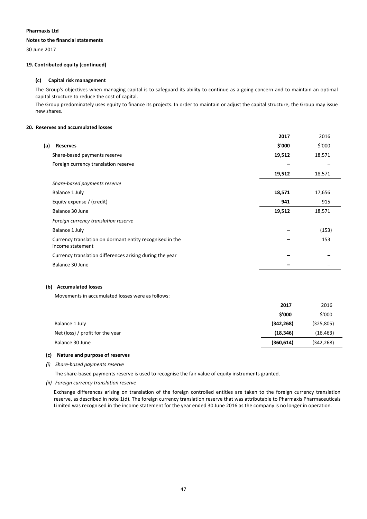### **Notes to the financial statements**

30 June 2017

### **19. Contributed equity (continued)**

### **(c) Capital risk management**

The Group's objectives when managing capital is to safeguard its ability to continue as a going concern and to maintain an optimal capital structure to reduce the cost of capital.

The Group predominately uses equity to finance its projects. In order to maintain or adjust the capital structure, the Group may issue new shares.

### **20. Reserves and accumulated losses**

|                                                                              | 2017   | 2016   |
|------------------------------------------------------------------------------|--------|--------|
| (a)<br><b>Reserves</b>                                                       | \$'000 | \$'000 |
| Share-based payments reserve                                                 | 19,512 | 18,571 |
| Foreign currency translation reserve                                         |        |        |
|                                                                              | 19,512 | 18,571 |
| Share-based payments reserve                                                 |        |        |
| Balance 1 July                                                               | 18,571 | 17,656 |
| Equity expense / (credit)                                                    | 941    | 915    |
| Balance 30 June                                                              | 19,512 | 18,571 |
| Foreign currency translation reserve                                         |        |        |
| Balance 1 July                                                               |        | (153)  |
| Currency translation on dormant entity recognised in the<br>income statement |        | 153    |
| Currency translation differences arising during the year                     |        |        |
| Balance 30 June                                                              |        |        |

### **(b) Accumulated losses**

Movements in accumulated losses were as follows:

|                                  | 2017       | 2016       |
|----------------------------------|------------|------------|
|                                  | \$'000     | \$'000     |
| Balance 1 July                   | (342, 268) | (325, 805) |
| Net (loss) / profit for the year | (18, 346)  | (16, 463)  |
| Balance 30 June                  | (360, 614) | (342, 268) |
|                                  |            |            |

### **(c) Nature and purpose of reserves**

*(i) Share‐based payments reserve*

The share-based payments reserve is used to recognise the fair value of equity instruments granted.

*(ii) Foreign currency translation reserve*

Exchange differences arising on translation of the foreign controlled entities are taken to the foreign currency translation reserve, as described in note 1(d). The foreign currency translation reserve that was attributable to Pharmaxis Pharmaceuticals Limited was recognised in the income statement for the year ended 30 June 2016 as the company is no longer in operation.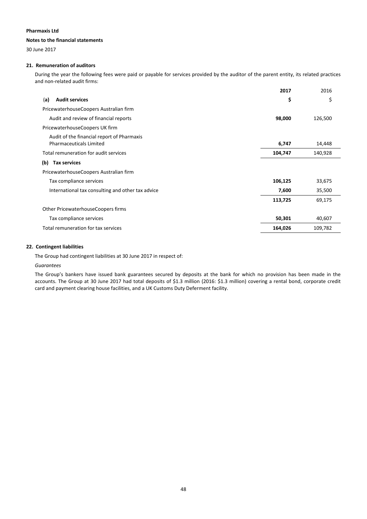### **Notes to the financial statements**

30 June 2017

### **21. Remuneration of auditors**

During the year the following fees were paid or payable for services provided by the auditor of the parent entity, its related practices and non‐related audit firms:

|                                                                              | 2017    | 2016    |
|------------------------------------------------------------------------------|---------|---------|
| <b>Audit services</b><br>(a)                                                 | \$      | \$      |
| PricewaterhouseCoopers Australian firm                                       |         |         |
| Audit and review of financial reports                                        | 98,000  | 126,500 |
| PricewaterhouseCoopers UK firm                                               |         |         |
| Audit of the financial report of Pharmaxis<br><b>Pharmaceuticals Limited</b> | 6,747   | 14,448  |
| Total remuneration for audit services                                        | 104,747 | 140,928 |
| (b)<br><b>Tax services</b>                                                   |         |         |
| PricewaterhouseCoopers Australian firm                                       |         |         |
| Tax compliance services                                                      | 106,125 | 33,675  |
| International tax consulting and other tax advice                            | 7,600   | 35,500  |
|                                                                              | 113,725 | 69,175  |
| Other PricewaterhouseCoopers firms                                           |         |         |
| Tax compliance services                                                      | 50,301  | 40,607  |
| Total remuneration for tax services                                          | 164,026 | 109,782 |

### **22. Contingent liabilities**

The Group had contingent liabilities at 30 June 2017 in respect of:

#### *Guarantees*

The Group's bankers have issued bank guarantees secured by deposits at the bank for which no provision has been made in the accounts. The Group at 30 June 2017 had total deposits of \$1.3 million (2016: \$1.3 million) covering a rental bond, corporate credit card and payment clearing house facilities, and a UK Customs Duty Deferment facility.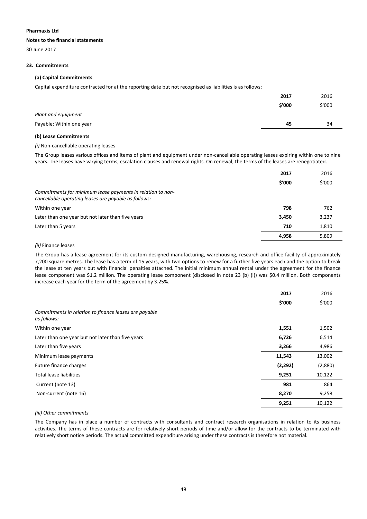### **Notes to the financial statements**

30 June 2017

### **23. Commitments**

### **(a) Capital Commitments**

Capital expenditure contracted for at the reporting date but not recognised as liabilities is as follows:

|                          | 2017   | 2016   |
|--------------------------|--------|--------|
|                          | \$'000 | \$'000 |
| Plant and equipment      |        |        |
| Payable: Within one year | 45     | 34     |
|                          |        |        |

### **(b) Lease Commitments**

### *(i)* Non‐cancellable operating leases

The Group leases various offices and items of plant and equipment under non-cancellable operating leases expiring within one to nine years. The leases have varying terms, escalation clauses and renewal rights. On renewal, the terms of the leases are renegotiated.

|                                                                                                                    | 2017   | 2016   |
|--------------------------------------------------------------------------------------------------------------------|--------|--------|
|                                                                                                                    | \$'000 | \$'000 |
| Commitments for minimum lease payments in relation to non-<br>cancellable operating leases are payable as follows: |        |        |
| Within one year                                                                                                    | 798    | 762    |
| Later than one year but not later than five years                                                                  | 3,450  | 3,237  |
| Later than 5 years                                                                                                 | 710    | 1,810  |
|                                                                                                                    | 4,958  | 5,809  |
|                                                                                                                    |        |        |

### *(ii)* Finance leases

The Group has a lease agreement for its custom designed manufacturing, warehousing, research and office facility of approximately 7,200 square metres. The lease has a term of 15 years, with two options to renew for a further five years each and the option to break the lease at ten years but with financial penalties attached. The initial minimum annual rental under the agreement for the finance lease component was \$1.2 million. The operating lease component (disclosed in note 23 (b) (i)) was \$0.4 million. Both components increase each year for the term of the agreement by 3.25%.

|                                                                      | 2017    | 2016    |
|----------------------------------------------------------------------|---------|---------|
|                                                                      | \$'000  | \$'000  |
| Commitments in relation to finance leases are payable<br>as follows: |         |         |
| Within one year                                                      | 1,551   | 1,502   |
| Later than one year but not later than five years                    | 6,726   | 6,514   |
| Later than five years                                                | 3,266   | 4,986   |
| Minimum lease payments                                               | 11,543  | 13,002  |
| Future finance charges                                               | (2,292) | (2,880) |
| Total lease liabilities                                              | 9,251   | 10,122  |
| Current (note 13)                                                    | 981     | 864     |
| Non-current (note 16)                                                | 8,270   | 9,258   |
|                                                                      | 9,251   | 10,122  |

### *(iii) Other commitments*

The Company has in place a number of contracts with consultants and contract research organisations in relation to its business activities. The terms of these contracts are for relatively short periods of time and/or allow for the contracts to be terminated with relatively short notice periods. The actual committed expenditure arising under these contracts is therefore not material.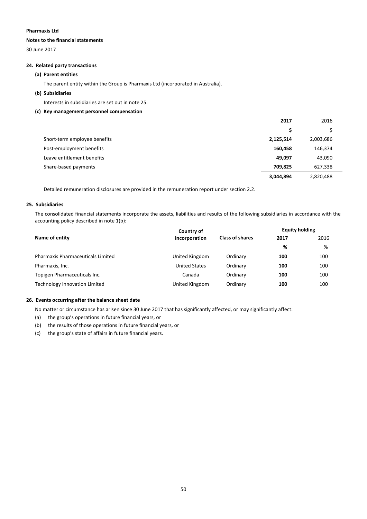### **Notes to the financial statements**

30 June 2017

### **24. Related party transactions**

### **(a) Parent entities**

The parent entity within the Group is Pharmaxis Ltd (incorporated in Australia).

### **(b) Subsidiaries**

Interests in subsidiaries are set out in note 25.

### **(c) Key management personnel compensation**

|                              | 2017      | 2016      |
|------------------------------|-----------|-----------|
|                              | S         |           |
| Short-term employee benefits | 2,125,514 | 2,003,686 |
| Post-employment benefits     | 160,458   | 146,374   |
| Leave entitlement benefits   | 49,097    | 43,090    |
| Share-based payments         | 709,825   | 627,338   |
|                              | 3,044,894 | 2,820,488 |

Detailed remuneration disclosures are provided in the remuneration report under section 2.2.

### **25. Subsidiaries**

The consolidated financial statements incorporate the assets, liabilities and results of the following subsidiaries in accordance with the accounting policy described in note 1(b):

|                                          | Country of           | <b>Equity holding</b>  |      |      |
|------------------------------------------|----------------------|------------------------|------|------|
| Name of entity                           | incorporation        | <b>Class of shares</b> | 2017 | 2016 |
|                                          |                      |                        | %    | %    |
| <b>Pharmaxis Pharmaceuticals Limited</b> | United Kingdom       | Ordinary               | 100  | 100  |
| Pharmaxis, Inc.                          | <b>United States</b> | Ordinary               | 100  | 100  |
| Topigen Pharmaceuticals Inc.             | Canada               | Ordinary               | 100  | 100  |
| Technology Innovation Limited            | United Kingdom       | Ordinary               | 100  | 100  |

### **26. Events occurring after the balance sheet date**

No matter or circumstance has arisen since 30 June 2017 that has significantly affected, or may significantly affect:

- (a) the group's operations in future financial years, or
- (b) the results of those operations in future financial years, or
- (c) the group's state of affairs in future financial years.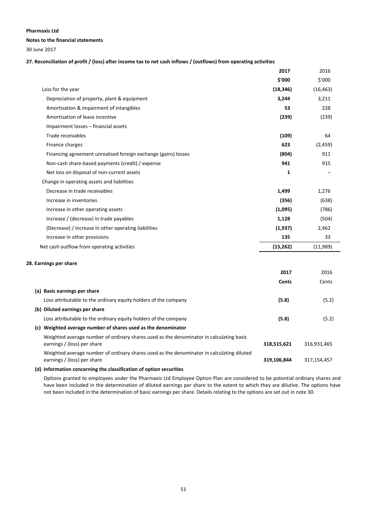### **Notes to the financial statements**

30 June 2017

27. Reconciliation of profit / (loss) after income tax to net cash inflows / (outflows) from operating activities

|                                                                | 2017      | 2016      |
|----------------------------------------------------------------|-----------|-----------|
|                                                                | \$'000    | \$'000    |
| Loss for the year                                              | (18, 346) | (16, 463) |
| Depreciation of property, plant & equipment                    | 3,244     | 3,211     |
| Amortisation & impairment of intangibles                       | 53        | 228       |
| Amortisation of lease incentive                                | (239)     | (239)     |
| Impairment losses - financial assets                           |           |           |
| Trade receivables                                              | (109)     | 64        |
| Finance charges                                                | 623       | (2, 459)  |
| Financing agreement unrealised foreign exchange (gains) losses | (804)     | 911       |
| Non-cash share-based payments (credit) / expense               | 941       | 915       |
| Net loss on disposal of non-current assets                     | 1         |           |
| Change in operating assets and liabilities                     |           |           |
| Decrease in trade receivables                                  | 1,499     | 1,276     |
| Increase in inventories                                        | (356)     | (638)     |
| Increase in other operating assets                             | (1,095)   | (786)     |
| Increase / (decrease) in trade payables                        | 1,128     | (504)     |
| (Decrease) / increase in other operating liabilities           | (1,937)   | 2,462     |
| Increase in other provisions                                   | 135       | 33        |
| Net cash outflow from operating activities                     | (15, 262) | (11,989)  |

### **28. Earnings per share**

|                                                                                                                          | 2017        | 2016        |
|--------------------------------------------------------------------------------------------------------------------------|-------------|-------------|
|                                                                                                                          | Cents       | Cents       |
| (a) Basic earnings per share                                                                                             |             |             |
| Loss attributable to the ordinary equity holders of the company                                                          | (5.8)       | (5.2)       |
| (b) Diluted earnings per share                                                                                           |             |             |
| Loss attributable to the ordinary equity holders of the company                                                          | (5.8)       | (5.2)       |
| Weighted average number of shares used as the denominator<br>(c)                                                         |             |             |
| Weighted average number of ordinary shares used as the denominator in calculating basic<br>earnings / (loss) per share   | 318,515,621 | 316,931,465 |
| Weighted average number of ordinary shares used as the denominator in calculating diluted<br>earnings / (loss) per share | 319,106,844 | 317,154,457 |

### **(d) Information concerning the classification of option securities**

Options granted to employees under the Pharmaxis Ltd Employee Option Plan are considered to be potential ordinary shares and have been included in the determination of diluted earnings per share to the extent to which they are dilutive. The options have not been included in the determination of basic earnings per share. Details relating to the options are set out in note 30.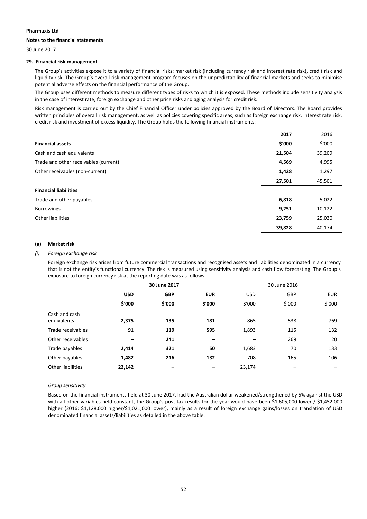### **Notes to the financial statements**

30 June 2017

### **29. Financial risk management**

The Group's activities expose it to a variety of financial risks: market risk (including currency risk and interest rate risk), credit risk and liquidity risk. The Group's overall risk management program focuses on the unpredictability of financial markets and seeks to minimise potential adverse effects on the financial performance of the Group.

The Group uses different methods to measure different types of risks to which it is exposed. These methods include sensitivity analysis in the case of interest rate, foreign exchange and other price risks and aging analysis for credit risk.

Risk management is carried out by the Chief Financial Officer under policies approved by the Board of Directors. The Board provides written principles of overall risk management, as well as policies covering specific areas, such as foreign exchange risk, interest rate risk, credit risk and investment of excess liquidity. The Group holds the following financial instruments:

|                                       | 2017   | 2016   |
|---------------------------------------|--------|--------|
| <b>Financial assets</b>               | \$'000 | \$'000 |
| Cash and cash equivalents             | 21,504 | 39,209 |
| Trade and other receivables (current) | 4,569  | 4,995  |
| Other receivables (non-current)       | 1,428  | 1,297  |
|                                       | 27,501 | 45,501 |
| <b>Financial liabilities</b>          |        |        |
| Trade and other payables              | 6,818  | 5,022  |
| <b>Borrowings</b>                     | 9,251  | 10,122 |
| Other liabilities                     | 23,759 | 25,030 |
|                                       | 39,828 | 40,174 |

### **(a) Market risk**

### *(i) Foreign exchange risk*

Foreign exchange risk arises from future commercial transactions and recognised assets and liabilities denominated in a currency that is not the entity's functional currency. The risk is measured using sensitivity analysis and cash flow forecasting. The Group's exposure to foreign currency risk at the reporting date was as follows:

|                              | 30 June 2017 |            |                          |                 | 30 June 2016             |            |
|------------------------------|--------------|------------|--------------------------|-----------------|--------------------------|------------|
|                              | <b>USD</b>   | <b>GBP</b> | <b>EUR</b>               | <b>USD</b>      | GBP                      | <b>EUR</b> |
|                              | \$'000       | \$'000     | \$'000                   | \$'000          | \$'000                   | \$'000     |
| Cash and cash<br>equivalents | 2,375        | 135        | 181                      | 865             | 538                      | 769        |
| Trade receivables            | 91           | 119        | 595                      | 1,893           | 115                      | 132        |
| Other receivables            | -            | 241        | $\overline{\phantom{0}}$ | $\qquad \qquad$ | 269                      | 20         |
| Trade payables               | 2,414        | 321        | 50                       | 1,683           | 70                       | 133        |
| Other payables               | 1,482        | 216        | 132                      | 708             | 165                      | 106        |
| Other liabilities            | 22,142       | -          |                          | 23,174          | $\overline{\phantom{m}}$ | -          |

#### *Group sensitivity*

Based on the financial instruments held at 30 June 2017, had the Australian dollar weakened/strengthened by 5% against the USD with all other variables held constant, the Group's post-tax results for the year would have been \$1,605,000 lower / \$1,452,000 higher (2016: \$1,128,000 higher/\$1,021,000 lower), mainly as a result of foreign exchange gains/losses on translation of USD denominated financial assets/liabilities as detailed in the above table.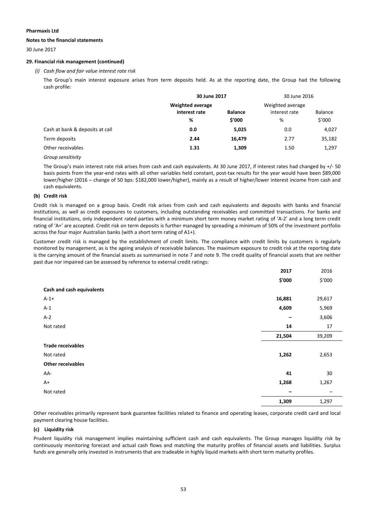### **Notes to the financial statements**

30 June 2017

### **29. Financial risk management (continued)**

### *(i) Cash flow and fair value interest rate risk*

The Group's main interest exposure arises from term deposits held. As at the reporting date, the Group had the following cash profile:

|                                 | 30 June 2017     |                | 30 June 2016     |                |
|---------------------------------|------------------|----------------|------------------|----------------|
|                                 | Weighted average |                | Weighted average |                |
|                                 | interest rate    | <b>Balance</b> | interest rate    | <b>Balance</b> |
|                                 | %                | \$'000         | %                | \$′000         |
| Cash at bank & deposits at call | 0.0              | 5,025          | 0.0              | 4,027          |
| Term deposits                   | 2.44             | 16,479         | 2.77             | 35,182         |
| Other receivables               | 1.31             | 1,309          | 1.50             | 1,297          |
|                                 |                  |                |                  |                |

*Group sensitivity*

The Group's main interest rate risk arises from cash and cash equivalents. At 30 June 2017, if interest rates had changed by +/‐ 50 basis points from the year‐end rates with all other variables held constant, post‐tax results for the year would have been \$89,000 lower/higher (2016 – change of 50 bps: \$182,000 lower/higher), mainly as a result of higher/lower interest income from cash and cash equivalents.

### **(b) Credit risk**

Credit risk is managed on a group basis. Credit risk arises from cash and cash equivalents and deposits with banks and financial institutions, as well as credit exposures to customers, including outstanding receivables and committed transactions. For banks and financial institutions, only independent rated parties with a minimum short term money market rating of 'A‐2' and a long term credit rating of 'A+' are accepted. Credit risk on term deposits is further managed by spreading a minimum of 50% of the investment portfolio across the four major Australian banks (with a short term rating of A1+).

Customer credit risk is managed by the establishment of credit limits. The compliance with credit limits by customers is regularly monitored by management, as is the ageing analysis of receivable balances. The maximum exposure to credit risk at the reporting date is the carrying amount of the financial assets as summarised in note 7 and note 9. The credit quality of financial assets that are neither past due nor impaired can be assessed by reference to external credit ratings:

|                           | 2017                     | 2016                     |
|---------------------------|--------------------------|--------------------------|
|                           | \$'000                   | \$'000                   |
| Cash and cash equivalents |                          |                          |
| $A-1+$                    | 16,881                   | 29,617                   |
| $A-1$                     | 4,609                    | 5,969                    |
| $A-2$                     |                          | 3,606                    |
| Not rated                 | 14                       | 17                       |
|                           | 21,504                   | 39,209                   |
| <b>Trade receivables</b>  |                          |                          |
| Not rated                 | 1,262                    | 2,653                    |
| <b>Other receivables</b>  |                          |                          |
| AA-                       | 41                       | 30                       |
| $A+$                      | 1,268                    | 1,267                    |
| Not rated                 | $\overline{\phantom{m}}$ | $\overline{\phantom{m}}$ |
|                           | 1,309                    | 1,297                    |

Other receivables primarily represent bank guarantee facilities related to finance and operating leases, corporate credit card and local payment clearing house facilities.

### **(c) Liquidity risk**

Prudent liquidity risk management implies maintaining sufficient cash and cash equivalents. The Group manages liquidity risk by continuously monitoring forecast and actual cash flows and matching the maturity profiles of financial assets and liabilities. Surplus funds are generally only invested in instruments that are tradeable in highly liquid markets with short term maturity profiles.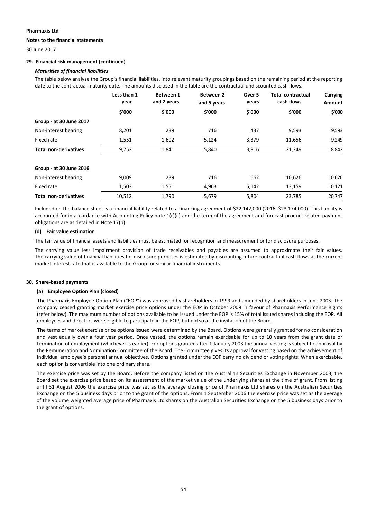### **Notes to the financial statements**

30 June 2017

### **29. Financial risk management (continued)**

### *Maturities of financial liabilities*

The table below analyse the Group's financial liabilities, into relevant maturity groupings based on the remaining period at the reporting date to the contractual maturity date. The amounts disclosed in the table are the contractual undiscounted cash flows.

|                              | Less than 1<br>year | <b>Between 1</b><br>and 2 years | <b>Between 2</b><br>and 5 years | Over 5<br>years | <b>Total contractual</b><br>cash flows | Carrying<br>Amount |
|------------------------------|---------------------|---------------------------------|---------------------------------|-----------------|----------------------------------------|--------------------|
|                              | \$'000              | \$'000                          | \$'000                          | \$'000          | \$'000                                 | \$'000             |
| Group - at 30 June 2017      |                     |                                 |                                 |                 |                                        |                    |
| Non-interest bearing         | 8,201               | 239                             | 716                             | 437             | 9,593                                  | 9,593              |
| Fixed rate                   | 1,551               | 1,602                           | 5,124                           | 3,379           | 11,656                                 | 9,249              |
| <b>Total non-derivatives</b> | 9,752               | 1,841                           | 5,840                           | 3,816           | 21,249                                 | 18,842             |
| Group - at 30 June 2016      |                     |                                 |                                 |                 |                                        |                    |
| Non-interest bearing         | 9,009               | 239                             | 716                             | 662             | 10,626                                 | 10,626             |
| Fixed rate                   | 1,503               | 1,551                           | 4,963                           | 5,142           | 13,159                                 | 10,121             |
| <b>Total non-derivatives</b> | 10,512              | 1.790                           | 5,679                           | 5,804           | 23.785                                 | 20.747             |

Included on the balance sheet is a financial liability related to a financing agreement of \$22,142,000 (2016: \$23,174,000). This liability is accounted for in accordance with Accounting Policy note 1(r)(ii) and the term of the agreement and forecast product related payment obligations are as detailed in Note 17(b).

### **(d) Fair value estimation**

The fair value of financial assets and liabilities must be estimated for recognition and measurement or for disclosure purposes.

The carrying value less impairment provision of trade receivables and payables are assumed to approximate their fair values. The carrying value of financial liabilities for disclosure purposes is estimated by discounting future contractual cash flows at the current market interest rate that is available to the Group for similar financial instruments.

### **30. Share‐based payments**

### **(a) Employee Option Plan (closed)**

The Pharmaxis Employee Option Plan ("EOP") was approved by shareholders in 1999 and amended by shareholders in June 2003. The company ceased granting market exercise price options under the EOP in October 2009 in favour of Pharmaxis Performance Rights (refer below). The maximum number of options available to be issued under the EOP is 15% of total issued shares including the EOP. All employees and directors were eligible to participate in the EOP, but did so at the invitation of the Board.

The terms of market exercise price options issued were determined by the Board. Options were generally granted for no consideration and vest equally over a four year period. Once vested, the options remain exercisable for up to 10 years from the grant date or termination of employment (whichever is earlier). For options granted after 1 January 2003 the annual vesting is subject to approval by the Remuneration and Nomination Committee of the Board. The Committee gives its approval for vesting based on the achievement of individual employee's personal annual objectives. Options granted under the EOP carry no dividend or voting rights. When exercisable, each option is convertible into one ordinary share.

The exercise price was set by the Board. Before the company listed on the Australian Securities Exchange in November 2003, the Board set the exercise price based on its assessment of the market value of the underlying shares at the time of grant. From listing until 31 August 2006 the exercise price was set as the average closing price of Pharmaxis Ltd shares on the Australian Securities Exchange on the 5 business days prior to the grant of the options. From 1 September 2006 the exercise price was set as the average of the volume weighted average price of Pharmaxis Ltd shares on the Australian Securities Exchange on the 5 business days prior to the grant of options.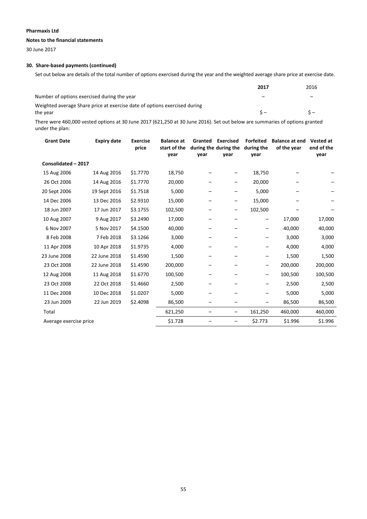### **Notes to the financial statements**

30 June 2017

### **30. Share‐based payments (continued)**

Set out below are details of the total number of options exercised during the year and the weighted average share price at exercise date.

|                                                                           | 2017 | 2016 |
|---------------------------------------------------------------------------|------|------|
| Number of options exercised during the year                               | -    |      |
| Weighted average Share price at exercise date of options exercised during |      |      |
| the vear                                                                  | ς –  |      |

There were 460,000 vested options at 30 June 2017 (621,250 at 30 June 2016). Set out below are summaries of options granted under the plan:

| <b>Grant Date</b> | <b>Expiry date</b>     | <b>Exercise</b><br>price | <b>Balance</b> at<br>start of the | Granted | <b>Exercised</b><br>during the during the | <b>Forfeited</b><br>during the | <b>Balance at end</b><br>of the year | <b>Vested at</b><br>end of the |
|-------------------|------------------------|--------------------------|-----------------------------------|---------|-------------------------------------------|--------------------------------|--------------------------------------|--------------------------------|
|                   |                        |                          | year                              | year    | year                                      | year                           |                                      | year                           |
|                   | Consolidated - 2017    |                          |                                   |         |                                           |                                |                                      |                                |
| 15 Aug 2006       | 14 Aug 2016            | \$1.7770                 | 18,750                            |         |                                           | 18,750                         |                                      |                                |
| 26 Oct 2006       | 14 Aug 2016            | \$1.7770                 | 20,000                            |         |                                           | 20,000                         |                                      |                                |
| 20 Sept 2006      | 19 Sept 2016           | \$1.7518                 | 5,000                             |         |                                           | 5,000                          |                                      |                                |
| 14 Dec 2006       | 13 Dec 2016            | \$2.9310                 | 15,000                            |         | —                                         | 15,000                         |                                      |                                |
| 18 Jun 2007       | 17 Jun 2017            | \$3.1755                 | 102,500                           |         | -                                         | 102,500                        |                                      |                                |
| 10 Aug 2007       | 9 Aug 2017             | \$3.2490                 | 17,000                            |         |                                           | -                              | 17,000                               | 17,000                         |
| 6 Nov 2007        | 5 Nov 2017             | \$4.1500                 | 40,000                            |         |                                           |                                | 40,000                               | 40,000                         |
| 8 Feb 2008        | 7 Feb 2018             | \$3.1266                 | 3,000                             |         |                                           |                                | 3,000                                | 3,000                          |
| 11 Apr 2008       | 10 Apr 2018            | \$1.9735                 | 4,000                             |         |                                           |                                | 4,000                                | 4,000                          |
| 23 June 2008      | 22 June 2018           | \$1.4590                 | 1,500                             |         |                                           | -                              | 1,500                                | 1,500                          |
| 23 Oct 2008       | 22 June 2018           | \$1.4590                 | 200,000                           |         |                                           | -                              | 200,000                              | 200,000                        |
| 12 Aug 2008       | 11 Aug 2018            | \$1.6770                 | 100,500                           |         |                                           | -                              | 100,500                              | 100,500                        |
| 23 Oct 2008       | 22 Oct 2018            | \$1.4660                 | 2,500                             |         |                                           |                                | 2,500                                | 2,500                          |
| 11 Dec 2008       | 10 Dec 2018            | \$1.0207                 | 5,000                             |         |                                           |                                | 5,000                                | 5,000                          |
| 23 Jun 2009       | 22 Jun 2019            | \$2.4098                 | 86,500                            |         |                                           | -                              | 86,500                               | 86,500                         |
| Total             |                        |                          | 621,250                           |         | $\qquad \qquad -$                         | 161,250                        | 460,000                              | 460,000                        |
|                   | Average exercise price |                          | \$1.728                           |         |                                           | \$2.773                        | \$1.996                              | \$1.996                        |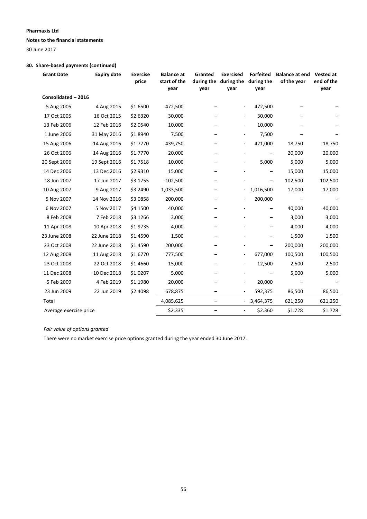**Notes to the financial statements**

30 June 2017

### **30. Share‐based payments (continued)**

| <b>Grant Date</b>      | <b>Expiry date</b> | <b>Exercise</b><br>price | <b>Balance at</b><br>start of the<br>year | Granted<br>during the<br>year | <b>Exercised</b><br>during the<br>year | <b>Forfeited</b><br>during the<br>year | <b>Balance at end</b><br>of the year | <b>Vested at</b><br>end of the<br>year |
|------------------------|--------------------|--------------------------|-------------------------------------------|-------------------------------|----------------------------------------|----------------------------------------|--------------------------------------|----------------------------------------|
| Consolidated - 2016    |                    |                          |                                           |                               |                                        |                                        |                                      |                                        |
| 5 Aug 2005             | 4 Aug 2015         | \$1.6500                 | 472,500                                   |                               |                                        | 472,500                                |                                      |                                        |
| 17 Oct 2005            | 16 Oct 2015        | \$2.6320                 | 30,000                                    |                               | $\overline{\phantom{a}}$               | 30,000                                 |                                      |                                        |
| 13 Feb 2006            | 12 Feb 2016        | \$2.0540                 | 10,000                                    |                               | $\overline{\phantom{a}}$               | 10,000                                 |                                      |                                        |
| 1 June 2006            | 31 May 2016        | \$1.8940                 | 7,500                                     |                               |                                        | 7,500                                  |                                      |                                        |
| 15 Aug 2006            | 14 Aug 2016        | \$1.7770                 | 439,750                                   |                               |                                        | 421,000                                | 18,750                               | 18,750                                 |
| 26 Oct 2006            | 14 Aug 2016        | \$1.7770                 | 20,000                                    |                               |                                        |                                        | 20,000                               | 20,000                                 |
| 20 Sept 2006           | 19 Sept 2016       | \$1.7518                 | 10,000                                    |                               | $\frac{1}{2}$                          | 5,000                                  | 5,000                                | 5,000                                  |
| 14 Dec 2006            | 13 Dec 2016        | \$2.9310                 | 15,000                                    |                               |                                        | -                                      | 15,000                               | 15,000                                 |
| 18 Jun 2007            | 17 Jun 2017        | \$3.1755                 | 102,500                                   |                               |                                        |                                        | 102,500                              | 102,500                                |
| 10 Aug 2007            | 9 Aug 2017         | \$3.2490                 | 1,033,500                                 |                               |                                        | 1,016,500                              | 17,000                               | 17,000                                 |
| 5 Nov 2007             | 14 Nov 2016        | \$3.0858                 | 200,000                                   |                               |                                        | 200,000                                |                                      |                                        |
| 6 Nov 2007             | 5 Nov 2017         | \$4.1500                 | 40,000                                    |                               |                                        |                                        | 40,000                               | 40,000                                 |
| 8 Feb 2008             | 7 Feb 2018         | \$3.1266                 | 3,000                                     |                               |                                        | -                                      | 3,000                                | 3,000                                  |
| 11 Apr 2008            | 10 Apr 2018        | \$1.9735                 | 4,000                                     |                               |                                        |                                        | 4,000                                | 4,000                                  |
| 23 June 2008           | 22 June 2018       | \$1.4590                 | 1,500                                     |                               |                                        |                                        | 1,500                                | 1,500                                  |
| 23 Oct 2008            | 22 June 2018       | \$1.4590                 | 200,000                                   |                               |                                        |                                        | 200,000                              | 200,000                                |
| 12 Aug 2008            | 11 Aug 2018        | \$1.6770                 | 777,500                                   |                               | $\overline{\phantom{a}}$               | 677,000                                | 100,500                              | 100,500                                |
| 23 Oct 2008            | 22 Oct 2018        | \$1.4660                 | 15,000                                    |                               | $\overline{\phantom{a}}$               | 12,500                                 | 2,500                                | 2,500                                  |
| 11 Dec 2008            | 10 Dec 2018        | \$1.0207                 | 5,000                                     |                               |                                        |                                        | 5,000                                | 5,000                                  |
| 5 Feb 2009             | 4 Feb 2019         | \$1.1980                 | 20,000                                    |                               | $\overline{\phantom{a}}$               | 20,000                                 |                                      |                                        |
| 23 Jun 2009            | 22 Jun 2019        | \$2.4098                 | 678,875                                   |                               |                                        | 592,375                                | 86,500                               | 86,500                                 |
| Total                  |                    |                          | 4,085,625                                 | $\qquad \qquad -$             |                                        | 3,464,375                              | 621,250                              | 621,250                                |
| Average exercise price |                    |                          | \$2.335                                   |                               |                                        | \$2.360                                | \$1.728                              | \$1.728                                |

*Fair value of options granted*

There were no market exercise price options granted during the year ended 30 June 2017.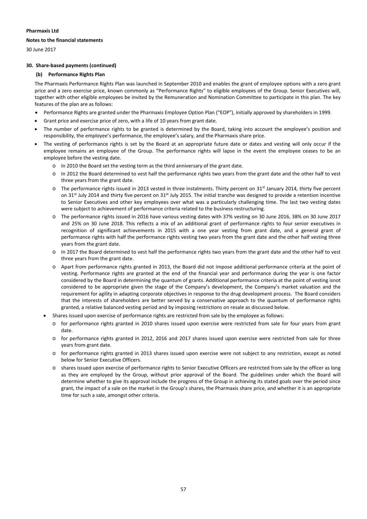### **Notes to the financial statements**

30 June 2017

### **30. Share‐based payments (continued)**

### **(b) Performance Rights Plan**

The Pharmaxis Performance Rights Plan was launched in September 2010 and enables the grant of employee options with a zero grant price and a zero exercise price, known commonly as "Performance Rights" to eligible employees of the Group. Senior Executives will, together with other eligible employees be invited by the Remuneration and Nomination Committee to participate in this plan. The key features of the plan are as follows:

- Performance Rights are granted under the Pharmaxis Employee Option Plan ("EOP"), initially approved by shareholders in 1999.
- Grant price and exercise price of zero, with a life of 10 years from grant date.
- The number of performance rights to be granted is determined by the Board, taking into account the employee's position and responsibility, the employee's performance, the employee's salary, and the Pharmaxis share price.
- The vesting of performance rights is set by the Board at an appropriate future date or dates and vesting will only occur if the employee remains an employee of the Group. The performance rights will lapse in the event the employee ceases to be an employee before the vesting date.
	- o In 2010 the Board set the vesting term as the third anniversary of the grant date.
	- o In 2012 the Board determined to vest half the performance rights two years from the grant date and the other half to vest three years from the grant date.
	- $\circ$  The performance rights issued in 2013 vested in three instalments. Thirty percent on 31<sup>st</sup> January 2014, thirty five percent on 31st July 2014 and thirty five percent on 31st July 2015. The initial tranche was designed to provide a retention incentive to Senior Executives and other key employees over what was a particularly challenging time. The last two vesting dates were subject to achievement of performance criteria related to the business restructuring.
	- o The performance rights issued in 2016 have various vesting dates with 37% vesting on 30 June 2016, 38% on 30 June 2017 and 25% on 30 June 2018. This reflects a mix of an additional grant of performance rights to four senior executives in recognition of significant achievements in 2015 with a one year vesting from grant date, and a general grant of performance rights with half the performance rights vesting two years from the grant date and the other half vesting three years from the grant date.
	- o In 2017 the Board determined to vest half the performance rights two years from the grant date and the other half to vest three years from the grant date.
	- o Apart from performance rights granted in 2013, the Board did not impose additional performance criteria at the point of vesting. Performance rights are granted at the end of the financial year and performance during the year is one factor considered by the Board in determining the quantum of grants. Additional performance criteria at the point of vesting isnot considered to be appropriate given the stage of the Company's development, the Company's market valuation and the requirement for agility in adapting corporate objectives in response to the drug development process. The Board considers that the interests of shareholders are better served by a conservative approach to the quantum of performance rights granted, a relative balanced vesting period and by imposing restrictions on resale as discussed below.
	- Shares issued upon exercise of performance rights are restricted from sale by the employee as follows:
		- o for performance rights granted in 2010 shares issued upon exercise were restricted from sale for four years from grant date.
		- o for performance rights granted in 2012, 2016 and 2017 shares issued upon exercise were restricted from sale for three years from grant date.
		- o for performance rights granted in 2013 shares issued upon exercise were not subject to any restriction, except as noted below for Senior Executive Officers.
		- o shares issued upon exercise of performance rights to Senior Executive Officers are restricted from sale by the officer as long as they are employed by the Group, without prior approval of the Board. The guidelines under which the Board will determine whether to give its approval include the progress of the Group in achieving its stated goals over the period since grant, the impact of a sale on the market in the Group's shares, the Pharmaxis share price, and whether it is an appropriate time for such a sale, amongst other criteria.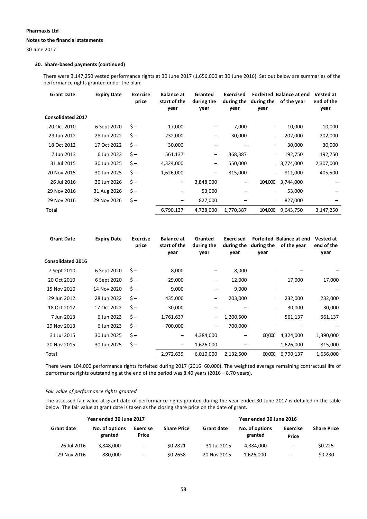### **Notes to the financial statements**

30 June 2017

### **30. Share‐based payments (continued)**

There were 3,147,250 vested performance rights at 30 June 2017 (1,656,000 at 30 June 2016). Set out below are summaries of the performance rights granted under the plan:

| <b>Grant Date</b>        | <b>Expiry Date</b> | <b>Exercise</b><br>price | <b>Balance at</b><br>start of the<br>year | Granted<br>during the<br>year | <b>Exercised</b><br>during the<br>year | during the<br>year | Forfeited Balance at end<br>of the year | Vested at<br>end of the<br>year |
|--------------------------|--------------------|--------------------------|-------------------------------------------|-------------------------------|----------------------------------------|--------------------|-----------------------------------------|---------------------------------|
| <b>Consolidated 2017</b> |                    |                          |                                           |                               |                                        |                    |                                         |                                 |
| 20 Oct 2010              | 6 Sept 2020        | $\zeta -$                | 17,000                                    | -                             | 7,000                                  |                    | 10,000                                  | 10,000                          |
| 29 Jun 2012              | 28 Jun 2022        | $\zeta -$                | 232,000                                   | $\overline{\phantom{m}}$      | 30,000                                 | $\mathbf{r}$       | 202,000                                 | 202,000                         |
| 18 Oct 2012              | 17 Oct 2022        | $\mathsf{S}-$            | 30,000                                    | -                             |                                        |                    | 30,000                                  | 30,000                          |
| 7 Jun 2013               | 6 Jun 2023         | $\zeta -$                | 561,137                                   | $\overline{\phantom{m}}$      | 368,387                                |                    | 192,750                                 | 192,750                         |
| 31 Jul 2015              | 30 Jun 2025        | $\mathsf{S}-$            | 4,324,000                                 | -                             | 550,000                                |                    | 3,774,000                               | 2,307,000                       |
| 20 Nov 2015              | 30 Jun 2025        | $\zeta -$                | 1,626,000                                 | $\overline{\phantom{m}}$      | 815,000                                |                    | 811,000                                 | 405,500                         |
| 26 Jul 2016              | 30 Jun 2026        | $\zeta -$                | -                                         | 3,848,000                     | -                                      | 104,000            | 3,744,000                               |                                 |
| 29 Nov 2016              | 31 Aug 2026        | $\zeta$ -                |                                           | 53,000                        |                                        |                    | 53,000                                  |                                 |
| 29 Nov 2016              | 29 Nov 2026        | $\zeta -$                | -                                         | 827,000                       |                                        |                    | 827,000                                 |                                 |
| Total                    |                    |                          | 6,790,137                                 | 4,728,000                     | 1,770,387                              | 104,000            | 9,643,750                               | 3,147,250                       |

| <b>Grant Date</b>        | <b>Expiry Date</b> | <b>Exercise</b><br>price | <b>Balance at</b><br>start of the<br>year | Granted<br>during the<br>year | <b>Exercised</b><br>during the<br>year | during the<br>year | Forfeited Balance at end<br>of the year | <b>Vested at</b><br>end of the<br>year |
|--------------------------|--------------------|--------------------------|-------------------------------------------|-------------------------------|----------------------------------------|--------------------|-----------------------------------------|----------------------------------------|
| <b>Consolidated 2016</b> |                    |                          |                                           |                               |                                        |                    |                                         |                                        |
| 7 Sept 2010              | 6 Sept 2020        | $\zeta -$                | 8,000                                     | -                             | 8,000                                  |                    |                                         |                                        |
| 20 Oct 2010              | 6 Sept 2020        | $\zeta$ -                | 29,000                                    | -                             | 12,000                                 |                    | 17,000                                  | 17,000                                 |
| 15 Nov 2010              | 14 Nov 2020        | $\zeta$ -                | 9,000                                     | -                             | 9,000                                  |                    |                                         |                                        |
| 29 Jun 2012              | 28 Jun 2022        | $\zeta -$                | 435,000                                   | -                             | 203,000                                |                    | 232,000                                 | 232,000                                |
| 18 Oct 2012              | 17 Oct 2022        | $\zeta$ -                | 30,000                                    | -                             |                                        |                    | 30,000                                  | 30,000                                 |
| 7 Jun 2013               | 6 Jun 2023         | $\zeta$ -                | 1,761,637                                 | -                             | 1,200,500                              |                    | 561,137                                 | 561,137                                |
| 29 Nov 2013              | 6 Jun 2023         | $\mathsf{S}-$            | 700,000                                   | $\qquad \qquad$               | 700,000                                |                    |                                         |                                        |
| 31 Jul 2015              | 30 Jun 2025        | $\zeta -$                | $\overline{\phantom{m}}$                  | 4,384,000                     | -                                      | 60,000             | 4,324,000                               | 1,390,000                              |
| 20 Nov 2015              | 30 Jun 2025        | $\zeta -$                | -                                         | 1,626,000                     |                                        |                    | 1,626,000                               | 815,000                                |
| Total                    |                    |                          | 2,972,639                                 | 6,010,000                     | 2,132,500                              | 60,000             | 6,790,137                               | 1,656,000                              |
|                          |                    |                          |                                           |                               |                                        |                    |                                         |                                        |

There were 104,000 performance rights forfeited during 2017 (2016: 60,000). The weighted average remaining contractual life of performance rights outstanding at the end of the period was 8.40 years (2016 – 8.70 years).

### *Fair value of performance rights granted*

The assessed fair value at grant date of performance rights granted during the year ended 30 June 2017 is detailed in the table below. The fair value at grant date is taken as the closing share price on the date of grant.

|                   | Year ended 30 June 2017   |                          |                    | Year ended 30 June 2016 |                           |                          |                    |  |
|-------------------|---------------------------|--------------------------|--------------------|-------------------------|---------------------------|--------------------------|--------------------|--|
| <b>Grant date</b> | No. of options<br>granted | <b>Exercise</b><br>Price | <b>Share Price</b> | <b>Grant date</b>       | No. of options<br>granted | <b>Exercise</b><br>Price | <b>Share Price</b> |  |
| 26 Jul 2016       | 3.848.000                 | $\overline{\phantom{m}}$ | \$0.2821           | 31 Jul 2015             | 4.384.000                 | $\overline{\phantom{m}}$ | \$0.225            |  |
| 29 Nov 2016       | 880,000                   | -                        | \$0.2658           | 20 Nov 2015             | 1,626,000                 | -                        | \$0.230            |  |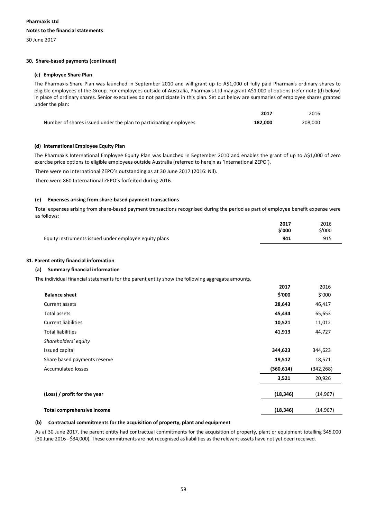### **Pharmaxis Ltd Notes to the financial statements**

30 June 2017

### **30. Share‐based payments (continued)**

### **(c) Employee Share Plan**

The Pharmaxis Share Plan was launched in September 2010 and will grant up to A\$1,000 of fully paid Pharmaxis ordinary shares to eligible employees of the Group. For employees outside of Australia, Pharmaxis Ltd may grant A\$1,000 of options (refer note (d) below) in place of ordinary shares. Senior executives do not participate in this plan. Set out below are summaries of employee shares granted under the plan:

| 2017                                                                         | 2016    |
|------------------------------------------------------------------------------|---------|
| Number of shares issued under the plan to participating employees<br>182.000 | 208,000 |

### **(d) International Employee Equity Plan**

The Pharmaxis International Employee Equity Plan was launched in September 2010 and enables the grant of up to A\$1,000 of zero exercise price options to eligible employees outside Australia (referred to herein as 'International ZEPO').

There were no International ZEPO's outstanding as at 30 June 2017 (2016: Nil).

There were 860 International ZEPO's forfeited during 2016.

### **(e) Expenses arising from share‐based payment transactions**

Total expenses arising from share‐based payment transactions recognised during the period as part of employee benefit expense were as follows:

|                                                       | 2017   | 2016            |
|-------------------------------------------------------|--------|-----------------|
|                                                       | \$'000 | $^{\star}$ '000 |
| Equity instruments issued under employee equity plans | 941    | 915             |

### **31. Parent entity financial information**

### **(a) Summary financial information**

The individual financial statements for the parent entity show the following aggregate amounts.

|                              | 2017       | 2016       |
|------------------------------|------------|------------|
| <b>Balance sheet</b>         | \$'000     | \$'000     |
| Current assets               | 28,643     | 46,417     |
| Total assets                 | 45,434     | 65,653     |
| <b>Current liabilities</b>   | 10,521     | 11,012     |
| <b>Total liabilities</b>     | 41,913     | 44,727     |
| Shareholders' equity         |            |            |
| Issued capital               | 344,623    | 344,623    |
| Share based payments reserve | 19,512     | 18,571     |
| <b>Accumulated losses</b>    | (360, 614) | (342, 268) |
|                              | 3,521      | 20,926     |
| (Loss) / profit for the year | (18, 346)  | (14, 967)  |
| Total comprehensive income   | (18, 346)  | (14, 967)  |

### **(b) Contractual commitments for the acquisition of property, plant and equipment**

As at 30 June 2017, the parent entity had contractual commitments for the acquisition of property, plant or equipment totalling \$45,000 (30 June 2016 ‐ \$34,000). These commitments are not recognised as liabilities as the relevant assets have not yet been received.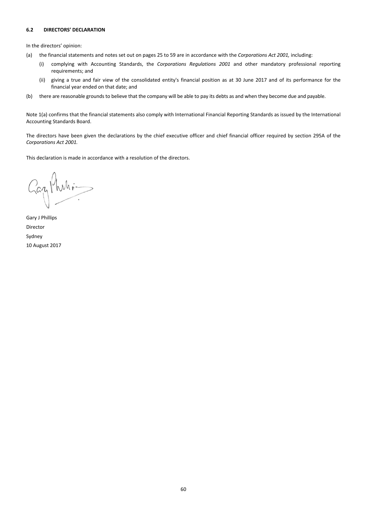### **6.2 DIRECTORS' DECLARATION**

In the directors' opinion:

- (a) the financial statements and notes set out on pages 25 to 59 are in accordance with the *Corporations Act 2001,* including:
	- (i) complying with Accounting Standards, the *Corporations Regulations 2001* and other mandatory professional reporting requirements; and
	- (ii) giving a true and fair view of the consolidated entity's financial position as at 30 June 2017 and of its performance for the financial year ended on that date; and
- (b) there are reasonable grounds to believe that the company will be able to pay its debts as and when they become due and payable.

Note 1(a) confirms that the financial statements also comply with International Financial Reporting Standards as issued by the International Accounting Standards Board.

The directors have been given the declarations by the chief executive officer and chief financial officer required by section 295A of the *Corporations Act 2001.*

This declaration is made in accordance with a resolution of the directors.

Gaz Philips

Gary J Phillips Director Sydney 10 August 2017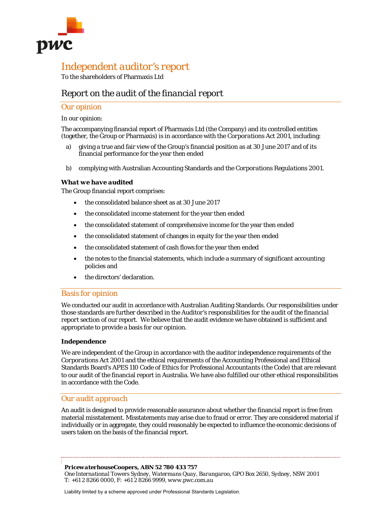

## *Independent auditor's report*

To the shareholders of Pharmaxis Ltd

## *Report on the audit of the financial report*

### *Our opinion*

### In our opinion:

The accompanying financial report of Pharmaxis Ltd (the Company) and its controlled entities (together, the Group or Pharmaxis) is in accordance with the *Corporations Act 2001*, including:

- a) giving a true and fair view of the Group's financial position as at 30 June 2017 and of its financial performance for the year then ended
- b) complying with Australian Accounting Standards and the *Corporations Regulations 2001*.

### *What we have audited*

The Group financial report comprises:

- the consolidated balance sheet as at 30 June 2017
- the consolidated income statement for the year then ended
- the consolidated statement of comprehensive income for the year then ended
- the consolidated statement of changes in equity for the year then ended
- the consolidated statement of cash flows for the year then ended
- the notes to the financial statements, which include a summary of significant accounting policies and
- the directors' declaration.

### *Basis for opinion*

We conducted our audit in accordance with Australian Auditing Standards. Our responsibilities under those standards are further described in the *Auditor's responsibilities for the audit of the financial report* section of our report. We believe that the audit evidence we have obtained is sufficient and appropriate to provide a basis for our opinion.

### *Independence*

We are independent of the Group in accordance with the auditor independence requirements of the *Corporations Act 2001* and the ethical requirements of the Accounting Professional and Ethical Standards Board's APES 110 *Code of Ethics for Professional Accountants* (the Code) that are relevant to our audit of the financial report in Australia. We have also fulfilled our other ethical responsibilities in accordance with the Code.

### *Our audit approach*

An audit is designed to provide reasonable assurance about whether the financial report is free from material misstatement. Misstatements may arise due to fraud or error. They are considered material if individually or in aggregate, they could reasonably be expected to influence the economic decisions of users taken on the basis of the financial report.

### *PricewaterhouseCoopers, ABN 52 780 433 757*

*One International Towers Sydney, Watermans Quay, Barangaroo, GPO Box 2650, Sydney, NSW 2001 T: +61 2 8266 0000, F: +61 2 8266 9999, www.pwc.com.au* 

Liability limited by a scheme approved under Professional Standards Legislation.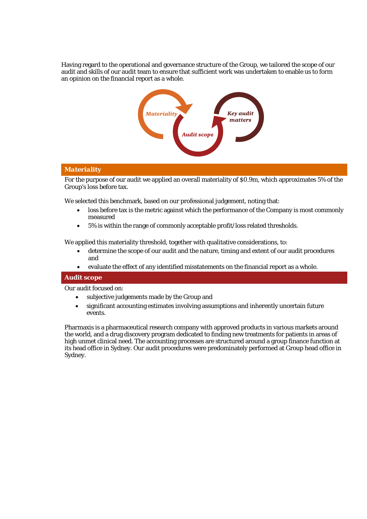Having regard to the operational and governance structure of the Group, we tailored the scope of our audit and skills of our audit team to ensure that sufficient work was undertaken to enable us to form an opinion on the financial report as a whole.



### *Materiality*

For the purpose of our audit we applied an overall materiality of \$0.9m, which approximates 5% of the Group's loss before tax.

We selected this benchmark, based on our professional judgement, noting that:

- loss before tax is the metric against which the performance of the Company is most commonly measured
- 5% is within the range of commonly acceptable profit/loss related thresholds.

We applied this materiality threshold, together with qualitative considerations, to:

- determine the scope of our audit and the nature, timing and extent of our audit procedures and
- evaluate the effect of any identified misstatements on the financial report as a whole.

### *Audit scope*

Our audit focused on:

- subjective judgements made by the Group and
- significant accounting estimates involving assumptions and inherently uncertain future events.

Pharmaxis is a pharmaceutical research company with approved products in various markets around the world, and a drug discovery program dedicated to finding new treatments for patients in areas of high unmet clinical need. The accounting processes are structured around a group finance function at its head office in Sydney. Our audit procedures were predominately performed at Group head office in Sydney.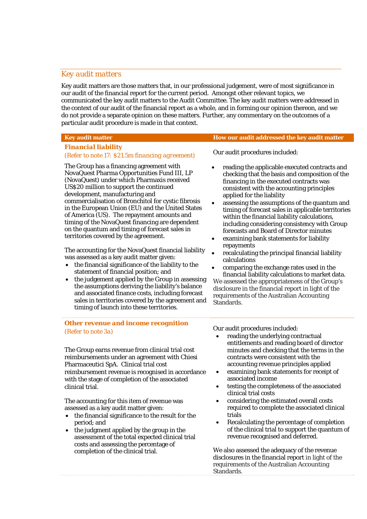### *Key audit matters*

Key audit matters are those matters that, in our professional judgement, were of most significance in our audit of the financial report for the current period. Amongst other relevant topics, we communicated the key audit matters to the Audit Committee. The key audit matters were addressed in the context of our audit of the financial report as a whole, and in forming our opinion thereon, and we do not provide a separate opinion on these matters. Further, any commentary on the outcomes of a particular audit procedure is made in that context.

### **Key audit matter How our audit addressed the key audit matter**

### *Financial liability*

### *(Refer to note 17: \$21.5m financing agreement)*

The Group has a financing agreement with NovaQuest Pharma Opportunities Fund III, LP (NovaQuest) under which Pharmaxis received US\$20 million to support the continued development, manufacturing and commercialisation of Bronchitol for cystic fibrosis in the European Union (EU) and the United States of America (US). The repayment amounts and timing of the NovaQuest financing are dependent on the quantum and timing of forecast sales in territories covered by the agreement.

The accounting for the NovaQuest financial liability was assessed as a key audit matter given:

- the financial significance of the liability to the statement of financial position; and
- the judgement applied by the Group in assessing the assumptions deriving the liability's balance and associated finance costs, including forecast sales in territories covered by the agreement and timing of launch into these territories.

Our audit procedures included:

- reading the applicable executed contracts and checking that the basis and composition of the financing in the executed contracts was consistent with the accounting principles applied for the liability
- assessing the assumptions of the quantum and timing of forecast sales in applicable territories within the financial liability calculations, including considering consistency with Group forecasts and Board of Director minutes
- examining bank statements for liability repayments
- recalculating the principal financial liability calculations

 comparing the exchange rates used in the financial liability calculations to market data. We assessed the appropriateness of the Group's disclosure in the financial report in light of the requirements of the Australian Accounting Standards.

### *Other revenue and income recognition (Refer to note 3a)*

The Group earns revenue from clinical trial cost reimbursements under an agreement with Chiesi Pharmaceutici SpA. Clinical trial cost reimbursement revenue is recognised in accordance with the stage of completion of the associated clinical trial.

The accounting for this item of revenue was assessed as a key audit matter given:

- the financial significance to the result for the period; and
- the judgment applied by the group in the assessment of the total expected clinical trial costs and assessing the percentage of completion of the clinical trial.

Our audit procedures included:

- reading the underlying contractual entitlements and reading board of director minutes and checking that the terms in the contracts were consistent with the accounting revenue principles applied
- examining bank statements for receipt of associated income
- testing the completeness of the associated clinical trial costs
- considering the estimated overall costs required to complete the associated clinical trials
- Recalculating the percentage of completion of the clinical trial to support the quantum of revenue recognised and deferred.

We also assessed the adequacy of the revenue disclosures in the financial report in light of the requirements of the Australian Accounting Standards.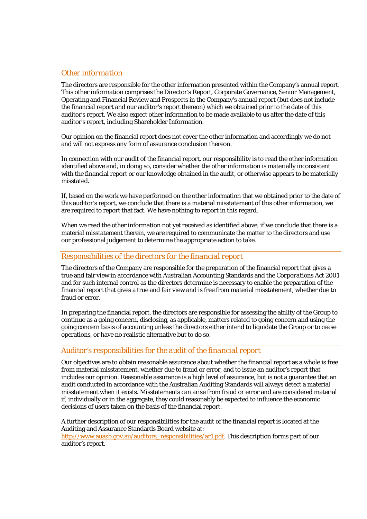### *Other information*

The directors are responsible for the other information presented within the Company's annual report. This other information comprises the Director's Report, Corporate Governance, Senior Management, Operating and Financial Review and Prospects in the Company's annual report (but does not include the financial report and our auditor's report thereon) which we obtained prior to the date of this auditor's report. We also expect other information to be made available to us after the date of this auditor's report, including Shareholder Information.

Our opinion on the financial report does not cover the other information and accordingly we do not and will not express any form of assurance conclusion thereon.

In connection with our audit of the financial report, our responsibility is to read the other information identified above and, in doing so, consider whether the other information is materially inconsistent with the financial report or our knowledge obtained in the audit, or otherwise appears to be materially misstated.

If, based on the work we have performed on the other information that we obtained prior to the date of this auditor's report, we conclude that there is a material misstatement of this other information, we are required to report that fact. We have nothing to report in this regard.

When we read the other information not yet received as identified above, if we conclude that there is a material misstatement therein, we are required to communicate the matter to the directors and use our professional judgement to determine the appropriate action to take.

### *Responsibilities of the directors for the financial report*

The directors of the Company are responsible for the preparation of the financial report that gives a true and fair view in accordance with Australian Accounting Standards and the *Corporations Act 2001* and for such internal control as the directors determine is necessary to enable the preparation of the financial report that gives a true and fair view and is free from material misstatement, whether due to fraud or error.

In preparing the financial report, the directors are responsible for assessing the ability of the Group to continue as a going concern, disclosing, as applicable, matters related to going concern and using the going concern basis of accounting unless the directors either intend to liquidate the Group or to cease operations, or have no realistic alternative but to do so.

### *Auditor's responsibilities for the audit of the financial report*

Our objectives are to obtain reasonable assurance about whether the financial report as a whole is free from material misstatement, whether due to fraud or error, and to issue an auditor's report that includes our opinion. Reasonable assurance is a high level of assurance, but is not a guarantee that an audit conducted in accordance with the Australian Auditing Standards will always detect a material misstatement when it exists. Misstatements can arise from fraud or error and are considered material if, individually or in the aggregate, they could reasonably be expected to influence the economic decisions of users taken on the basis of the financial report.

A further description of our responsibilities for the audit of the financial report is located at the Auditing and Assurance Standards Board website at: http://www.auasb.gov.au/auditors\_responsibilities/ar1.pdf. This description forms part of our auditor's report.